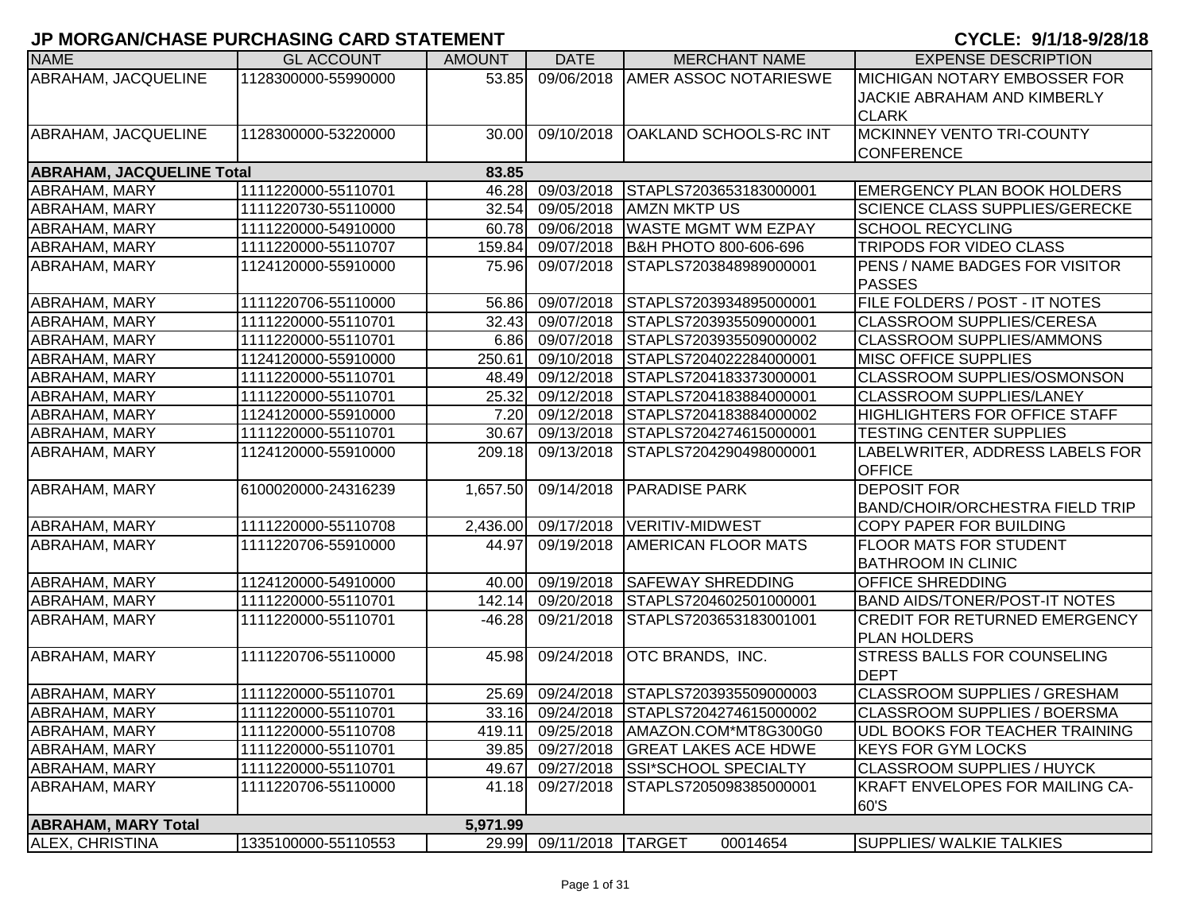| <b>NAME</b>                      | <b>GL ACCOUNT</b>   | <b>AMOUNT</b> | <b>DATE</b>       | <b>MERCHANT NAME</b>                    | <b>EXPENSE DESCRIPTION</b>             |
|----------------------------------|---------------------|---------------|-------------------|-----------------------------------------|----------------------------------------|
| ABRAHAM, JACQUELINE              | 1128300000-55990000 | 53.85         | 09/06/2018        | <b>AMER ASSOC NOTARIESWE</b>            | <b>MICHIGAN NOTARY EMBOSSER FOR</b>    |
|                                  |                     |               |                   |                                         | JACKIE ABRAHAM AND KIMBERLY            |
|                                  |                     |               |                   |                                         | <b>CLARK</b>                           |
| ABRAHAM, JACQUELINE              | 1128300000-53220000 | 30.00         | 09/10/2018        | <b>OAKLAND SCHOOLS-RC INT</b>           | <b>MCKINNEY VENTO TRI-COUNTY</b>       |
|                                  |                     |               |                   |                                         | <b>CONFERENCE</b>                      |
| <b>ABRAHAM, JACQUELINE Total</b> |                     | 83.85         |                   |                                         |                                        |
| ABRAHAM, MARY                    | 1111220000-55110701 | 46.28         | 09/03/2018        | STAPLS7203653183000001                  | <b>EMERGENCY PLAN BOOK HOLDERS</b>     |
| ABRAHAM, MARY                    | 1111220730-55110000 | 32.54         | 09/05/2018        | <b>AMZN MKTP US</b>                     | <b>SCIENCE CLASS SUPPLIES/GERECKE</b>  |
| ABRAHAM, MARY                    | 1111220000-54910000 | 60.78         | 09/06/2018        | <b>WASTE MGMT WM EZPAY</b>              | <b>SCHOOL RECYCLING</b>                |
| ABRAHAM, MARY                    | 1111220000-55110707 | 159.84        | 09/07/2018        | B&H PHOTO 800-606-696                   | <b>TRIPODS FOR VIDEO CLASS</b>         |
| ABRAHAM, MARY                    | 1124120000-55910000 | 75.96         | 09/07/2018        | STAPLS7203848989000001                  | <b>PENS / NAME BADGES FOR VISITOR</b>  |
|                                  |                     |               |                   |                                         | <b>PASSES</b>                          |
| ABRAHAM, MARY                    | 1111220706-55110000 | 56.86         | 09/07/2018        | STAPLS7203934895000001                  | FILE FOLDERS / POST - IT NOTES         |
| ABRAHAM, MARY                    | 1111220000-55110701 | 32.43         | 09/07/2018        | STAPLS7203935509000001                  | <b>CLASSROOM SUPPLIES/CERESA</b>       |
| ABRAHAM, MARY                    | 1111220000-55110701 |               | 6.86 09/07/2018   | STAPLS7203935509000002                  | <b>CLASSROOM SUPPLIES/AMMONS</b>       |
| <b>ABRAHAM, MARY</b>             | 1124120000-55910000 | 250.61        | 09/10/2018        | STAPLS7204022284000001                  | <b>MISC OFFICE SUPPLIES</b>            |
| ABRAHAM, MARY                    | 1111220000-55110701 | 48.49         | 09/12/2018        | STAPLS7204183373000001                  | CLASSROOM SUPPLIES/OSMONSON            |
| ABRAHAM, MARY                    | 1111220000-55110701 | 25.32         | 09/12/2018        | STAPLS7204183884000001                  | <b>CLASSROOM SUPPLIES/LANEY</b>        |
| ABRAHAM, MARY                    | 1124120000-55910000 | 7.20          | 09/12/2018        | STAPLS7204183884000002                  | <b>HIGHLIGHTERS FOR OFFICE STAFF</b>   |
| ABRAHAM, MARY                    | 1111220000-55110701 | 30.67         | 09/13/2018        | STAPLS7204274615000001                  | <b>TESTING CENTER SUPPLIES</b>         |
| ABRAHAM, MARY                    | 1124120000-55910000 | 209.18        | 09/13/2018        | STAPLS7204290498000001                  | LABELWRITER, ADDRESS LABELS FOR        |
|                                  |                     |               |                   |                                         | <b>OFFICE</b>                          |
| ABRAHAM, MARY                    | 6100020000-24316239 | 1,657.50      | 09/14/2018        | <b>PARADISE PARK</b>                    | <b>DEPOSIT FOR</b>                     |
|                                  |                     |               |                   |                                         | <b>BAND/CHOIR/ORCHESTRA FIELD TRIP</b> |
| ABRAHAM, MARY                    | 1111220000-55110708 | 2,436.00      |                   | 09/17/2018   VERITIV-MIDWEST            | <b>COPY PAPER FOR BUILDING</b>         |
| ABRAHAM, MARY                    | 1111220706-55910000 | 44.97         | 09/19/2018        | <b>AMERICAN FLOOR MATS</b>              | <b>FLOOR MATS FOR STUDENT</b>          |
|                                  |                     |               |                   |                                         | <b>BATHROOM IN CLINIC</b>              |
| ABRAHAM, MARY                    | 1124120000-54910000 | 40.00         | 09/19/2018        | <b>SAFEWAY SHREDDING</b>                | <b>OFFICE SHREDDING</b>                |
| ABRAHAM, MARY                    | 1111220000-55110701 | 142.14        | 09/20/2018        | STAPLS7204602501000001                  | <b>BAND AIDS/TONER/POST-IT NOTES</b>   |
| ABRAHAM, MARY                    | 1111220000-55110701 | $-46.28$      | 09/21/2018        | STAPLS7203653183001001                  | <b>CREDIT FOR RETURNED EMERGENCY</b>   |
|                                  |                     |               |                   |                                         | <b>PLAN HOLDERS</b>                    |
| ABRAHAM, MARY                    | 1111220706-55110000 | 45.98         | 09/24/2018        | <b>OTC BRANDS, INC.</b>                 | <b>STRESS BALLS FOR COUNSELING</b>     |
|                                  |                     |               |                   |                                         | <b>DEPT</b>                            |
| ABRAHAM, MARY                    | 1111220000-55110701 | 25.69         | 09/24/2018        | STAPLS7203935509000003                  | <b>CLASSROOM SUPPLIES / GRESHAM</b>    |
| ABRAHAM, MARY                    | 1111220000-55110701 |               |                   | 33.16 09/24/2018 STAPLS7204274615000002 | CLASSROOM SUPPLIES / BOERSMA           |
| <b>ABRAHAM, MARY</b>             | 1111220000-55110708 | 419.11        |                   | 09/25/2018   AMAZON.COM*MT8G300G0       | UDL BOOKS FOR TEACHER TRAINING         |
| ABRAHAM, MARY                    | 1111220000-55110701 | 39.85         | 09/27/2018        | <b>GREAT LAKES ACE HDWE</b>             | <b>KEYS FOR GYM LOCKS</b>              |
| ABRAHAM, MARY                    | 1111220000-55110701 | 49.67         | 09/27/2018        | <b>SSI*SCHOOL SPECIALTY</b>             | <b>CLASSROOM SUPPLIES / HUYCK</b>      |
| ABRAHAM, MARY                    | 1111220706-55110000 | 41.18         | 09/27/2018        | STAPLS7205098385000001                  | KRAFT ENVELOPES FOR MAILING CA-        |
|                                  |                     |               |                   |                                         | 60'S                                   |
| <b>ABRAHAM, MARY Total</b>       |                     | 5,971.99      |                   |                                         |                                        |
| <b>ALEX, CHRISTINA</b>           | 1335100000-55110553 | 29.99         | 09/11/2018 TARGET | 00014654                                | <b>SUPPLIES/ WALKIE TALKIES</b>        |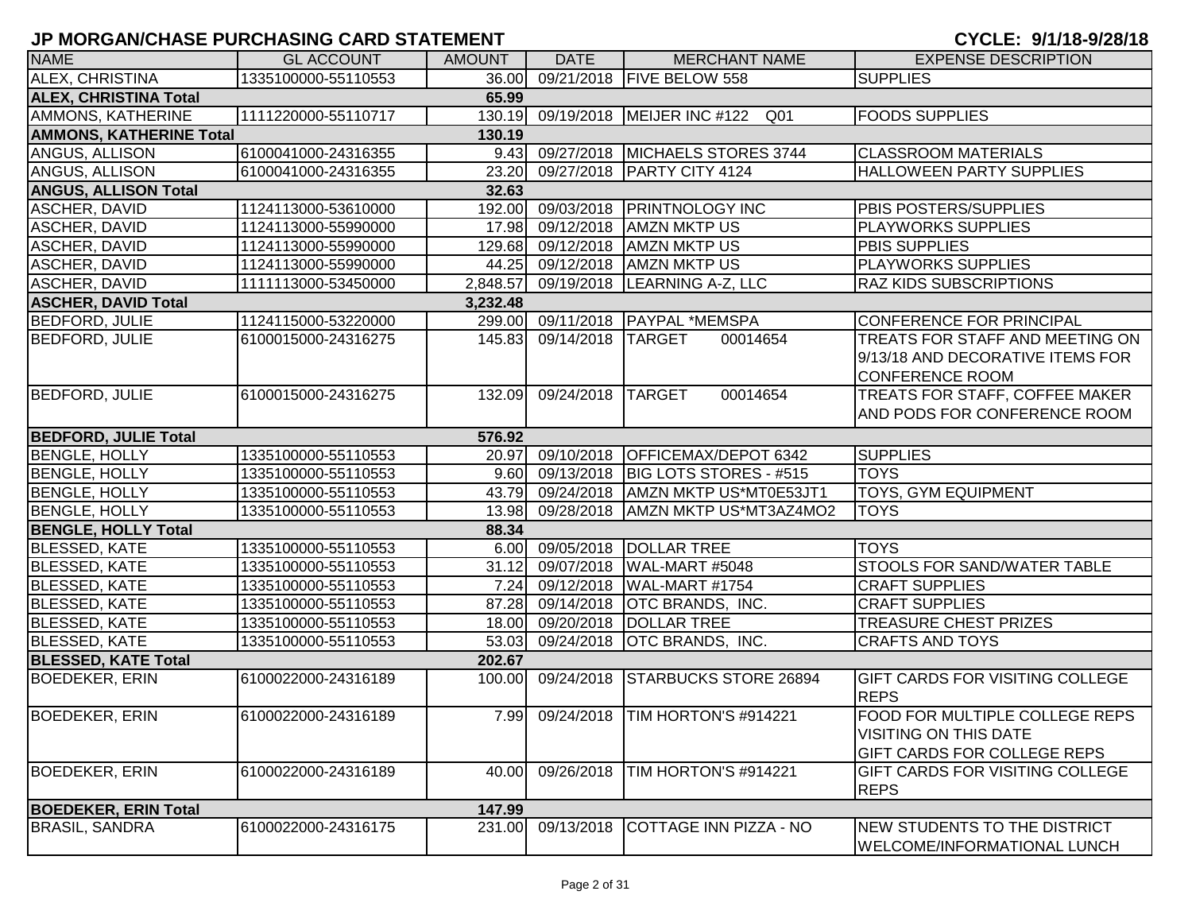| <b>NAME</b>                    | <b>GL ACCOUNT</b>   | <b>AMOUNT</b> | <b>DATE</b>       | <b>MERCHANT NAME</b>                    | <b>EXPENSE DESCRIPTION</b>             |
|--------------------------------|---------------------|---------------|-------------------|-----------------------------------------|----------------------------------------|
| ALEX, CHRISTINA                | 1335100000-55110553 |               |                   | 36.00 09/21/2018 FIVE BELOW 558         | <b>SUPPLIES</b>                        |
| <b>ALEX, CHRISTINA Total</b>   |                     | 65.99         |                   |                                         |                                        |
| AMMONS, KATHERINE              | 1111220000-55110717 |               |                   | 130.19 09/19/2018 MEIJER INC #122 Q01   | <b>FOODS SUPPLIES</b>                  |
| <b>AMMONS, KATHERINE Total</b> |                     | 130.19        |                   |                                         |                                        |
| ANGUS, ALLISON                 | 6100041000-24316355 |               |                   | 9.43 09/27/2018 MICHAELS STORES 3744    | <b>CLASSROOM MATERIALS</b>             |
| ANGUS, ALLISON                 | 6100041000-24316355 |               |                   | 23.20 09/27/2018 PARTY CITY 4124        | <b>HALLOWEEN PARTY SUPPLIES</b>        |
| <b>ANGUS, ALLISON Total</b>    |                     | 32.63         |                   |                                         |                                        |
| ASCHER, DAVID                  | 1124113000-53610000 |               |                   | 192.00 09/03/2018 PRINTNOLOGY INC       | <b>PBIS POSTERS/SUPPLIES</b>           |
| ASCHER, DAVID                  | 1124113000-55990000 |               |                   | 17.98 09/12/2018 AMZN MKTP US           | <b>PLAYWORKS SUPPLIES</b>              |
| ASCHER, DAVID                  | 1124113000-55990000 | 129.68        | 09/12/2018        | <b>AMZN MKTP US</b>                     | <b>PBIS SUPPLIES</b>                   |
| ASCHER, DAVID                  | 1124113000-55990000 |               |                   | 44.25 09/12/2018 AMZN MKTP US           | <b>PLAYWORKS SUPPLIES</b>              |
| <b>ASCHER, DAVID</b>           | 1111113000-53450000 | 2,848.57      |                   | 09/19/2018  LEARNING A-Z, LLC           | <b>RAZ KIDS SUBSCRIPTIONS</b>          |
| <b>ASCHER, DAVID Total</b>     |                     | 3,232.48      |                   |                                         |                                        |
| <b>BEDFORD, JULIE</b>          | 1124115000-53220000 |               |                   | 299.00 09/11/2018 PAYPAL *MEMSPA        | CONFERENCE FOR PRINCIPAL               |
| <b>BEDFORD, JULIE</b>          | 6100015000-24316275 | 145.83        | 09/14/2018 TARGET | 00014654                                | TREATS FOR STAFF AND MEETING ON        |
|                                |                     |               |                   |                                         | 9/13/18 AND DECORATIVE ITEMS FOR       |
|                                |                     |               |                   |                                         | <b>CONFERENCE ROOM</b>                 |
| <b>BEDFORD, JULIE</b>          | 6100015000-24316275 | 132.09        | 09/24/2018 TARGET | 00014654                                | TREATS FOR STAFF, COFFEE MAKER         |
|                                |                     |               |                   |                                         | AND PODS FOR CONFERENCE ROOM           |
| <b>BEDFORD, JULIE Total</b>    |                     | 576.92        |                   |                                         |                                        |
| <b>BENGLE, HOLLY</b>           | 1335100000-55110553 |               |                   | 20.97 09/10/2018 OFFICEMAX/DEPOT 6342   | <b>SUPPLIES</b>                        |
| <b>BENGLE, HOLLY</b>           | 1335100000-55110553 |               |                   | 9.60 09/13/2018 BIG LOTS STORES - #515  | <b>TOYS</b>                            |
| <b>BENGLE, HOLLY</b>           | 1335100000-55110553 |               |                   | 43.79 09/24/2018 AMZN MKTP US*MT0E53JT1 | <b>TOYS, GYM EQUIPMENT</b>             |
| <b>BENGLE, HOLLY</b>           | 1335100000-55110553 |               |                   | 13.98 09/28/2018 AMZN MKTP US*MT3AZ4MO2 | <b>TOYS</b>                            |
| <b>BENGLE, HOLLY Total</b>     |                     | 88.34         |                   |                                         |                                        |
| <b>BLESSED, KATE</b>           | 1335100000-55110553 |               | 6.00 09/05/2018   | DOLLAR TREE                             | <b>TOYS</b>                            |
| <b>BLESSED, KATE</b>           | 1335100000-55110553 |               | 31.12 09/07/2018  | WAL-MART #5048                          | <b>STOOLS FOR SAND/WATER TABLE</b>     |
| <b>BLESSED, KATE</b>           | 1335100000-55110553 |               |                   | 7.24 09/12/2018 WAL-MART #1754          | <b>CRAFT SUPPLIES</b>                  |
| <b>BLESSED, KATE</b>           | 1335100000-55110553 |               | 87.28 09/14/2018  | <b>OTC BRANDS, INC.</b>                 | <b>CRAFT SUPPLIES</b>                  |
| <b>BLESSED, KATE</b>           | 1335100000-55110553 |               | 18.00 09/20/2018  | <b>DOLLAR TREE</b>                      | <b>TREASURE CHEST PRIZES</b>           |
| <b>BLESSED, KATE</b>           | 1335100000-55110553 | 53.03         | 09/24/2018        | <b>OTC BRANDS, INC.</b>                 | <b>CRAFTS AND TOYS</b>                 |
| <b>BLESSED, KATE Total</b>     |                     | 202.67        |                   |                                         |                                        |
| <b>BOEDEKER, ERIN</b>          | 6100022000-24316189 | 100.00        | 09/24/2018        | <b>STARBUCKS STORE 26894</b>            | <b>GIFT CARDS FOR VISITING COLLEGE</b> |
|                                |                     |               |                   |                                         | <b>REPS</b>                            |
| <b>BOEDEKER, ERIN</b>          | 6100022000-24316189 |               |                   | 7.99 09/24/2018   TIM HORTON'S #914221  | FOOD FOR MULTIPLE COLLEGE REPS         |
|                                |                     |               |                   |                                         | <b>VISITING ON THIS DATE</b>           |
|                                |                     |               |                   |                                         | <b>GIFT CARDS FOR COLLEGE REPS</b>     |
| <b>BOEDEKER, ERIN</b>          | 6100022000-24316189 | 40.00         | 09/26/2018        | TIM HORTON'S #914221                    | <b>GIFT CARDS FOR VISITING COLLEGE</b> |
|                                |                     |               |                   |                                         | <b>REPS</b>                            |
| <b>BOEDEKER, ERIN Total</b>    |                     | 147.99        |                   |                                         |                                        |
| <b>BRASIL, SANDRA</b>          | 6100022000-24316175 | 231.00        | 09/13/2018        | COTTAGE INN PIZZA - NO                  | NEW STUDENTS TO THE DISTRICT           |
|                                |                     |               |                   |                                         | <b>WELCOME/INFORMATIONAL LUNCH</b>     |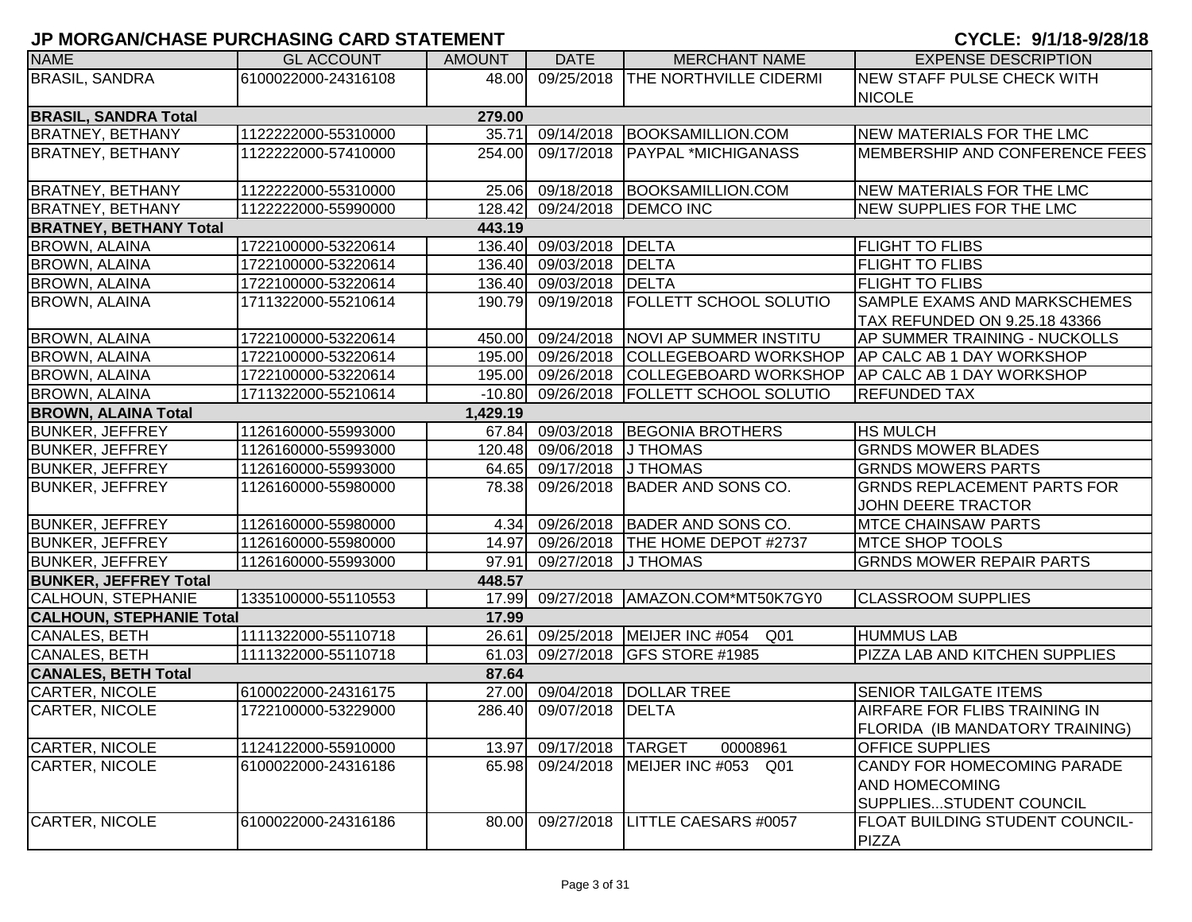| <b>NAME</b>                     | <b>GL ACCOUNT</b>   | <b>AMOUNT</b> | <b>DATE</b>             | <b>MERCHANT NAME</b>               | <b>EXPENSE DESCRIPTION</b>           |
|---------------------------------|---------------------|---------------|-------------------------|------------------------------------|--------------------------------------|
| <b>BRASIL, SANDRA</b>           | 6100022000-24316108 | 48.00         | 09/25/2018              | <b>THE NORTHVILLE CIDERMI</b>      | NEW STAFF PULSE CHECK WITH           |
|                                 |                     |               |                         |                                    | <b>NICOLE</b>                        |
| <b>BRASIL, SANDRA Total</b>     |                     | 279.00        |                         |                                    |                                      |
| <b>BRATNEY, BETHANY</b>         | 1122222000-55310000 | 35.71         | 09/14/2018              | <b>BOOKSAMILLION.COM</b>           | <b>NEW MATERIALS FOR THE LMC</b>     |
| <b>BRATNEY, BETHANY</b>         | 1122222000-57410000 | 254.00        | 09/17/2018              | <b>PAYPAL *MICHIGANASS</b>         | MEMBERSHIP AND CONFERENCE FEES       |
|                                 |                     |               |                         |                                    |                                      |
| <b>BRATNEY, BETHANY</b>         | 1122222000-55310000 |               |                         | 25.06 09/18/2018 BOOKSAMILLION.COM | NEW MATERIALS FOR THE LMC            |
| <b>BRATNEY, BETHANY</b>         | 1122222000-55990000 | 128.42        |                         | 09/24/2018   DEMCO INC             | NEW SUPPLIES FOR THE LMC             |
| <b>BRATNEY, BETHANY Total</b>   |                     | 443.19        |                         |                                    |                                      |
| <b>BROWN, ALAINA</b>            | 1722100000-53220614 | 136.40        | 09/03/2018              | DELTA                              | FLIGHT TO FLIBS                      |
| <b>BROWN, ALAINA</b>            | 1722100000-53220614 |               | 136.40 09/03/2018       | DELTA                              | FLIGHT TO FLIBS                      |
| <b>BROWN, ALAINA</b>            | 1722100000-53220614 |               | 136.40 09/03/2018       | DELTA                              | <b>FLIGHT TO FLIBS</b>               |
| <b>BROWN, ALAINA</b>            | 1711322000-55210614 | 190.79        | 09/19/2018              | <b>FOLLETT SCHOOL SOLUTIO</b>      | SAMPLE EXAMS AND MARKSCHEMES         |
|                                 |                     |               |                         |                                    | TAX REFUNDED ON 9.25.18 43366        |
| <b>BROWN, ALAINA</b>            | 1722100000-53220614 | 450.00        | 09/24/2018              | NOVI AP SUMMER INSTITU             | <b>AP SUMMER TRAINING - NUCKOLLS</b> |
| <b>BROWN, ALAINA</b>            | 1722100000-53220614 | 195.00        | 09/26/2018              | COLLEGEBOARD WORKSHOP              | AP CALC AB 1 DAY WORKSHOP            |
| <b>BROWN, ALAINA</b>            | 1722100000-53220614 |               | 195.00 09/26/2018       | COLLEGEBOARD WORKSHOP              | <b>AP CALC AB 1 DAY WORKSHOP</b>     |
| <b>BROWN, ALAINA</b>            | 1711322000-55210614 | $-10.80$      | 09/26/2018              | <b>FOLLETT SCHOOL SOLUTIO</b>      | <b>REFUNDED TAX</b>                  |
| <b>BROWN, ALAINA Total</b>      |                     | 1,429.19      |                         |                                    |                                      |
| <b>BUNKER, JEFFREY</b>          | 1126160000-55993000 | 67.84         | 09/03/2018              | <b>BEGONIA BROTHERS</b>            | <b>HS MULCH</b>                      |
| <b>BUNKER, JEFFREY</b>          | 1126160000-55993000 |               | 120.48 09/06/2018       | J THOMAS                           | <b>GRNDS MOWER BLADES</b>            |
| <b>BUNKER, JEFFREY</b>          | 1126160000-55993000 |               | 64.65 09/17/2018        | J THOMAS                           | <b>GRNDS MOWERS PARTS</b>            |
| <b>BUNKER, JEFFREY</b>          | 1126160000-55980000 | 78.38         | 09/26/2018              | BADER AND SONS CO.                 | <b>GRNDS REPLACEMENT PARTS FOR</b>   |
|                                 |                     |               |                         |                                    | <b>JOHN DEERE TRACTOR</b>            |
| <b>BUNKER, JEFFREY</b>          | 1126160000-55980000 | 4.34          |                         | 09/26/2018 BADER AND SONS CO.      | <b>MTCE CHAINSAW PARTS</b>           |
| <b>BUNKER, JEFFREY</b>          | 1126160000-55980000 |               | 14.97 09/26/2018        | THE HOME DEPOT #2737               | <b>MTCE SHOP TOOLS</b>               |
| <b>BUNKER, JEFFREY</b>          | 1126160000-55993000 | 97.91         | 09/27/2018              | <b>J THOMAS</b>                    | <b>GRNDS MOWER REPAIR PARTS</b>      |
| <b>BUNKER, JEFFREY Total</b>    |                     | 448.57        |                         |                                    |                                      |
| <b>CALHOUN, STEPHANIE</b>       | 1335100000-55110553 | 17.99         |                         | 09/27/2018   AMAZON.COM*MT50K7GY0  | <b>CLASSROOM SUPPLIES</b>            |
| <b>CALHOUN, STEPHANIE Total</b> |                     | 17.99         |                         |                                    |                                      |
| CANALES, BETH                   | 1111322000-55110718 | 26.61         |                         | 09/25/2018 MEIJER INC #054<br>Q01  | <b>HUMMUS LAB</b>                    |
| CANALES, BETH                   | 1111322000-55110718 | 61.03         | 09/27/2018              | <b>GFS STORE #1985</b>             | PIZZA LAB AND KITCHEN SUPPLIES       |
| <b>CANALES, BETH Total</b>      |                     | 87.64         |                         |                                    |                                      |
| CARTER, NICOLE                  | 6100022000-24316175 |               |                         | 27.00 09/04/2018 DOLLAR TREE       | SENIOR TAILGATE ITEMS                |
| CARTER, NICOLE                  | 1722100000-53229000 |               | 286.40 09/07/2018 DELTA |                                    | <b>AIRFARE FOR FLIBS TRAINING IN</b> |
|                                 |                     |               |                         |                                    | FLORIDA (IB MANDATORY TRAINING)      |
| CARTER, NICOLE                  | 1124122000-55910000 | 13.97         | 09/17/2018              | 00008961<br><b>TARGET</b>          | <b>OFFICE SUPPLIES</b>               |
| CARTER, NICOLE                  | 6100022000-24316186 | 65.98         | 09/24/2018              | MEIJER INC #053<br>Q01             | CANDY FOR HOMECOMING PARADE          |
|                                 |                     |               |                         |                                    | <b>AND HOMECOMING</b>                |
|                                 |                     |               |                         |                                    | SUPPLIESSTUDENT COUNCIL              |
| CARTER, NICOLE                  | 6100022000-24316186 | 80.00         | 09/27/2018              | LITTLE CAESARS #0057               | FLOAT BUILDING STUDENT COUNCIL-      |
|                                 |                     |               |                         |                                    | PIZZA                                |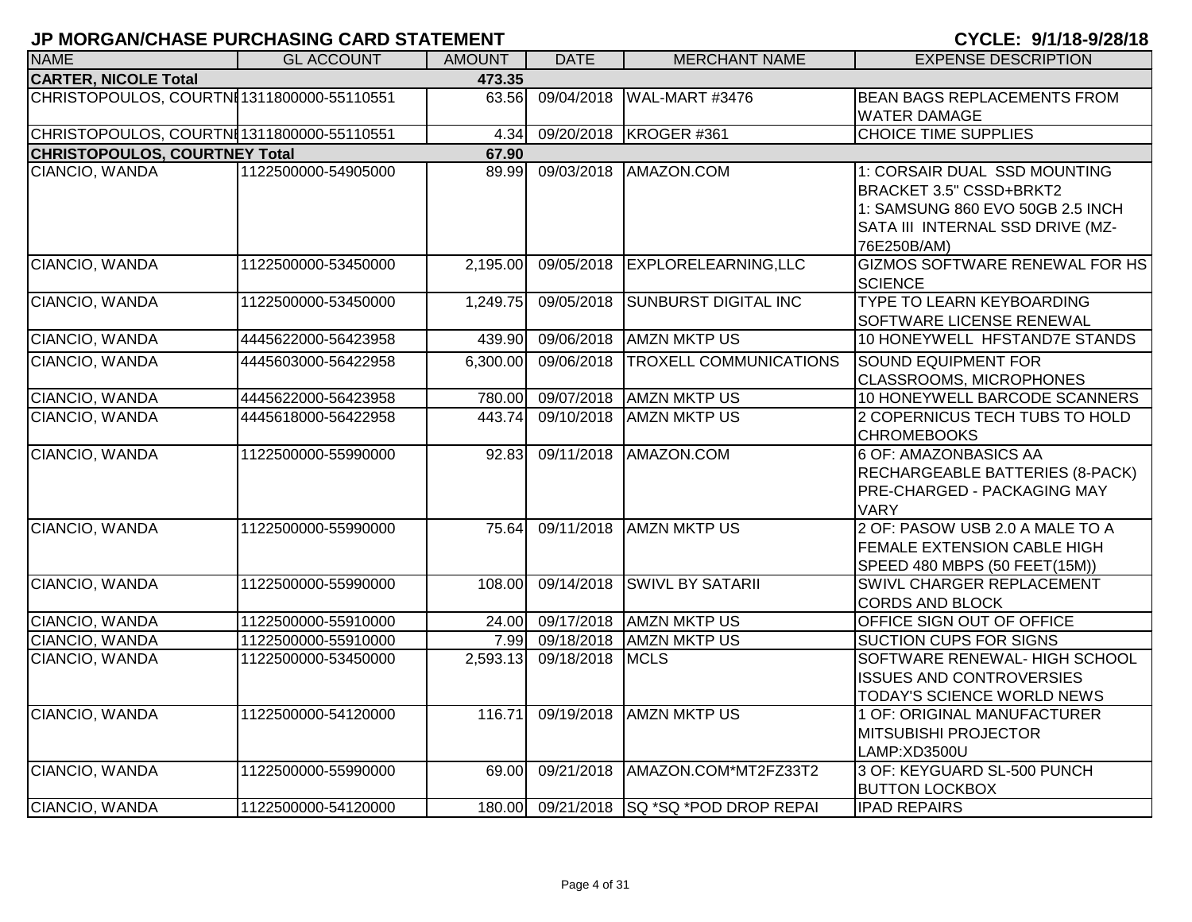| <b>NAME</b>                                | <b>GL ACCOUNT</b>   | <b>AMOUNT</b> | <b>DATE</b> | <b>MERCHANT NAME</b>                     | <b>EXPENSE DESCRIPTION</b>                                                                                                                     |
|--------------------------------------------|---------------------|---------------|-------------|------------------------------------------|------------------------------------------------------------------------------------------------------------------------------------------------|
| <b>CARTER, NICOLE Total</b>                |                     | 473.35        |             |                                          |                                                                                                                                                |
| CHRISTOPOULOS, COURTNI 1311800000-55110551 |                     | 63.56         | 09/04/2018  | WAL-MART #3476                           | <b>BEAN BAGS REPLACEMENTS FROM</b><br><b>WATER DAMAGE</b>                                                                                      |
| CHRISTOPOULOS, COURTNI 1311800000-55110551 |                     | 4.34          | 09/20/2018  | KROGER #361                              | <b>CHOICE TIME SUPPLIES</b>                                                                                                                    |
| <b>CHRISTOPOULOS, COURTNEY Total</b>       |                     | 67.90         |             |                                          |                                                                                                                                                |
| CIANCIO, WANDA                             | 1122500000-54905000 | 89.99         | 09/03/2018  | AMAZON.COM                               | 1: CORSAIR DUAL SSD MOUNTING<br>BRACKET 3.5" CSSD+BRKT2<br>1: SAMSUNG 860 EVO 50GB 2.5 INCH<br>SATA III INTERNAL SSD DRIVE (MZ-<br>76E250B/AM) |
| CIANCIO, WANDA                             | 1122500000-53450000 | 2,195.00      |             | 09/05/2018 EXPLORELEARNING, LLC          | GIZMOS SOFTWARE RENEWAL FOR HS<br><b>SCIENCE</b>                                                                                               |
| CIANCIO, WANDA                             | 1122500000-53450000 | 1,249.75      | 09/05/2018  | <b>SUNBURST DIGITAL INC</b>              | <b>TYPE TO LEARN KEYBOARDING</b><br>SOFTWARE LICENSE RENEWAL                                                                                   |
| CIANCIO, WANDA                             | 4445622000-56423958 | 439.90        | 09/06/2018  | <b>AMZN MKTP US</b>                      | 10 HONEYWELL HFSTAND7E STANDS                                                                                                                  |
| CIANCIO, WANDA                             | 4445603000-56422958 | 6,300.00      | 09/06/2018  | <b>TROXELL COMMUNICATIONS</b>            | <b>SOUND EQUIPMENT FOR</b><br><b>CLASSROOMS, MICROPHONES</b>                                                                                   |
| CIANCIO, WANDA                             | 4445622000-56423958 | 780.00        |             | 09/07/2018 AMZN MKTP US                  | 10 HONEYWELL BARCODE SCANNERS                                                                                                                  |
| CIANCIO, WANDA                             | 4445618000-56422958 | 443.74        | 09/10/2018  | <b>AMZN MKTP US</b>                      | 2 COPERNICUS TECH TUBS TO HOLD<br><b>CHROMEBOOKS</b>                                                                                           |
| CIANCIO, WANDA                             | 1122500000-55990000 | 92.83         | 09/11/2018  | AMAZON.COM                               | 6 OF: AMAZONBASICS AA<br><b>RECHARGEABLE BATTERIES (8-PACK)</b><br><b>PRE-CHARGED - PACKAGING MAY</b><br><b>VARY</b>                           |
| CIANCIO, WANDA                             | 1122500000-55990000 | 75.64         |             | 09/11/2018 AMZN MKTP US                  | 2 OF: PASOW USB 2.0 A MALE TO A<br><b>FEMALE EXTENSION CABLE HIGH</b><br>SPEED 480 MBPS (50 FEET(15M))                                         |
| CIANCIO, WANDA                             | 1122500000-55990000 | 108.00        | 09/14/2018  | <b>SWIVL BY SATARII</b>                  | SWIVL CHARGER REPLACEMENT<br><b>CORDS AND BLOCK</b>                                                                                            |
| CIANCIO, WANDA                             | 1122500000-55910000 | 24.00         |             | 09/17/2018 AMZN MKTP US                  | OFFICE SIGN OUT OF OFFICE                                                                                                                      |
| CIANCIO, WANDA                             | 1122500000-55910000 |               |             | 7.99 09/18/2018 AMZN MKTP US             | <b>SUCTION CUPS FOR SIGNS</b>                                                                                                                  |
| CIANCIO, WANDA                             | 1122500000-53450000 | 2,593.13      | 09/18/2018  | <b>MCLS</b>                              | SOFTWARE RENEWAL- HIGH SCHOOL<br><b>ISSUES AND CONTROVERSIES</b><br>TODAY'S SCIENCE WORLD NEWS                                                 |
| CIANCIO, WANDA                             | 1122500000-54120000 | 116.71        |             | 09/19/2018 AMZN MKTP US                  | 1 OF: ORIGINAL MANUFACTURER<br><b>MITSUBISHI PROJECTOR</b><br>LAMP:XD3500U                                                                     |
| CIANCIO, WANDA                             | 1122500000-55990000 | 69.00         | 09/21/2018  | AMAZON.COM*MT2FZ33T2                     | 3 OF: KEYGUARD SL-500 PUNCH<br><b>BUTTON LOCKBOX</b>                                                                                           |
| CIANCIO, WANDA                             | 1122500000-54120000 |               |             | 180.00 09/21/2018 SQ *SQ *POD DROP REPAI | <b>IPAD REPAIRS</b>                                                                                                                            |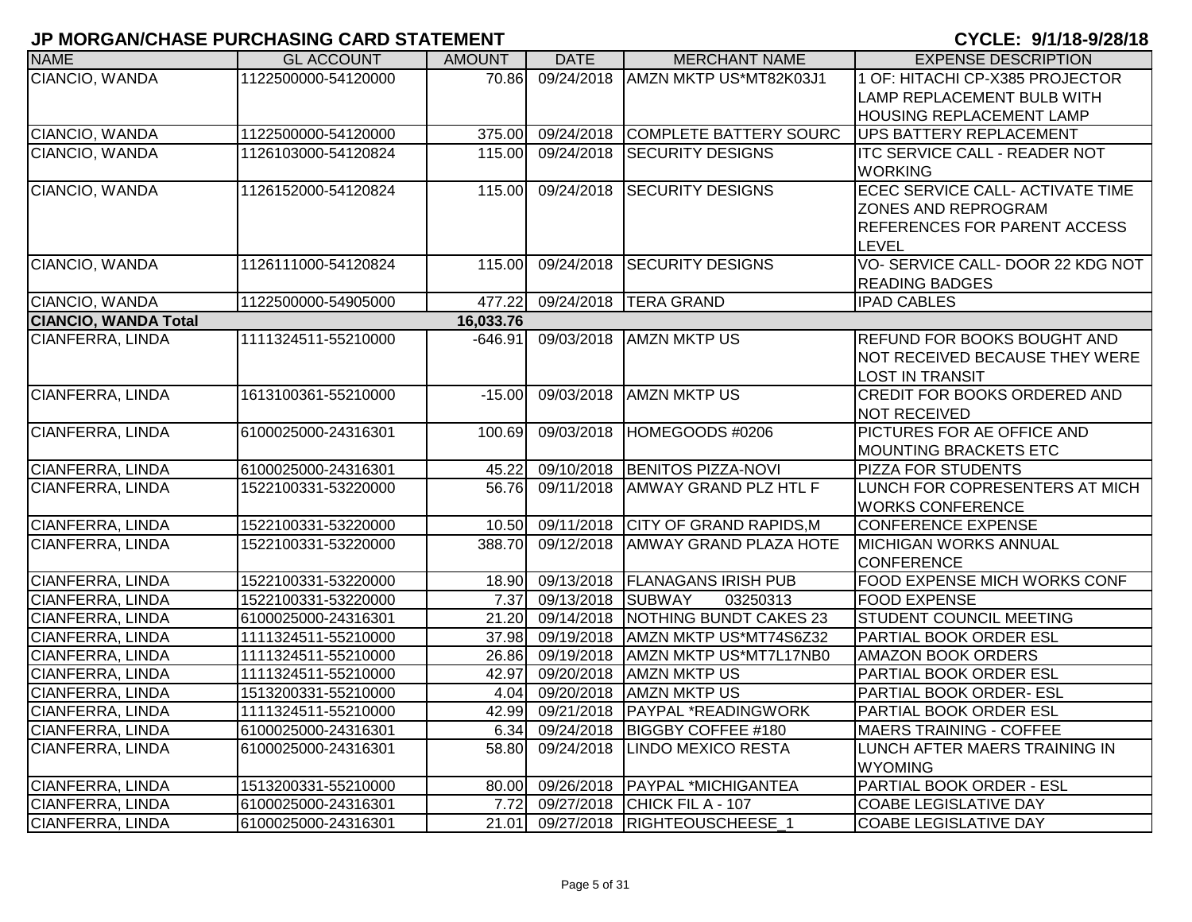| <b>NAME</b>                 | <b>GL ACCOUNT</b>   | <b>AMOUNT</b> | <b>DATE</b>            | <b>MERCHANT NAME</b>                     | <b>EXPENSE DESCRIPTION</b>           |
|-----------------------------|---------------------|---------------|------------------------|------------------------------------------|--------------------------------------|
| CIANCIO, WANDA              | 1122500000-54120000 | 70.86         | 09/24/2018             | AMZN MKTP US*MT82K03J1                   | 1 OF: HITACHI CP-X385 PROJECTOR      |
|                             |                     |               |                        |                                          | LAMP REPLACEMENT BULB WITH           |
|                             |                     |               |                        |                                          | <b>HOUSING REPLACEMENT LAMP</b>      |
| CIANCIO, WANDA              | 1122500000-54120000 | 375.00        |                        | 09/24/2018 COMPLETE BATTERY SOURC        | <b>UPS BATTERY REPLACEMENT</b>       |
| CIANCIO, WANDA              | 1126103000-54120824 | 115.00        | 09/24/2018             | <b>SECURITY DESIGNS</b>                  | <b>ITC SERVICE CALL - READER NOT</b> |
|                             |                     |               |                        |                                          | <b>IWORKING</b>                      |
| CIANCIO, WANDA              | 1126152000-54120824 | 115.00        | 09/24/2018             | <b>SECURITY DESIGNS</b>                  | ECEC SERVICE CALL- ACTIVATE TIME     |
|                             |                     |               |                        |                                          | <b>ZONES AND REPROGRAM</b>           |
|                             |                     |               |                        |                                          | <b>REFERENCES FOR PARENT ACCESS</b>  |
|                             |                     |               |                        |                                          | <b>LEVEL</b>                         |
| CIANCIO, WANDA              | 1126111000-54120824 | 115.00        |                        | 09/24/2018 SECURITY DESIGNS              | VO-SERVICE CALL-DOOR 22 KDG NOT      |
|                             |                     |               |                        |                                          | <b>READING BADGES</b>                |
| CIANCIO, WANDA              | 1122500000-54905000 | 477.22        | 09/24/2018             | <b>TERA GRAND</b>                        | <b>IPAD CABLES</b>                   |
| <b>CIANCIO, WANDA Total</b> |                     | 16,033.76     |                        |                                          |                                      |
| <b>CIANFERRA, LINDA</b>     | 1111324511-55210000 | $-646.91$     |                        | 09/03/2018 AMZN MKTP US                  | <b>REFUND FOR BOOKS BOUGHT AND</b>   |
|                             |                     |               |                        |                                          | NOT RECEIVED BECAUSE THEY WERE       |
|                             |                     |               |                        |                                          | LOST IN TRANSIT                      |
| <b>CIANFERRA, LINDA</b>     | 1613100361-55210000 | $-15.00$      |                        | 09/03/2018 AMZN MKTP US                  | <b>CREDIT FOR BOOKS ORDERED AND</b>  |
|                             |                     |               |                        |                                          | <b>NOT RECEIVED</b>                  |
| CIANFERRA, LINDA            | 6100025000-24316301 | 100.69        | 09/03/2018             | HOMEGOODS #0206                          | <b>PICTURES FOR AE OFFICE AND</b>    |
|                             |                     |               |                        |                                          | <b>MOUNTING BRACKETS ETC</b>         |
| <b>CIANFERRA, LINDA</b>     | 6100025000-24316301 | 45.22         |                        | 09/10/2018 BENITOS PIZZA-NOVI            | <b>PIZZA FOR STUDENTS</b>            |
| <b>CIANFERRA, LINDA</b>     | 1522100331-53220000 | 56.76         | 09/11/2018             | <b>AMWAY GRAND PLZ HTL F</b>             | LUNCH FOR COPRESENTERS AT MICH       |
|                             |                     |               |                        |                                          | <b>WORKS CONFERENCE</b>              |
| CIANFERRA, LINDA            | 1522100331-53220000 |               |                        | 10.50 09/11/2018 CITY OF GRAND RAPIDS, M | <b>CONFERENCE EXPENSE</b>            |
| CIANFERRA, LINDA            | 1522100331-53220000 | 388.70        | 09/12/2018             | <b>AMWAY GRAND PLAZA HOTE</b>            | <b>MICHIGAN WORKS ANNUAL</b>         |
|                             |                     |               |                        |                                          | <b>CONFERENCE</b>                    |
| CIANFERRA, LINDA            | 1522100331-53220000 |               |                        | 18.90 09/13/2018 FLANAGANS IRISH PUB     | <b>FOOD EXPENSE MICH WORKS CONF</b>  |
| CIANFERRA, LINDA            | 1522100331-53220000 |               | 7.37 09/13/2018 SUBWAY | 03250313                                 | <b>FOOD EXPENSE</b>                  |
| CIANFERRA, LINDA            | 6100025000-24316301 |               |                        | 21.20 09/14/2018 NOTHING BUNDT CAKES 23  | <b>STUDENT COUNCIL MEETING</b>       |
| CIANFERRA, LINDA            | 1111324511-55210000 |               |                        | 37.98 09/19/2018 AMZN MKTP US*MT74S6Z32  | PARTIAL BOOK ORDER ESL               |
| CIANFERRA, LINDA            | 1111324511-55210000 |               |                        | 26.86 09/19/2018 AMZN MKTP US*MT7L17NB0  | <b>AMAZON BOOK ORDERS</b>            |
| <b>CIANFERRA, LINDA</b>     | 1111324511-55210000 |               |                        | 42.97 09/20/2018 AMZN MKTP US            | <b>PARTIAL BOOK ORDER ESL</b>        |
| CIANFERRA, LINDA            | 1513200331-55210000 | 4.04          |                        | 09/20/2018 AMZN MKTP US                  | PARTIAL BOOK ORDER- ESL              |
| CIANFERRA, LINDA            | 1111324511-55210000 | 42.99         | 09/21/2018             | PAYPAL *READINGWORK                      | PARTIAL BOOK ORDER ESL               |
| CIANFERRA, LINDA            | 6100025000-24316301 | 6.34          | 09/24/2018             | BIGGBY COFFEE #180                       | <b>MAERS TRAINING - COFFEE</b>       |
| CIANFERRA, LINDA            | 6100025000-24316301 | 58.80         | 09/24/2018             | <b>LINDO MEXICO RESTA</b>                | LUNCH AFTER MAERS TRAINING IN        |
|                             |                     |               |                        |                                          | <b>WYOMING</b>                       |
| CIANFERRA, LINDA            | 1513200331-55210000 | 80.00         |                        | 09/26/2018 PAYPAL *MICHIGANTEA           | <b>PARTIAL BOOK ORDER - ESL</b>      |
| CIANFERRA, LINDA            | 6100025000-24316301 | 7.72          |                        | 09/27/2018 CHICK FIL A - 107             | <b>COABE LEGISLATIVE DAY</b>         |
| CIANFERRA, LINDA            | 6100025000-24316301 |               |                        | 21.01 09/27/2018 RIGHTEOUSCHEESE 1       | <b>COABE LEGISLATIVE DAY</b>         |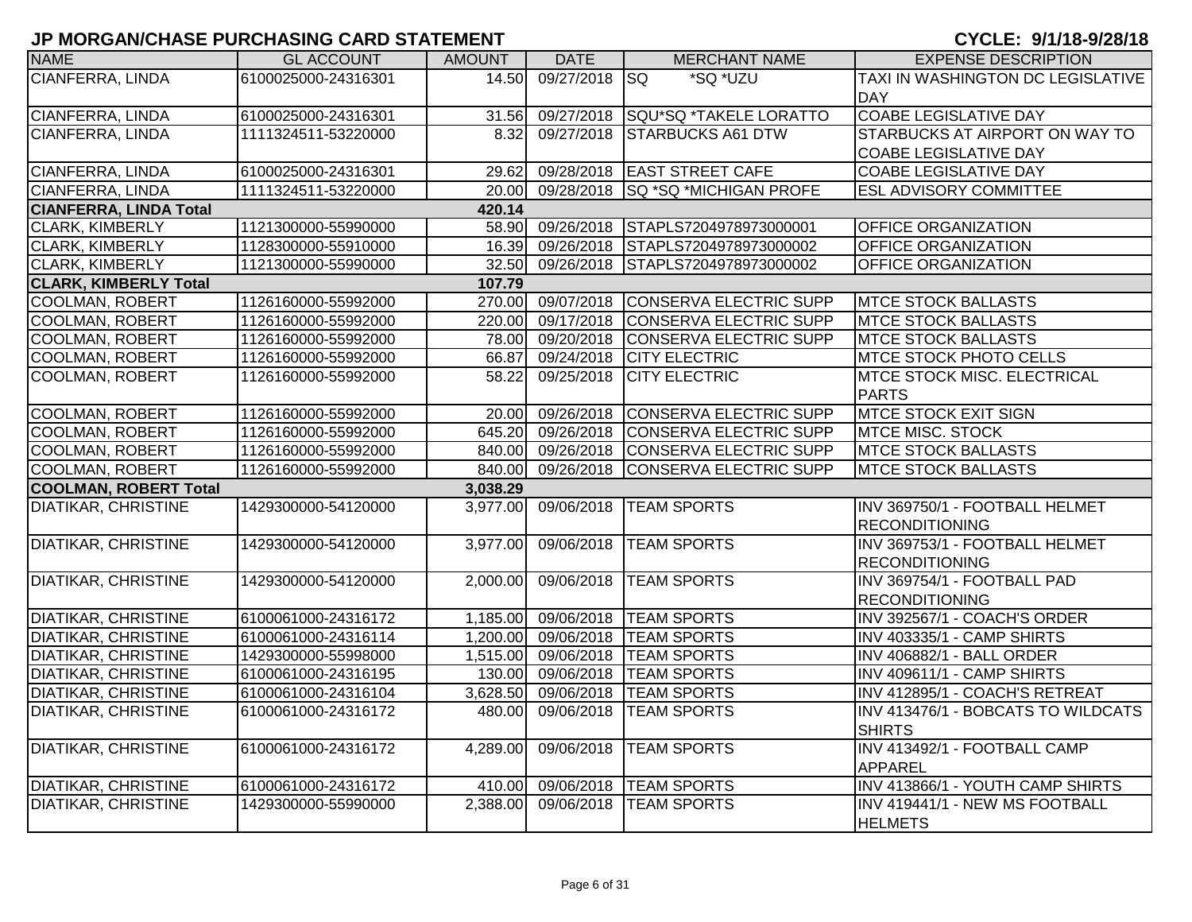| <b>NAME</b>                   | <b>GL ACCOUNT</b>   | <b>AMOUNT</b> | <b>DATE</b>       | <b>MERCHANT NAME</b>                     | <b>EXPENSE DESCRIPTION</b>         |
|-------------------------------|---------------------|---------------|-------------------|------------------------------------------|------------------------------------|
| CIANFERRA, LINDA              | 6100025000-24316301 | 14.50         | 09/27/2018 SQ     | *SQ *UZU                                 | TAXI IN WASHINGTON DC LEGISLATIVE  |
|                               |                     |               |                   |                                          | DAY                                |
| CIANFERRA, LINDA              | 6100025000-24316301 | 31.56         | 09/27/2018        | SQU*SQ *TAKELE LORATTO                   | <b>COABE LEGISLATIVE DAY</b>       |
| CIANFERRA, LINDA              | 1111324511-53220000 | 8.32          | 09/27/2018        | <b>STARBUCKS A61 DTW</b>                 | STARBUCKS AT AIRPORT ON WAY TO     |
|                               |                     |               |                   |                                          | <b>COABE LEGISLATIVE DAY</b>       |
| CIANFERRA, LINDA              | 6100025000-24316301 | 29.62         |                   | 09/28/2018 EAST STREET CAFE              | <b>COABE LEGISLATIVE DAY</b>       |
| <b>CIANFERRA, LINDA</b>       | 1111324511-53220000 |               |                   | 20.00 09/28/2018 SQ *SQ *MICHIGAN PROFE  | <b>ESL ADVISORY COMMITTEE</b>      |
| <b>CIANFERRA, LINDA Total</b> |                     | 420.14        |                   |                                          |                                    |
| <b>CLARK, KIMBERLY</b>        | 1121300000-55990000 |               |                   | 58.90 09/26/2018 STAPLS7204978973000001  | <b>OFFICE ORGANIZATION</b>         |
| <b>CLARK, KIMBERLY</b>        | 1128300000-55910000 | 16.39         |                   | 09/26/2018 STAPLS7204978973000002        | <b>OFFICE ORGANIZATION</b>         |
| <b>CLARK, KIMBERLY</b>        | 1121300000-55990000 |               |                   | 32.50 09/26/2018 STAPLS7204978973000002  | <b>OFFICE ORGANIZATION</b>         |
| <b>CLARK, KIMBERLY Total</b>  |                     | 107.79        |                   |                                          |                                    |
| COOLMAN, ROBERT               | 1126160000-55992000 |               |                   | 270.00 09/07/2018 CONSERVA ELECTRIC SUPP | <b>IMTCE STOCK BALLASTS</b>        |
| <b>COOLMAN, ROBERT</b>        | 1126160000-55992000 |               |                   | 220.00 09/17/2018 CONSERVA ELECTRIC SUPP | <b>MTCE STOCK BALLASTS</b>         |
| <b>COOLMAN, ROBERT</b>        | 1126160000-55992000 |               |                   | 78.00 09/20/2018 CONSERVA ELECTRIC SUPP  | <b>MTCE STOCK BALLASTS</b>         |
| <b>COOLMAN, ROBERT</b>        | 1126160000-55992000 | 66.87         |                   | 09/24/2018 CITY ELECTRIC                 | <b>MTCE STOCK PHOTO CELLS</b>      |
| <b>COOLMAN, ROBERT</b>        | 1126160000-55992000 | 58.22         | 09/25/2018        | <b>CITY ELECTRIC</b>                     | <b>MTCE STOCK MISC. ELECTRICAL</b> |
|                               |                     |               |                   |                                          | PARTS                              |
| <b>COOLMAN, ROBERT</b>        | 1126160000-55992000 |               |                   | 20.00 09/26/2018 CONSERVA ELECTRIC SUPP  | <b>MTCE STOCK EXIT SIGN</b>        |
| <b>COOLMAN, ROBERT</b>        | 1126160000-55992000 |               | 645.20 09/26/2018 | <b>CONSERVA ELECTRIC SUPP</b>            | <b>MTCE MISC. STOCK</b>            |
| <b>COOLMAN, ROBERT</b>        | 1126160000-55992000 |               |                   | 840.00 09/26/2018 CONSERVA ELECTRIC SUPP | <b>MTCE STOCK BALLASTS</b>         |
| <b>COOLMAN, ROBERT</b>        | 1126160000-55992000 |               | 840.00 09/26/2018 | CONSERVA ELECTRIC SUPP                   | <b>MTCE STOCK BALLASTS</b>         |
| <b>COOLMAN, ROBERT Total</b>  |                     | 3,038.29      |                   |                                          |                                    |
| <b>DIATIKAR, CHRISTINE</b>    | 1429300000-54120000 |               |                   | 3,977.00 09/06/2018 TEAM SPORTS          | INV 369750/1 - FOOTBALL HELMET     |
|                               |                     |               |                   |                                          | <b>RECONDITIONING</b>              |
| <b>DIATIKAR, CHRISTINE</b>    | 1429300000-54120000 | 3,977.00      |                   | 09/06/2018 TEAM SPORTS                   | INV 369753/1 - FOOTBALL HELMET     |
|                               |                     |               |                   |                                          | <b>RECONDITIONING</b>              |
| <b>DIATIKAR, CHRISTINE</b>    | 1429300000-54120000 | 2,000.00      |                   | 09/06/2018 TEAM SPORTS                   | INV 369754/1 - FOOTBALL PAD        |
|                               |                     |               |                   |                                          | <b>RECONDITIONING</b>              |
| <b>DIATIKAR, CHRISTINE</b>    | 6100061000-24316172 |               |                   | 1,185.00 09/06/2018  TEAM SPORTS         | INV 392567/1 - COACH'S ORDER       |
| <b>DIATIKAR, CHRISTINE</b>    | 6100061000-24316114 |               |                   | 1,200.00 09/06/2018  TEAM SPORTS         | INV 403335/1 - CAMP SHIRTS         |
| <b>DIATIKAR, CHRISTINE</b>    | 1429300000-55998000 |               |                   | 1,515.00 09/06/2018  TEAM SPORTS         | INV 406882/1 - BALL ORDER          |
| <b>DIATIKAR, CHRISTINE</b>    | 6100061000-24316195 |               |                   | 130.00 09/06/2018 TEAM SPORTS            | INV 409611/1 - CAMP SHIRTS         |
| <b>DIATIKAR, CHRISTINE</b>    | 6100061000-24316104 | 3,628.50      |                   | 09/06/2018 TEAM SPORTS                   | INV 412895/1 - COACH'S RETREAT     |
| <b>DIATIKAR, CHRISTINE</b>    | 6100061000-24316172 | 480.00        | 09/06/2018        | <b>TEAM SPORTS</b>                       | INV 413476/1 - BOBCATS TO WILDCATS |
|                               |                     |               |                   |                                          | <b>SHIRTS</b>                      |
| <b>DIATIKAR, CHRISTINE</b>    | 6100061000-24316172 | 4,289.00      |                   | 09/06/2018  TEAM SPORTS                  | INV 413492/1 - FOOTBALL CAMP       |
|                               |                     |               |                   |                                          | APPAREL                            |
| <b>DIATIKAR, CHRISTINE</b>    | 6100061000-24316172 |               |                   | 410.00 09/06/2018 TEAM SPORTS            | INV 413866/1 - YOUTH CAMP SHIRTS   |
| <b>DIATIKAR, CHRISTINE</b>    | 1429300000-55990000 | 2,388.00      | 09/06/2018        | <b>TEAM SPORTS</b>                       | INV 419441/1 - NEW MS FOOTBALL     |
|                               |                     |               |                   |                                          | <b>HELMETS</b>                     |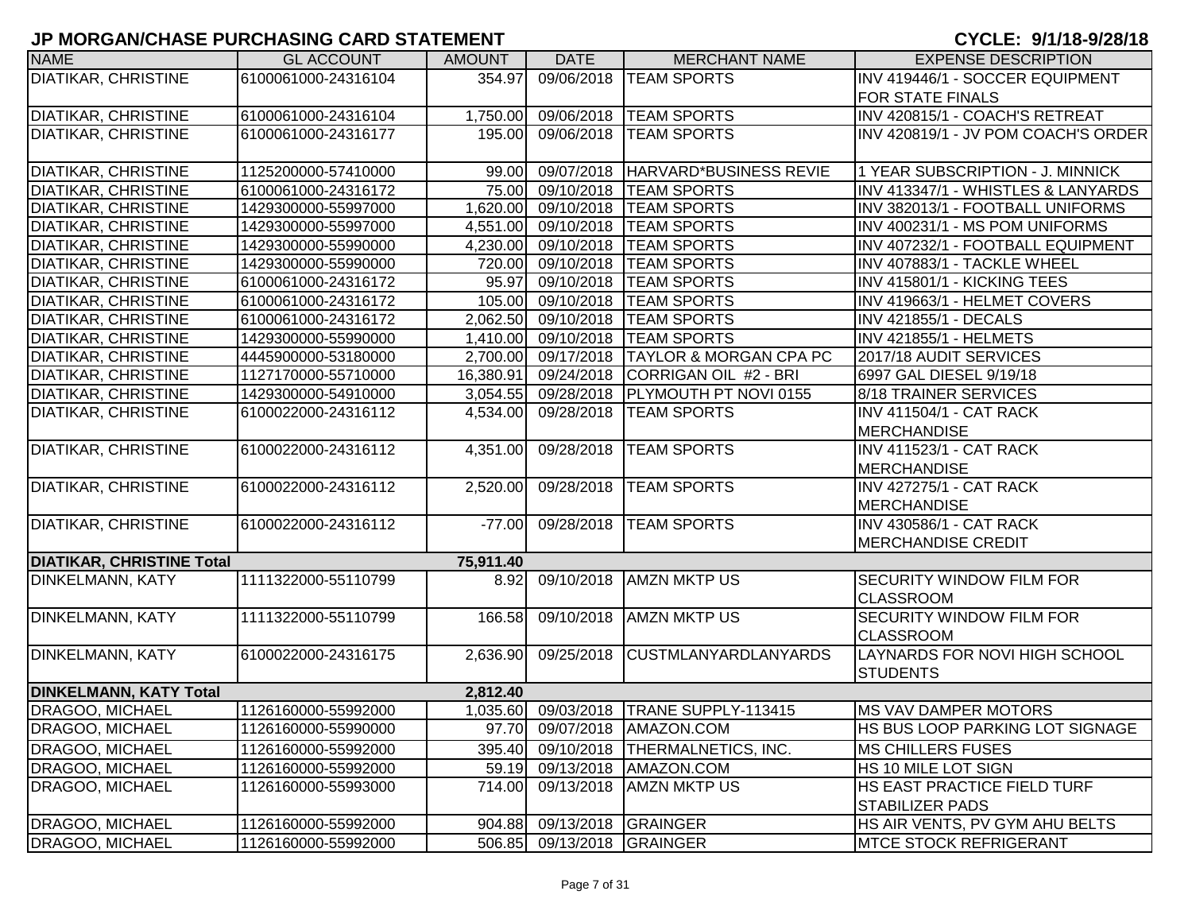| <b>NAME</b>                      | <b>GL ACCOUNT</b>   | <b>AMOUNT</b> | <b>DATE</b>                | <b>MERCHANT NAME</b>              | <b>EXPENSE DESCRIPTION</b>           |
|----------------------------------|---------------------|---------------|----------------------------|-----------------------------------|--------------------------------------|
| <b>DIATIKAR, CHRISTINE</b>       | 6100061000-24316104 | 354.97        | 09/06/2018                 | <b>TEAM SPORTS</b>                | INV 419446/1 - SOCCER EQUIPMENT      |
|                                  |                     |               |                            |                                   | FOR STATE FINALS                     |
| <b>DIATIKAR, CHRISTINE</b>       | 6100061000-24316104 | 1,750.00      | 09/06/2018                 | <b>TEAM SPORTS</b>                | INV 420815/1 - COACH'S RETREAT       |
| <b>DIATIKAR, CHRISTINE</b>       | 6100061000-24316177 | 195.00        | 09/06/2018                 | <b>TEAM SPORTS</b>                | INV 420819/1 - JV POM COACH'S ORDER  |
| <b>DIATIKAR, CHRISTINE</b>       | 1125200000-57410000 | 99.00         | 09/07/2018                 | HARVARD*BUSINESS REVIE            | 1 YEAR SUBSCRIPTION - J. MINNICK     |
| <b>DIATIKAR, CHRISTINE</b>       | 6100061000-24316172 |               | 75.00 09/10/2018           | <b>TEAM SPORTS</b>                | INV 413347/1 - WHISTLES & LANYARDS   |
| <b>DIATIKAR, CHRISTINE</b>       | 1429300000-55997000 | 1,620.00      | 09/10/2018                 | <b>TEAM SPORTS</b>                | INV 382013/1 - FOOTBALL UNIFORMS     |
| <b>DIATIKAR, CHRISTINE</b>       | 1429300000-55997000 | 4,551.00      | 09/10/2018                 | <b>TEAM SPORTS</b>                | INV 400231/1 - MS POM UNIFORMS       |
| <b>DIATIKAR, CHRISTINE</b>       | 1429300000-55990000 | 4,230.00      | 09/10/2018                 | <b>TEAM SPORTS</b>                | INV 407232/1 - FOOTBALL EQUIPMENT    |
| <b>DIATIKAR, CHRISTINE</b>       | 1429300000-55990000 | 720.00        | 09/10/2018                 | <b>TEAM SPORTS</b>                | INV 407883/1 - TACKLE WHEEL          |
| <b>DIATIKAR, CHRISTINE</b>       | 6100061000-24316172 | 95.97         | 09/10/2018                 | <b>TEAM SPORTS</b>                | INV 415801/1 - KICKING TEES          |
| <b>DIATIKAR, CHRISTINE</b>       | 6100061000-24316172 | 105.00        | 09/10/2018                 | <b>TEAM SPORTS</b>                | INV 419663/1 - HELMET COVERS         |
| <b>DIATIKAR, CHRISTINE</b>       | 6100061000-24316172 | 2,062.50      | 09/10/2018                 | <b>TEAM SPORTS</b>                | INV 421855/1 - DECALS                |
| <b>DIATIKAR, CHRISTINE</b>       | 1429300000-55990000 | 1,410.00      | 09/10/2018                 | <b>TEAM SPORTS</b>                | <b>INV 421855/1 - HELMETS</b>        |
| <b>DIATIKAR, CHRISTINE</b>       | 4445900000-53180000 | 2,700.00      | 09/17/2018                 | <b>TAYLOR &amp; MORGAN CPA PC</b> | 2017/18 AUDIT SERVICES               |
| <b>DIATIKAR, CHRISTINE</b>       | 1127170000-55710000 | 16,380.91     | 09/24/2018                 | CORRIGAN OIL #2 - BRI             | 6997 GAL DIESEL 9/19/18              |
| <b>DIATIKAR, CHRISTINE</b>       | 1429300000-54910000 | 3,054.55      | 09/28/2018                 | PLYMOUTH PT NOVI 0155             | 8/18 TRAINER SERVICES                |
| <b>DIATIKAR, CHRISTINE</b>       | 6100022000-24316112 | 4,534.00      | 09/28/2018                 | <b>TEAM SPORTS</b>                | <b>INV 411504/1 - CAT RACK</b>       |
|                                  |                     |               |                            |                                   | MERCHANDISE                          |
| <b>DIATIKAR, CHRISTINE</b>       | 6100022000-24316112 | 4,351.00      | 09/28/2018                 | <b>TEAM SPORTS</b>                | <b>INV 411523/1 - CAT RACK</b>       |
|                                  |                     |               |                            |                                   | MERCHANDISE                          |
| <b>DIATIKAR, CHRISTINE</b>       | 6100022000-24316112 | 2,520.00      | 09/28/2018                 | <b>TEAM SPORTS</b>                | <b>INV 427275/1 - CAT RACK</b>       |
|                                  |                     |               |                            |                                   | MERCHANDISE                          |
| <b>DIATIKAR, CHRISTINE</b>       | 6100022000-24316112 | $-77.00$      | 09/28/2018                 | <b>TEAM SPORTS</b>                | <b>INV 430586/1 - CAT RACK</b>       |
|                                  |                     |               |                            |                                   | <b>MERCHANDISE CREDIT</b>            |
| <b>DIATIKAR, CHRISTINE Total</b> |                     | 75,911.40     |                            |                                   |                                      |
| <b>DINKELMANN, KATY</b>          | 1111322000-55110799 | 8.92          | 09/10/2018                 | <b>AMZN MKTP US</b>               | <b>SECURITY WINDOW FILM FOR</b>      |
|                                  |                     |               |                            |                                   | <b>CLASSROOM</b>                     |
| <b>DINKELMANN, KATY</b>          | 1111322000-55110799 | 166.58        | 09/10/2018                 | <b>AMZN MKTP US</b>               | <b>SECURITY WINDOW FILM FOR</b>      |
|                                  |                     |               |                            |                                   | <b>CLASSROOM</b>                     |
| <b>DINKELMANN, KATY</b>          | 6100022000-24316175 | 2,636.90      | 09/25/2018                 | <b>CUSTMLANYARDLANYARDS</b>       | <b>LAYNARDS FOR NOVI HIGH SCHOOL</b> |
|                                  |                     |               |                            |                                   | <b>STUDENTS</b>                      |
| <b>DINKELMANN, KATY Total</b>    |                     | 2,812.40      |                            |                                   |                                      |
| <b>DRAGOO, MICHAEL</b>           | 1126160000-55992000 | 1,035.60      |                            | 09/03/2018   TRANE SUPPLY-113415  | <b>MS VAV DAMPER MOTORS</b>          |
| DRAGOO, MICHAEL                  | 1126160000-55990000 |               |                            | 97.70 09/07/2018 AMAZON.COM       | HS BUS LOOP PARKING LOT SIGNAGE      |
| DRAGOO, MICHAEL                  | 1126160000-55992000 | 395.40        | 09/10/2018                 | <b>THERMALNETICS, INC.</b>        | <b>MS CHILLERS FUSES</b>             |
| <b>DRAGOO, MICHAEL</b>           | 1126160000-55992000 | 59.19         | 09/13/2018                 | AMAZON.COM                        | HS 10 MILE LOT SIGN                  |
| DRAGOO, MICHAEL                  | 1126160000-55993000 | 714.00        | 09/13/2018                 | <b>AMZN MKTP US</b>               | HS EAST PRACTICE FIELD TURF          |
|                                  |                     |               |                            |                                   | <b>STABILIZER PADS</b>               |
| DRAGOO, MICHAEL                  | 1126160000-55992000 | 904.88        | 09/13/2018                 | <b>GRAINGER</b>                   | HS AIR VENTS, PV GYM AHU BELTS       |
| DRAGOO, MICHAEL                  | 1126160000-55992000 |               | 506.85 09/13/2018 GRAINGER |                                   | <b>IMTCE STOCK REFRIGERANT</b>       |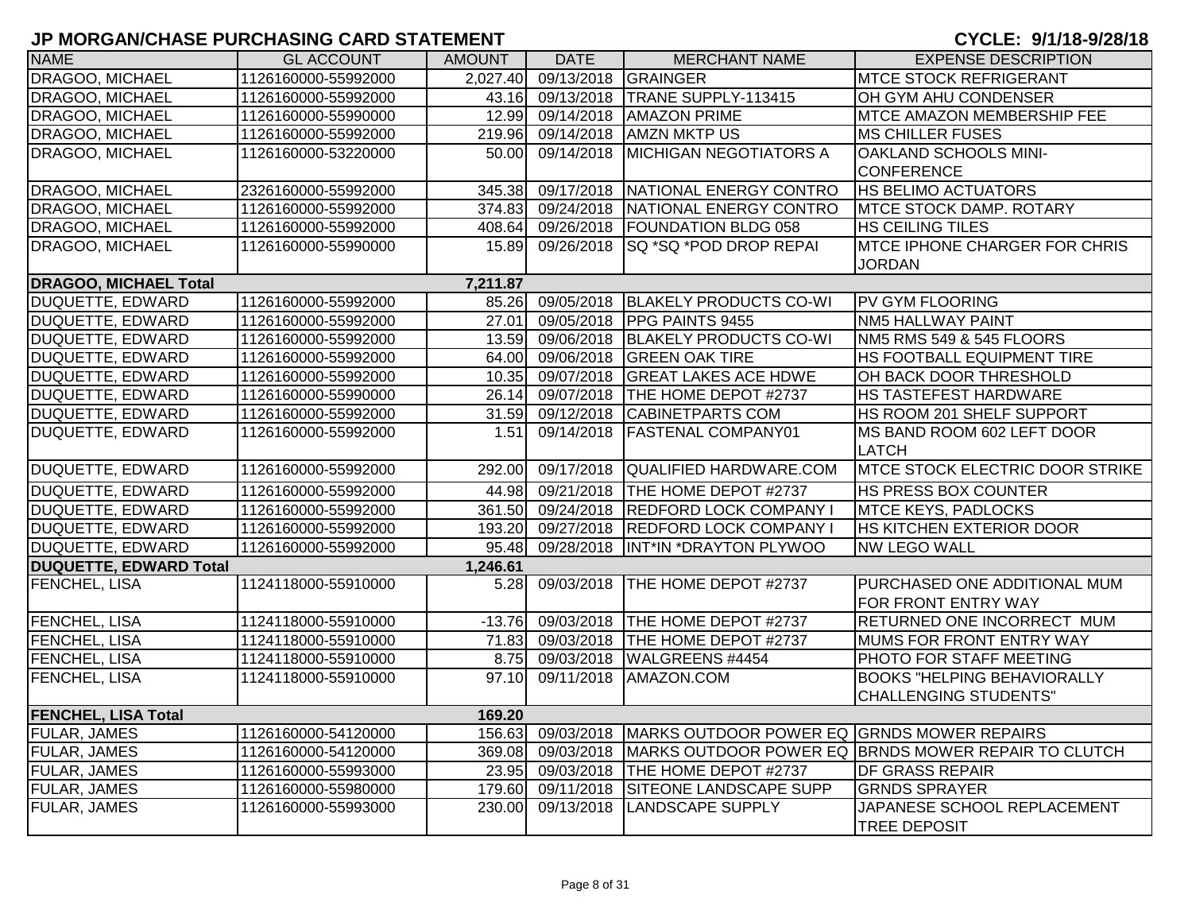| <b>NAME</b>                  | <b>GL ACCOUNT</b>   | <b>AMOUNT</b> | <b>DATE</b>                  | <b>MERCHANT NAME</b>                                  | <b>EXPENSE DESCRIPTION</b>                                     |
|------------------------------|---------------------|---------------|------------------------------|-------------------------------------------------------|----------------------------------------------------------------|
| DRAGOO, MICHAEL              | 1126160000-55992000 |               | 2,027.40 09/13/2018 GRAINGER |                                                       | <b>MTCE STOCK REFRIGERANT</b>                                  |
| <b>DRAGOO, MICHAEL</b>       | 1126160000-55992000 |               |                              | 43.16 09/13/2018 TRANE SUPPLY-113415                  | OH GYM AHU CONDENSER                                           |
| DRAGOO, MICHAEL              | 1126160000-55990000 | 12.99         | 09/14/2018                   | <b>AMAZON PRIME</b>                                   | <b>MTCE AMAZON MEMBERSHIP FEE</b>                              |
| DRAGOO, MICHAEL              | 1126160000-55992000 | 219.96        | 09/14/2018                   | <b>AMZN MKTP US</b>                                   | <b>MS CHILLER FUSES</b>                                        |
| DRAGOO, MICHAEL              | 1126160000-53220000 | 50.00         | 09/14/2018                   | <b>MICHIGAN NEGOTIATORS A</b>                         | OAKLAND SCHOOLS MINI-                                          |
|                              |                     |               |                              |                                                       | <b>CONFERENCE</b>                                              |
| DRAGOO, MICHAEL              | 2326160000-55992000 | 345.38        | 09/17/2018                   | NATIONAL ENERGY CONTRO                                | <b>HS BELIMO ACTUATORS</b>                                     |
| <b>DRAGOO, MICHAEL</b>       | 1126160000-55992000 | 374.83        |                              | 09/24/2018 NATIONAL ENERGY CONTRO                     | <b>MTCE STOCK DAMP. ROTARY</b>                                 |
| DRAGOO, MICHAEL              | 1126160000-55992000 | 408.64        |                              | 09/26/2018   FOUNDATION BLDG 058                      | <b>HS CEILING TILES</b>                                        |
| DRAGOO, MICHAEL              | 1126160000-55990000 | 15.89         | 09/26/2018                   | <b>SQ *SQ *POD DROP REPAI</b>                         | <b>MTCE IPHONE CHARGER FOR CHRIS</b>                           |
|                              |                     |               |                              |                                                       | <b>JORDAN</b>                                                  |
| <b>DRAGOO, MICHAEL Total</b> |                     | 7,211.87      |                              |                                                       |                                                                |
| DUQUETTE, EDWARD             | 1126160000-55992000 |               |                              | 85.26 09/05/2018 BLAKELY PRODUCTS CO-WI               | <b>PV GYM FLOORING</b>                                         |
| DUQUETTE, EDWARD             | 1126160000-55992000 | 27.01         |                              | 09/05/2018 PPG PAINTS 9455                            | NM5 HALLWAY PAINT                                              |
| <b>DUQUETTE, EDWARD</b>      | 1126160000-55992000 |               |                              | 13.59 09/06/2018 BLAKELY PRODUCTS CO-WI               | NM5 RMS 549 & 545 FLOORS                                       |
| DUQUETTE, EDWARD             | 1126160000-55992000 |               |                              | 64.00 09/06/2018 GREEN OAK TIRE                       | HS FOOTBALL EQUIPMENT TIRE                                     |
| DUQUETTE, EDWARD             | 1126160000-55992000 | 10.35         |                              | 09/07/2018 GREAT LAKES ACE HDWE                       | OH BACK DOOR THRESHOLD                                         |
| DUQUETTE, EDWARD             | 1126160000-55990000 |               |                              | 26.14 09/07/2018 THE HOME DEPOT #2737                 | HS TASTEFEST HARDWARE                                          |
| <b>DUQUETTE, EDWARD</b>      | 1126160000-55992000 |               |                              | 31.59 09/12/2018 CABINETPARTS COM                     | HS ROOM 201 SHELF SUPPORT                                      |
| DUQUETTE, EDWARD             | 1126160000-55992000 | 1.51          | 09/14/2018                   | <b>FASTENAL COMPANY01</b>                             | MS BAND ROOM 602 LEFT DOOR                                     |
|                              |                     |               |                              |                                                       | <b>LATCH</b>                                                   |
| DUQUETTE, EDWARD             | 1126160000-55992000 | 292.00        | 09/17/2018                   | QUALIFIED HARDWARE.COM                                | <b>IMTCE STOCK ELECTRIC DOOR STRIKE</b>                        |
| DUQUETTE, EDWARD             | 1126160000-55992000 | 44.98         | 09/21/2018                   | THE HOME DEPOT #2737                                  | HS PRESS BOX COUNTER                                           |
| DUQUETTE, EDWARD             | 1126160000-55992000 |               |                              | 361.50 09/24/2018 REDFORD LOCK COMPANY I              | MTCE KEYS, PADLOCKS                                            |
| <b>DUQUETTE, EDWARD</b>      | 1126160000-55992000 |               |                              | 193.20 09/27/2018 REDFORD LOCK COMPANY I              | HS KITCHEN EXTERIOR DOOR                                       |
| DUQUETTE, EDWARD             | 1126160000-55992000 | 95.48         | 09/28/2018                   | INT*IN *DRAYTON PLYWOO                                | <b>NW LEGO WALL</b>                                            |
| DUQUETTE, EDWARD Total       |                     | 1,246.61      |                              |                                                       |                                                                |
| FENCHEL, LISA                | 1124118000-55910000 | 5.28          | 09/03/2018                   | THE HOME DEPOT #2737                                  | PURCHASED ONE ADDITIONAL MUM                                   |
|                              |                     |               |                              |                                                       | FOR FRONT ENTRY WAY                                            |
| FENCHEL, LISA                | 1124118000-55910000 | $-13.76$      |                              | 09/03/2018   THE HOME DEPOT #2737                     | RETURNED ONE INCORRECT MUM                                     |
| FENCHEL, LISA                | 1124118000-55910000 |               |                              | 71.83 09/03/2018 THE HOME DEPOT #2737                 | MUMS FOR FRONT ENTRY WAY                                       |
| FENCHEL, LISA                | 1124118000-55910000 |               |                              | 8.75 09/03/2018 WALGREENS #4454                       | PHOTO FOR STAFF MEETING                                        |
| FENCHEL, LISA                | 1124118000-55910000 | 97.10         | 09/11/2018                   | AMAZON.COM                                            | <b>BOOKS "HELPING BEHAVIORALLY</b>                             |
|                              |                     |               |                              |                                                       | CHALLENGING STUDENTS"                                          |
| <b>FENCHEL, LISA Total</b>   |                     | 169.20        |                              |                                                       |                                                                |
| <b>FULAR, JAMES</b>          | 1126160000-54120000 | 156.63        |                              | 09/03/2018 MARKS OUTDOOR POWER EQ GRNDS MOWER REPAIRS |                                                                |
| <b>FULAR, JAMES</b>          | 1126160000-54120000 | 369.08        |                              |                                                       | 09/03/2018 MARKS OUTDOOR POWER EQ BRNDS MOWER REPAIR TO CLUTCH |
| <b>FULAR, JAMES</b>          | 1126160000-55993000 | 23.95         |                              | 09/03/2018 THE HOME DEPOT #2737                       | <b>DF GRASS REPAIR</b>                                         |
| <b>FULAR, JAMES</b>          | 1126160000-55980000 | 179.60        | 09/11/2018                   | <b>SITEONE LANDSCAPE SUPP</b>                         | <b>GRNDS SPRAYER</b>                                           |
| FULAR, JAMES                 | 1126160000-55993000 | 230.00        | 09/13/2018                   | <b>LANDSCAPE SUPPLY</b>                               | JAPANESE SCHOOL REPLACEMENT                                    |
|                              |                     |               |                              |                                                       | <b>TREE DEPOSIT</b>                                            |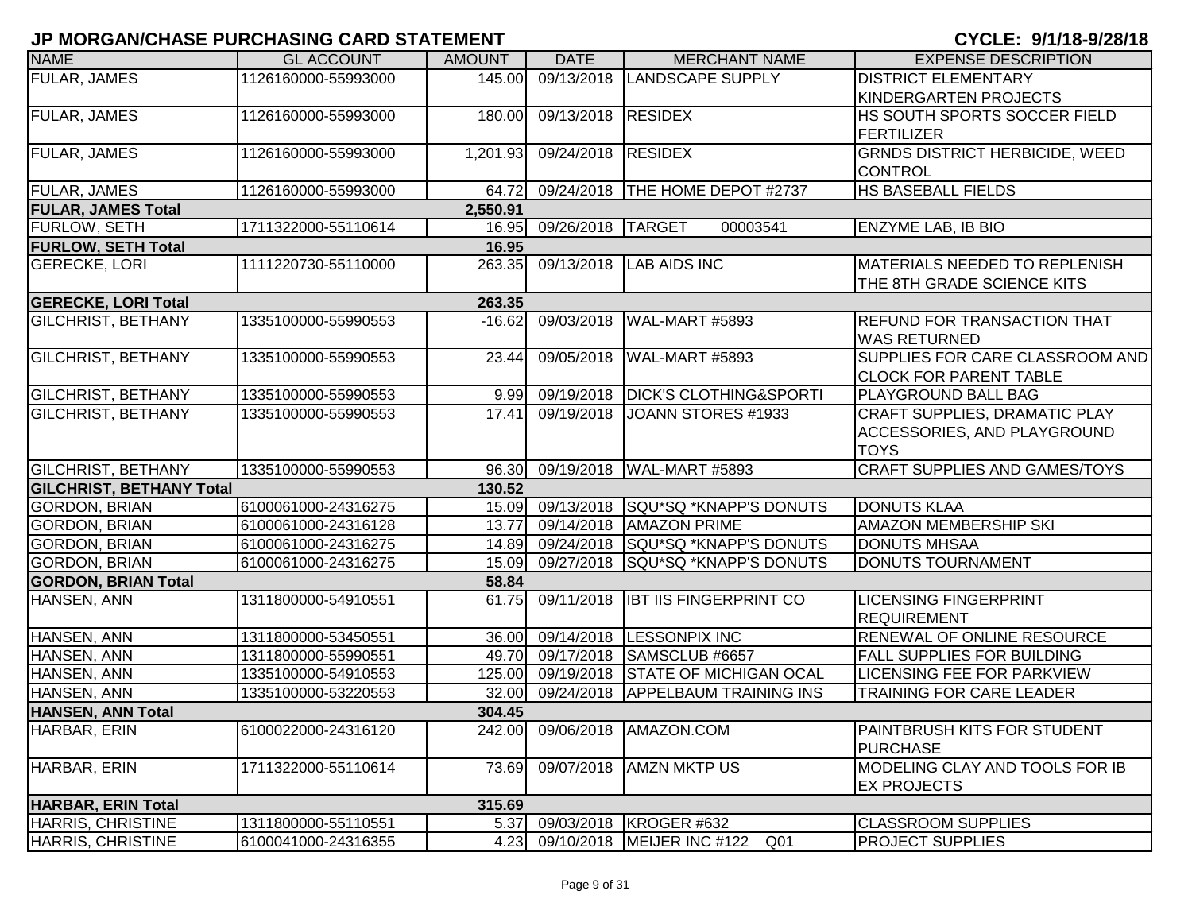| <b>NAME</b>                     | <b>GL ACCOUNT</b>   | <b>AMOUNT</b> | <b>DATE</b>       | <b>MERCHANT NAME</b>                    | <b>EXPENSE DESCRIPTION</b>                            |
|---------------------------------|---------------------|---------------|-------------------|-----------------------------------------|-------------------------------------------------------|
| FULAR, JAMES                    | 1126160000-55993000 | 145.00        | 09/13/2018        | <b>LANDSCAPE SUPPLY</b>                 | <b>DISTRICT ELEMENTARY</b>                            |
|                                 |                     |               |                   |                                         | KINDERGARTEN PROJECTS                                 |
| <b>FULAR, JAMES</b>             | 1126160000-55993000 | 180.00        | 09/13/2018        | <b>RESIDEX</b>                          | HS SOUTH SPORTS SOCCER FIELD                          |
|                                 |                     |               |                   |                                         | <b>FERTILIZER</b>                                     |
| <b>FULAR, JAMES</b>             | 1126160000-55993000 | 1,201.93      | 09/24/2018        | <b>RESIDEX</b>                          | <b>GRNDS DISTRICT HERBICIDE, WEED</b>                 |
|                                 |                     |               |                   |                                         | <b>CONTROL</b>                                        |
| FULAR, JAMES                    | 1126160000-55993000 | 64.72         |                   | 09/24/2018   THE HOME DEPOT #2737       | HS BASEBALL FIELDS                                    |
| <b>FULAR, JAMES Total</b>       |                     | 2,550.91      |                   |                                         |                                                       |
| <b>FURLOW, SETH</b>             | 1711322000-55110614 | 16.95         | 09/26/2018 TARGET | 00003541                                | <b>ENZYME LAB, IB BIO</b>                             |
| <b>FURLOW, SETH Total</b>       |                     | 16.95         |                   |                                         |                                                       |
| <b>GERECKE, LORI</b>            | 1111220730-55110000 | 263.35        | 09/13/2018        | <b>LAB AIDS INC</b>                     | MATERIALS NEEDED TO REPLENISH                         |
|                                 |                     |               |                   |                                         | THE 8TH GRADE SCIENCE KITS                            |
| <b>GERECKE, LORI Total</b>      |                     | 263.35        |                   |                                         |                                                       |
| <b>GILCHRIST, BETHANY</b>       | 1335100000-55990553 | $-16.62$      | 09/03/2018        | WAL-MART #5893                          | <b>REFUND FOR TRANSACTION THAT</b>                    |
|                                 |                     |               |                   |                                         | <b>WAS RETURNED</b>                                   |
| <b>GILCHRIST, BETHANY</b>       | 1335100000-55990553 | 23.44         | 09/05/2018        | WAL-MART #5893                          | SUPPLIES FOR CARE CLASSROOM AND                       |
|                                 |                     |               |                   |                                         | <b>CLOCK FOR PARENT TABLE</b>                         |
| <b>GILCHRIST, BETHANY</b>       | 1335100000-55990553 | 9.99          | 09/19/2018        | <b>DICK'S CLOTHING&amp;SPORTI</b>       | <b>PLAYGROUND BALL BAG</b>                            |
| <b>GILCHRIST, BETHANY</b>       | 1335100000-55990553 | 17.41         | 09/19/2018        | JOANN STORES #1933                      | <b>CRAFT SUPPLIES, DRAMATIC PLAY</b>                  |
|                                 |                     |               |                   |                                         | <b>ACCESSORIES, AND PLAYGROUND</b>                    |
|                                 |                     |               |                   |                                         | <b>TOYS</b>                                           |
| <b>GILCHRIST, BETHANY</b>       | 1335100000-55990553 | 96.30         |                   | 09/19/2018   WAL-MART #5893             | <b>CRAFT SUPPLIES AND GAMES/TOYS</b>                  |
| <b>GILCHRIST, BETHANY Total</b> |                     | 130.52        |                   |                                         |                                                       |
| <b>GORDON, BRIAN</b>            | 6100061000-24316275 |               |                   | 15.09 09/13/2018 SQU*SQ *KNAPP'S DONUTS | <b>DONUTS KLAA</b>                                    |
| <b>GORDON, BRIAN</b>            | 6100061000-24316128 | 13.77         |                   | 09/14/2018   AMAZON PRIME               | <b>AMAZON MEMBERSHIP SKI</b>                          |
| <b>GORDON, BRIAN</b>            | 6100061000-24316275 |               |                   | 14.89 09/24/2018 SQU*SQ *KNAPP'S DONUTS | <b>DONUTS MHSAA</b>                                   |
| <b>GORDON, BRIAN</b>            | 6100061000-24316275 | 15.09         | 09/27/2018        | SQU*SQ *KNAPP'S DONUTS                  | DONUTS TOURNAMENT                                     |
| <b>GORDON, BRIAN Total</b>      |                     | 58.84         |                   |                                         |                                                       |
| HANSEN, ANN                     | 1311800000-54910551 | 61.75         | 09/11/2018        | <b>IBT IIS FINGERPRINT CO</b>           | <b>LICENSING FINGERPRINT</b>                          |
|                                 |                     |               |                   |                                         | <b>REQUIREMENT</b>                                    |
| HANSEN, ANN                     | 1311800000-53450551 | 36.00         | 09/14/2018        | <b>LESSONPIX INC</b>                    | <b>RENEWAL OF ONLINE RESOURCE</b>                     |
| HANSEN, ANN                     | 1311800000-55990551 | 49.70         | 09/17/2018        | SAMSCLUB #6657                          | <b>FALL SUPPLIES FOR BUILDING</b>                     |
| HANSEN, ANN                     | 1335100000-54910553 | 125.00        |                   | 09/19/2018 STATE OF MICHIGAN OCAL       | <b>LICENSING FEE FOR PARKVIEW</b>                     |
| HANSEN, ANN                     | 1335100000-53220553 | 32.00         | 09/24/2018        | <b>APPELBAUM TRAINING INS</b>           | <b>TRAINING FOR CARE LEADER</b>                       |
| <b>HANSEN, ANN Total</b>        |                     | 304.45        |                   |                                         |                                                       |
| HARBAR, ERIN                    | 6100022000-24316120 | 242.00        |                   | 09/06/2018   AMAZON.COM                 | <b>PAINTBRUSH KITS FOR STUDENT</b><br><b>PURCHASE</b> |
| HARBAR, ERIN                    | 1711322000-55110614 | 73.69         | 09/07/2018        | <b>AMZN MKTP US</b>                     | MODELING CLAY AND TOOLS FOR IB                        |
|                                 |                     |               |                   |                                         | <b>EX PROJECTS</b>                                    |
| HARBAR, ERIN Total              |                     | 315.69        |                   |                                         |                                                       |
| HARRIS, CHRISTINE               | 1311800000-55110551 | 5.37          |                   | 09/03/2018   KROGER #632                | <b>CLASSROOM SUPPLIES</b>                             |
| HARRIS, CHRISTINE               | 6100041000-24316355 |               |                   | 4.23 09/10/2018 MEIJER INC #122 Q01     | <b>PROJECT SUPPLIES</b>                               |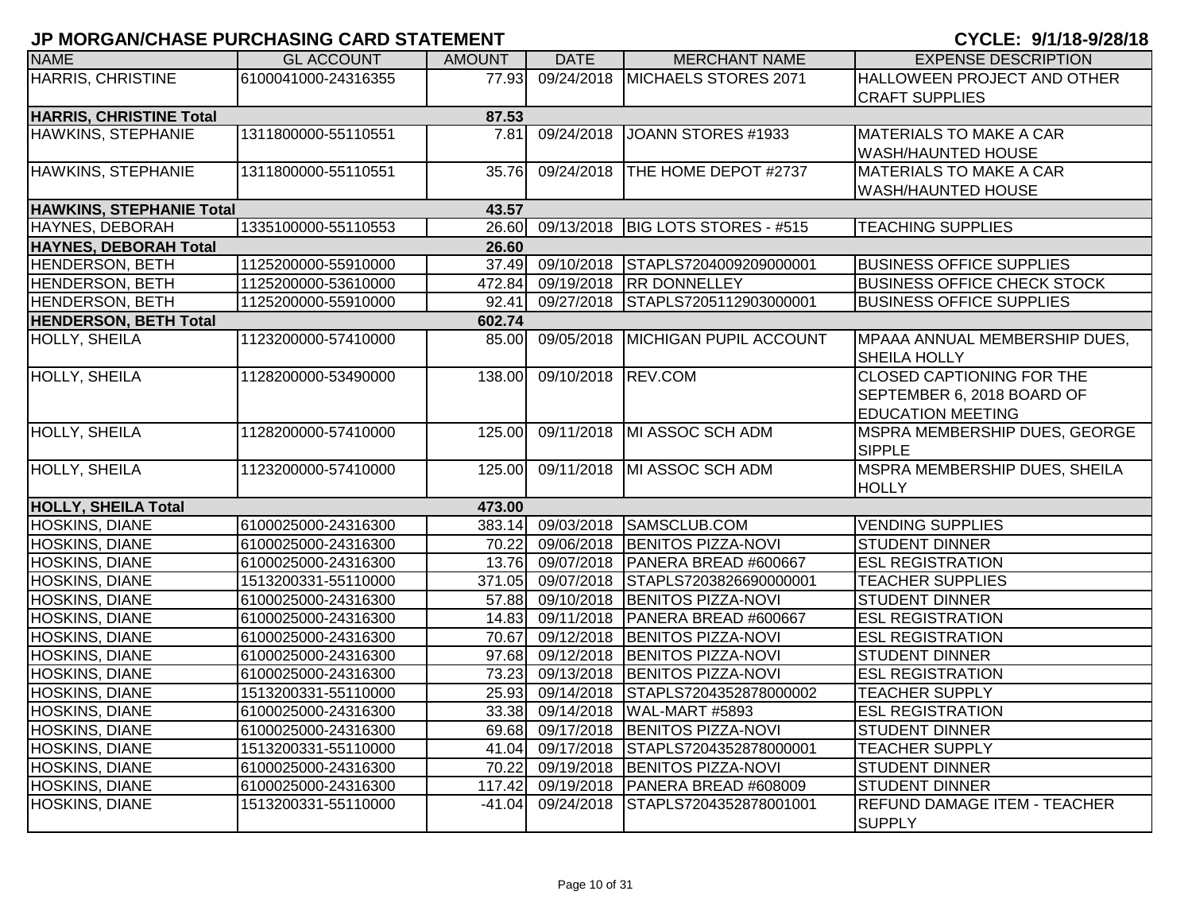| <b>NAME</b>                             | <b>GL ACCOUNT</b>   | <b>AMOUNT</b> | <b>DATE</b>        | <b>MERCHANT NAME</b>                     | <b>EXPENSE DESCRIPTION</b>                                                                 |  |  |  |
|-----------------------------------------|---------------------|---------------|--------------------|------------------------------------------|--------------------------------------------------------------------------------------------|--|--|--|
| <b>HARRIS, CHRISTINE</b>                | 6100041000-24316355 | 77.93         | 09/24/2018         | MICHAELS STORES 2071                     | HALLOWEEN PROJECT AND OTHER<br><b>CRAFT SUPPLIES</b>                                       |  |  |  |
| <b>HARRIS, CHRISTINE Total</b><br>87.53 |                     |               |                    |                                          |                                                                                            |  |  |  |
| HAWKINS, STEPHANIE                      | 1311800000-55110551 | 7.81          |                    | 09/24/2018 JOANN STORES #1933            | <b>MATERIALS TO MAKE A CAR</b><br><b>WASH/HAUNTED HOUSE</b>                                |  |  |  |
| HAWKINS, STEPHANIE                      | 1311800000-55110551 | 35.76         | 09/24/2018         | THE HOME DEPOT #2737                     | <b>MATERIALS TO MAKE A CAR</b><br><b>WASH/HAUNTED HOUSE</b>                                |  |  |  |
| HAWKINS, STEPHANIE Total                |                     | 43.57         |                    |                                          |                                                                                            |  |  |  |
| HAYNES, DEBORAH                         | 1335100000-55110553 |               |                    | 26.60 09/13/2018 BIG LOTS STORES - #515  | <b>TEACHING SUPPLIES</b>                                                                   |  |  |  |
| <b>HAYNES, DEBORAH Total</b>            |                     | 26.60         |                    |                                          |                                                                                            |  |  |  |
| <b>HENDERSON, BETH</b>                  | 1125200000-55910000 |               |                    | 37.49 09/10/2018 STAPLS7204009209000001  | <b>BUSINESS OFFICE SUPPLIES</b>                                                            |  |  |  |
| <b>HENDERSON, BETH</b>                  | 1125200000-53610000 | 472.84        |                    | 09/19/2018 RR DONNELLEY                  | <b>BUSINESS OFFICE CHECK STOCK</b>                                                         |  |  |  |
| <b>HENDERSON, BETH</b>                  | 1125200000-55910000 | 92.41         |                    | 09/27/2018 STAPLS7205112903000001        | <b>BUSINESS OFFICE SUPPLIES</b>                                                            |  |  |  |
| <b>HENDERSON, BETH Total</b>            |                     | 602.74        |                    |                                          |                                                                                            |  |  |  |
| HOLLY, SHEILA                           | 1123200000-57410000 | 85.00         |                    | 09/05/2018 MICHIGAN PUPIL ACCOUNT        | MPAAA ANNUAL MEMBERSHIP DUES,<br>SHEILA HOLLY                                              |  |  |  |
| <b>HOLLY, SHEILA</b>                    | 1128200000-53490000 | 138.00        | 09/10/2018 REV.COM |                                          | <b>CLOSED CAPTIONING FOR THE</b><br>SEPTEMBER 6, 2018 BOARD OF<br><b>EDUCATION MEETING</b> |  |  |  |
| <b>HOLLY, SHEILA</b>                    | 1128200000-57410000 | 125.00        |                    | 09/11/2018 MI ASSOC SCH ADM              | <b>MSPRA MEMBERSHIP DUES, GEORGE</b><br><b>SIPPLE</b>                                      |  |  |  |
| <b>HOLLY, SHEILA</b>                    | 1123200000-57410000 | 125.00        |                    | 09/11/2018 MI ASSOC SCH ADM              | MSPRA MEMBERSHIP DUES, SHEILA<br><b>HOLLY</b>                                              |  |  |  |
| <b>HOLLY, SHEILA Total</b>              |                     | 473.00        |                    |                                          |                                                                                            |  |  |  |
| <b>HOSKINS, DIANE</b>                   | 6100025000-24316300 | 383.14        |                    | 09/03/2018 SAMSCLUB.COM                  | <b>VENDING SUPPLIES</b>                                                                    |  |  |  |
| <b>HOSKINS, DIANE</b>                   | 6100025000-24316300 | 70.22         |                    | 09/06/2018 BENITOS PIZZA-NOVI            | <b>STUDENT DINNER</b>                                                                      |  |  |  |
| HOSKINS, DIANE                          | 6100025000-24316300 |               |                    | 13.76 09/07/2018 PANERA BREAD #600667    | <b>ESL REGISTRATION</b>                                                                    |  |  |  |
| HOSKINS, DIANE                          | 1513200331-55110000 |               |                    | 371.05 09/07/2018 STAPLS7203826690000001 | <b>TEACHER SUPPLIES</b>                                                                    |  |  |  |
| HOSKINS, DIANE                          | 6100025000-24316300 |               |                    | 57.88 09/10/2018 BENITOS PIZZA-NOVI      | <b>STUDENT DINNER</b>                                                                      |  |  |  |
| <b>HOSKINS, DIANE</b>                   | 6100025000-24316300 |               |                    | 14.83 09/11/2018 PANERA BREAD #600667    | <b>ESL REGISTRATION</b>                                                                    |  |  |  |
| HOSKINS, DIANE                          | 6100025000-24316300 | 70.67         |                    | 09/12/2018 BENITOS PIZZA-NOVI            | <b>ESL REGISTRATION</b>                                                                    |  |  |  |
| HOSKINS, DIANE                          | 6100025000-24316300 |               |                    | 97.68 09/12/2018 BENITOS PIZZA-NOVI      | <b>STUDENT DINNER</b>                                                                      |  |  |  |
| HOSKINS, DIANE                          | 6100025000-24316300 |               |                    | 73.23 09/13/2018 BENITOS PIZZA-NOVI      | <b>ESL REGISTRATION</b>                                                                    |  |  |  |
| HOSKINS, DIANE                          | 1513200331-55110000 |               |                    | 25.93 09/14/2018 STAPLS7204352878000002  | <b>TEACHER SUPPLY</b>                                                                      |  |  |  |
| <b>HOSKINS, DIANE</b>                   | 6100025000-24316300 | 33.38         |                    | 09/14/2018 WAL-MART #5893                | <b>ESL REGISTRATION</b>                                                                    |  |  |  |
| <b>HOSKINS, DIANE</b>                   | 6100025000-24316300 | 69.68         |                    | 09/17/2018 BENITOS PIZZA-NOVI            | <b>STUDENT DINNER</b>                                                                      |  |  |  |
| HOSKINS, DIANE                          | 1513200331-55110000 |               |                    | 41.04 09/17/2018 STAPLS7204352878000001  | <b>TEACHER SUPPLY</b>                                                                      |  |  |  |
| HOSKINS, DIANE                          | 6100025000-24316300 | 70.22         |                    | 09/19/2018 BENITOS PIZZA-NOVI            | <b>STUDENT DINNER</b>                                                                      |  |  |  |
| HOSKINS, DIANE                          | 6100025000-24316300 | 117.42        | 09/19/2018         | PANERA BREAD #608009                     | <b>STUDENT DINNER</b>                                                                      |  |  |  |
| HOSKINS, DIANE                          | 1513200331-55110000 | $-41.04$      | 09/24/2018         | STAPLS7204352878001001                   | <b>REFUND DAMAGE ITEM - TEACHER</b><br><b>SUPPLY</b>                                       |  |  |  |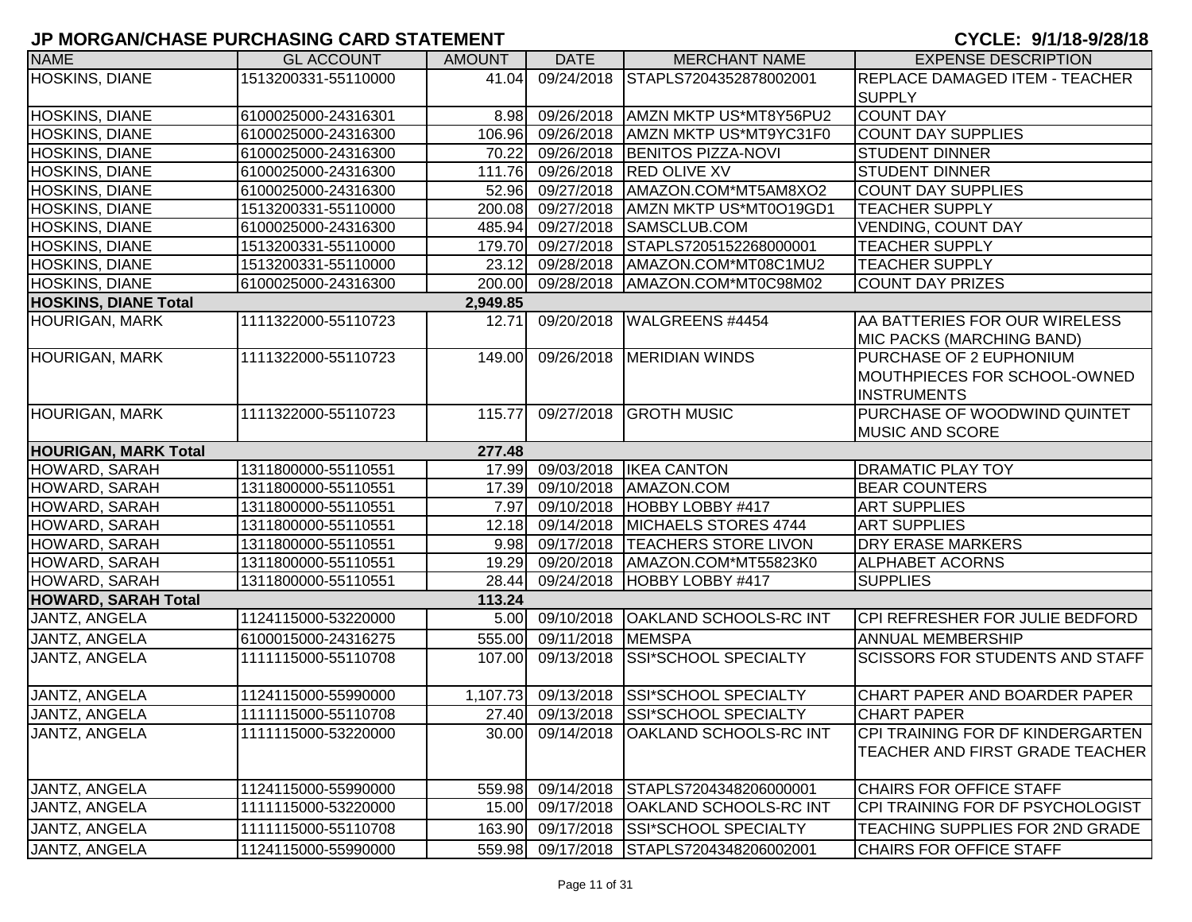| <b>NAME</b>                 | <b>GL ACCOUNT</b>   | <b>AMOUNT</b> | <b>DATE</b>       | <b>MERCHANT NAME</b>                     | <b>EXPENSE DESCRIPTION</b>             |
|-----------------------------|---------------------|---------------|-------------------|------------------------------------------|----------------------------------------|
| <b>HOSKINS, DIANE</b>       | 1513200331-55110000 | 41.04         | 09/24/2018        | STAPLS7204352878002001                   | <b>REPLACE DAMAGED ITEM - TEACHER</b>  |
|                             |                     |               |                   |                                          | <b>SUPPLY</b>                          |
| HOSKINS, DIANE              | 6100025000-24316301 |               |                   | 8.98 09/26/2018 AMZN MKTP US*MT8Y56PU2   | <b>COUNT DAY</b>                       |
| HOSKINS, DIANE              | 6100025000-24316300 |               | 106.96 09/26/2018 | AMZN MKTP US*MT9YC31F0                   | <b>COUNT DAY SUPPLIES</b>              |
| HOSKINS, DIANE              | 6100025000-24316300 |               | 70.22 09/26/2018  | <b>BENITOS PIZZA-NOVI</b>                | <b>STUDENT DINNER</b>                  |
| HOSKINS, DIANE              | 6100025000-24316300 |               | 111.76 09/26/2018 | <b>RED OLIVE XV</b>                      | <b>STUDENT DINNER</b>                  |
| <b>HOSKINS, DIANE</b>       | 6100025000-24316300 |               | 52.96 09/27/2018  | AMAZON.COM*MT5AM8XO2                     | <b>COUNT DAY SUPPLIES</b>              |
| <b>HOSKINS, DIANE</b>       | 1513200331-55110000 | 200.08        | 09/27/2018        | AMZN MKTP US*MT0O19GD1                   | <b>TEACHER SUPPLY</b>                  |
| <b>HOSKINS, DIANE</b>       | 6100025000-24316300 | 485.94        | 09/27/2018        | SAMSCLUB.COM                             | VENDING, COUNT DAY                     |
| <b>HOSKINS, DIANE</b>       | 1513200331-55110000 | 179.70        | 09/27/2018        | STAPLS7205152268000001                   | <b>TEACHER SUPPLY</b>                  |
| HOSKINS, DIANE              | 1513200331-55110000 |               | 23.12 09/28/2018  | AMAZON.COM*MT08C1MU2                     | <b>TEACHER SUPPLY</b>                  |
| <b>HOSKINS, DIANE</b>       | 6100025000-24316300 |               | 200.00 09/28/2018 | AMAZON.COM*MT0C98M02                     | <b>COUNT DAY PRIZES</b>                |
| <b>HOSKINS, DIANE Total</b> |                     | 2,949.85      |                   |                                          |                                        |
| <b>HOURIGAN, MARK</b>       | 1111322000-55110723 | 12.71         | 09/20/2018        | WALGREENS #4454                          | AA BATTERIES FOR OUR WIRELESS          |
|                             |                     |               |                   |                                          | MIC PACKS (MARCHING BAND)              |
| <b>HOURIGAN, MARK</b>       | 1111322000-55110723 | 149.00        |                   | 09/26/2018 MERIDIAN WINDS                | PURCHASE OF 2 EUPHONIUM                |
|                             |                     |               |                   |                                          | MOUTHPIECES FOR SCHOOL-OWNED           |
|                             |                     |               |                   |                                          | <b>INSTRUMENTS</b>                     |
| <b>HOURIGAN, MARK</b>       | 1111322000-55110723 | 115.77        | 09/27/2018        | <b>GROTH MUSIC</b>                       | <b>PURCHASE OF WOODWIND QUINTET</b>    |
|                             |                     |               |                   |                                          | <b>MUSIC AND SCORE</b>                 |
| <b>HOURIGAN, MARK Total</b> |                     | 277.48        |                   |                                          |                                        |
| HOWARD, SARAH               | 1311800000-55110551 |               | 17.99 09/03/2018  | <b>IKEA CANTON</b>                       | <b>DRAMATIC PLAY TOY</b>               |
| HOWARD, SARAH               | 1311800000-55110551 |               | 17.39 09/10/2018  | AMAZON.COM                               | <b>BEAR COUNTERS</b>                   |
| HOWARD, SARAH               | 1311800000-55110551 |               | 7.97 09/10/2018   | <b>HOBBY LOBBY #417</b>                  | <b>ART SUPPLIES</b>                    |
| HOWARD, SARAH               | 1311800000-55110551 |               | 12.18 09/14/2018  | MICHAELS STORES 4744                     | <b>ART SUPPLIES</b>                    |
| HOWARD, SARAH               | 1311800000-55110551 | 9.98          | 09/17/2018        | <b>TEACHERS STORE LIVON</b>              | <b>DRY ERASE MARKERS</b>               |
| HOWARD, SARAH               | 1311800000-55110551 | 19.29         | 09/20/2018        | AMAZON.COM*MT55823K0                     | <b>ALPHABET ACORNS</b>                 |
| HOWARD, SARAH               | 1311800000-55110551 | 28.44         | 09/24/2018        | HOBBY LOBBY #417                         | <b>SUPPLIES</b>                        |
| <b>HOWARD, SARAH Total</b>  |                     | 113.24        |                   |                                          |                                        |
| JANTZ, ANGELA               | 1124115000-53220000 |               | 5.00 09/10/2018   | <b>OAKLAND SCHOOLS-RC INT</b>            | CPI REFRESHER FOR JULIE BEDFORD        |
| JANTZ, ANGELA               | 6100015000-24316275 |               | 555.00 09/11/2018 | <b>MEMSPA</b>                            | <b>ANNUAL MEMBERSHIP</b>               |
| JANTZ, ANGELA               | 1111115000-55110708 | 107.00        | 09/13/2018        | SSI*SCHOOL SPECIALTY                     | <b>SCISSORS FOR STUDENTS AND STAFF</b> |
|                             |                     |               |                   |                                          |                                        |
| JANTZ, ANGELA               | 1124115000-55990000 |               |                   | 1,107.73 09/13/2018 SSI*SCHOOL SPECIALTY | CHART PAPER AND BOARDER PAPER          |
| JANTZ, ANGELA               | 1111115000-55110708 |               |                   | 27.40 09/13/2018 SSI*SCHOOL SPECIALTY    | <b>CHART PAPER</b>                     |
| JANTZ, ANGELA               | 1111115000-53220000 |               |                   | 30.00 09/14/2018 OAKLAND SCHOOLS-RC INT  | CPI TRAINING FOR DF KINDERGARTEN       |
|                             |                     |               |                   |                                          | <b>TEACHER AND FIRST GRADE TEACHER</b> |
|                             |                     |               |                   |                                          |                                        |
| JANTZ, ANGELA               | 1124115000-55990000 | 559.98        | 09/14/2018        | STAPLS7204348206000001                   | CHAIRS FOR OFFICE STAFF                |
| JANTZ, ANGELA               | 1111115000-53220000 | 15.00         | 09/17/2018        | <b>OAKLAND SCHOOLS-RC INT</b>            | CPI TRAINING FOR DF PSYCHOLOGIST       |
| JANTZ, ANGELA               | 1111115000-55110708 | 163.90        | 09/17/2018        | SSI*SCHOOL SPECIALTY                     | TEACHING SUPPLIES FOR 2ND GRADE        |
| JANTZ, ANGELA               | 1124115000-55990000 | 559.98        | 09/17/2018        | STAPLS7204348206002001                   | CHAIRS FOR OFFICE STAFF                |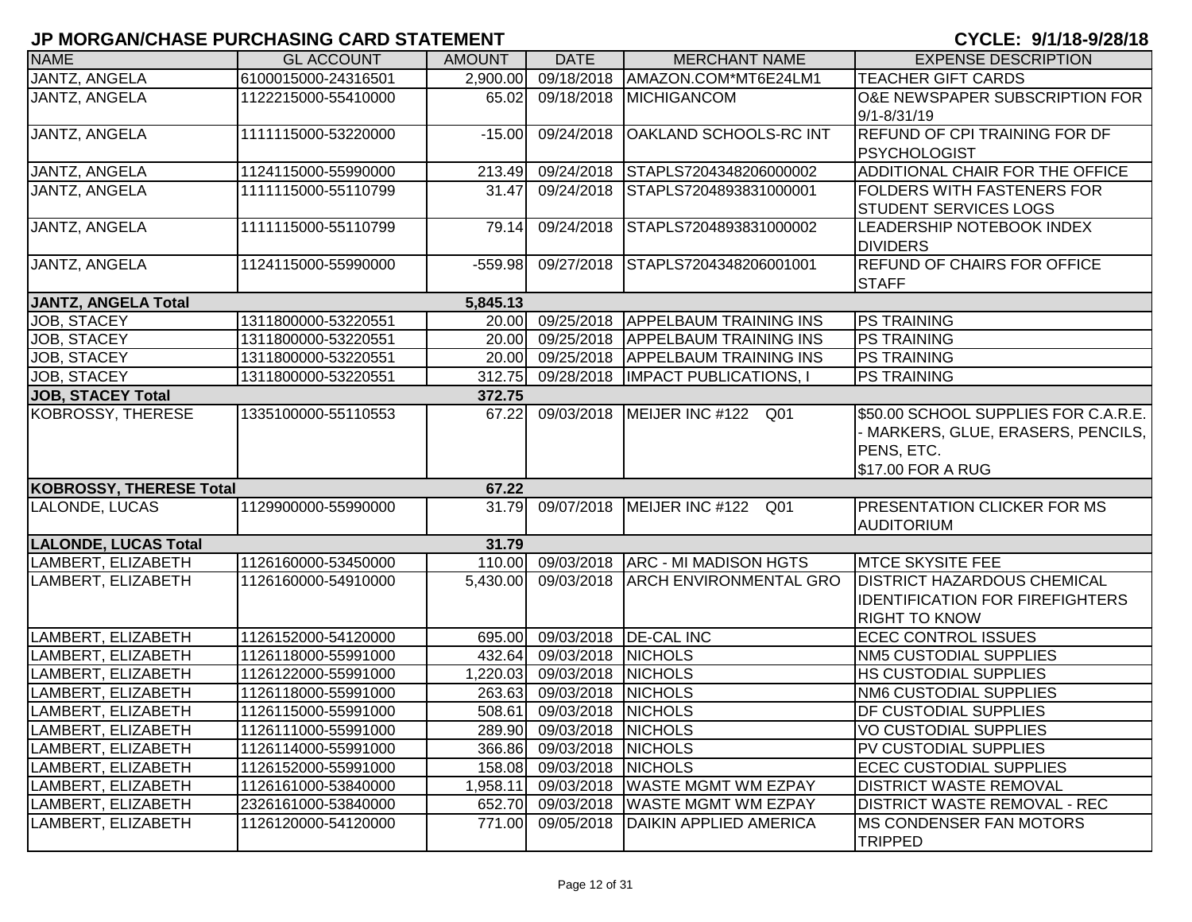| <b>NAME</b>                 | <b>GL ACCOUNT</b>   | <b>AMOUNT</b> | <b>DATE</b>               | <b>MERCHANT NAME</b>                | <b>EXPENSE DESCRIPTION</b>                   |
|-----------------------------|---------------------|---------------|---------------------------|-------------------------------------|----------------------------------------------|
| <b>JANTZ, ANGELA</b>        | 6100015000-24316501 | 2,900.00      |                           | 09/18/2018   AMAZON.COM*MT6E24LM1   | <b>TEACHER GIFT CARDS</b>                    |
| JANTZ, ANGELA               | 1122215000-55410000 | 65.02         |                           | 09/18/2018 MICHIGANCOM              | O&E NEWSPAPER SUBSCRIPTION FOR               |
|                             |                     |               |                           |                                     | 9/1-8/31/19                                  |
| JANTZ, ANGELA               | 1111115000-53220000 | $-15.00$      |                           | 09/24/2018   OAKLAND SCHOOLS-RC INT | <b>REFUND OF CPI TRAINING FOR DF</b>         |
|                             |                     |               |                           |                                     | PSYCHOLOGIST                                 |
| JANTZ, ANGELA               | 1124115000-55990000 | 213.49        | 09/24/2018                | STAPLS7204348206000002              | ADDITIONAL CHAIR FOR THE OFFICE              |
| JANTZ, ANGELA               | 1111115000-55110799 | 31.47         | 09/24/2018                | STAPLS7204893831000001              | <b>FOLDERS WITH FASTENERS FOR</b>            |
|                             |                     |               |                           |                                     | <b>STUDENT SERVICES LOGS</b>                 |
| JANTZ, ANGELA               | 1111115000-55110799 | 79.14         | 09/24/2018                | STAPLS7204893831000002              | LEADERSHIP NOTEBOOK INDEX<br><b>DIVIDERS</b> |
| JANTZ, ANGELA               | 1124115000-55990000 | $-559.98$     | 09/27/2018                | STAPLS7204348206001001              | REFUND OF CHAIRS FOR OFFICE                  |
|                             |                     |               |                           |                                     | <b>STAFF</b>                                 |
| <b>JANTZ, ANGELA Total</b>  |                     | 5,845.13      |                           |                                     |                                              |
| JOB, STACEY                 | 1311800000-53220551 | 20.00         |                           | 09/25/2018 APPELBAUM TRAINING INS   | <b>PS TRAINING</b>                           |
| JOB, STACEY                 | 1311800000-53220551 | 20.00         | 09/25/2018                | <b>APPELBAUM TRAINING INS</b>       | <b>PS TRAINING</b>                           |
| JOB, STACEY                 | 1311800000-53220551 | 20.00         |                           | 09/25/2018 APPELBAUM TRAINING INS   | <b>PS TRAINING</b>                           |
| <b>JOB, STACEY</b>          | 1311800000-53220551 | 312.75        |                           | 09/28/2018   IMPACT PUBLICATIONS, I | <b>PS TRAINING</b>                           |
| <b>JOB, STACEY Total</b>    |                     | 372.75        |                           |                                     |                                              |
| KOBROSSY, THERESE           | 1335100000-55110553 | 67.22         |                           | 09/03/2018 MEIJER INC #122<br>Q01   | \$50.00 SCHOOL SUPPLIES FOR C.A.R.E.         |
|                             |                     |               |                           |                                     | - MARKERS, GLUE, ERASERS, PENCILS,           |
|                             |                     |               |                           |                                     | PENS, ETC.                                   |
|                             |                     |               |                           |                                     | \$17.00 FOR A RUG                            |
| KOBROSSY, THERESE Total     |                     | 67.22         |                           |                                     |                                              |
| LALONDE, LUCAS              | 1129900000-55990000 | 31.79         |                           | 09/07/2018 MEIJER INC #122 Q01      | <b>PRESENTATION CLICKER FOR MS</b>           |
|                             |                     |               |                           |                                     | <b>AUDITORIUM</b>                            |
| <b>LALONDE, LUCAS Total</b> |                     | 31.79         |                           |                                     |                                              |
| LAMBERT, ELIZABETH          | 1126160000-53450000 | 110.00        |                           | 09/03/2018 ARC - MI MADISON HGTS    | <b>MTCE SKYSITE FEE</b>                      |
| LAMBERT, ELIZABETH          | 1126160000-54910000 | 5,430.00      | 09/03/2018                | <b>ARCH ENVIRONMENTAL GRO</b>       | <b>DISTRICT HAZARDOUS CHEMICAL</b>           |
|                             |                     |               |                           |                                     | <b>IDENTIFICATION FOR FIREFIGHTERS</b>       |
|                             |                     |               |                           |                                     | <b>RIGHT TO KNOW</b>                         |
| LAMBERT, ELIZABETH          | 1126152000-54120000 | 695.00        |                           | 09/03/2018 <b>DE-CAL INC</b>        | <b>ECEC CONTROL ISSUES</b>                   |
| LAMBERT, ELIZABETH          | 1126118000-55991000 | 432.64        | 09/03/2018 NICHOLS        |                                     | <b>NM5 CUSTODIAL SUPPLIES</b>                |
| LAMBERT, ELIZABETH          | 1126122000-55991000 | 1,220.03      | 09/03/2018 NICHOLS        |                                     | <b>HS CUSTODIAL SUPPLIES</b>                 |
| LAMBERT, ELIZABETH          | 1126118000-55991000 | 263.63        | 09/03/2018 NICHOLS        |                                     | NM6 CUSTODIAL SUPPLIES                       |
| LAMBERT, ELIZABETH          | 1126115000-55991000 | 508.61        | 09/03/2018 NICHOLS        |                                     | <b>DF CUSTODIAL SUPPLIES</b>                 |
| LAMBERT, ELIZABETH          | 1126111000-55991000 |               | 289.90 09/03/2018 NICHOLS |                                     | VO CUSTODIAL SUPPLIES                        |
| LAMBERT, ELIZABETH          | 1126114000-55991000 |               | 366.86 09/03/2018 NICHOLS |                                     | PV CUSTODIAL SUPPLIES                        |
| LAMBERT, ELIZABETH          | 1126152000-55991000 |               | 158.08 09/03/2018 NICHOLS |                                     | <b>ECEC CUSTODIAL SUPPLIES</b>               |
| LAMBERT, ELIZABETH          | 1126161000-53840000 | 1,958.11      |                           | 09/03/2018   WASTE MGMT WM EZPAY    | <b>DISTRICT WASTE REMOVAL</b>                |
| LAMBERT, ELIZABETH          | 2326161000-53840000 | 652.70        | 09/03/2018                | <b>WASTE MGMT WM EZPAY</b>          | <b>DISTRICT WASTE REMOVAL - REC</b>          |
| LAMBERT, ELIZABETH          | 1126120000-54120000 | 771.00        | 09/05/2018                | <b>DAIKIN APPLIED AMERICA</b>       | <b>IMS CONDENSER FAN MOTORS</b>              |
|                             |                     |               |                           |                                     | <b>TRIPPED</b>                               |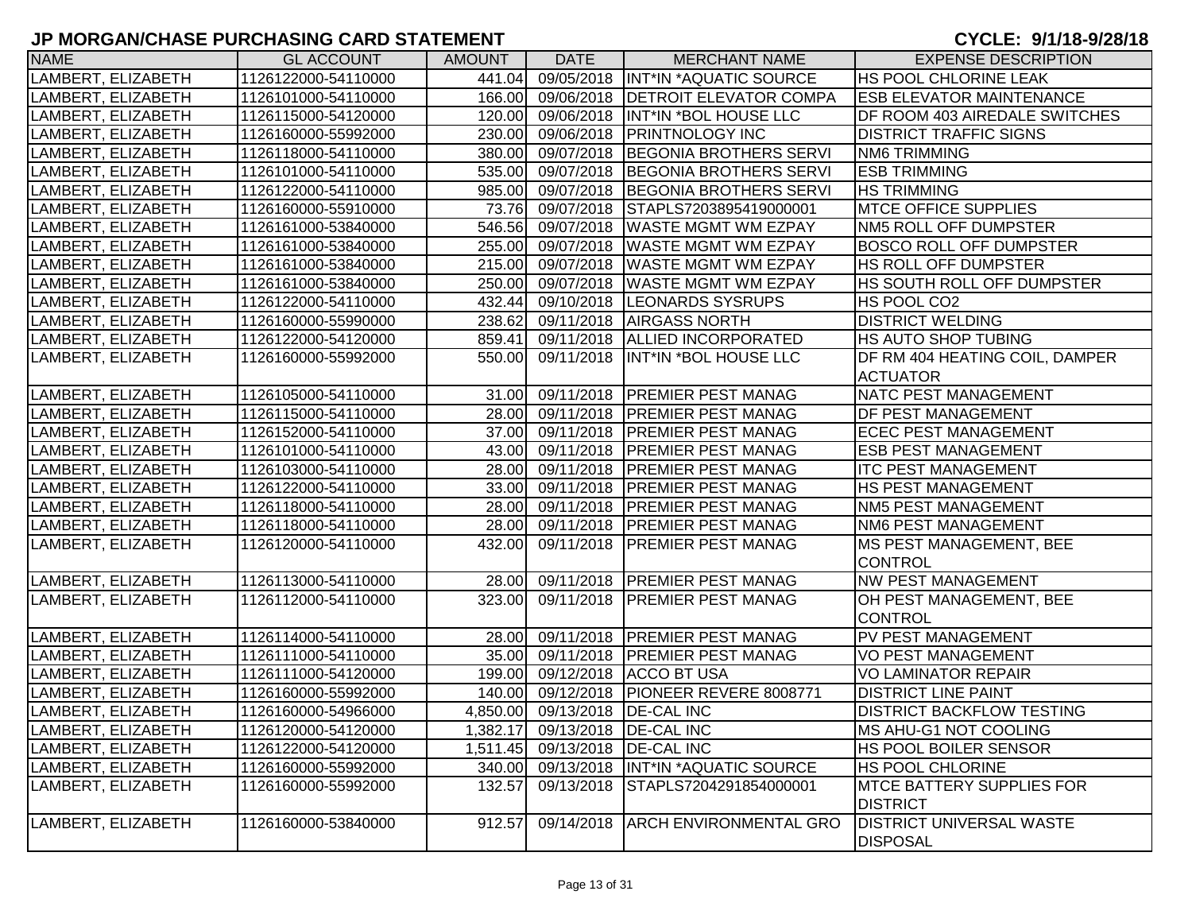| <b>NAME</b>        | <b>GL ACCOUNT</b>   | <b>AMOUNT</b> | <b>DATE</b>                    | <b>MERCHANT NAME</b>                     | <b>EXPENSE DESCRIPTION</b>                         |
|--------------------|---------------------|---------------|--------------------------------|------------------------------------------|----------------------------------------------------|
| LAMBERT, ELIZABETH | 1126122000-54110000 | 441.04        |                                | 09/05/2018  INT*IN *AQUATIC SOURCE       | <b>HS POOL CHLORINE LEAK</b>                       |
| LAMBERT, ELIZABETH | 1126101000-54110000 |               | 166.00 09/06/2018              | <b>DETROIT ELEVATOR COMPA</b>            | <b>ESB ELEVATOR MAINTENANCE</b>                    |
| LAMBERT, ELIZABETH | 1126115000-54120000 |               |                                | 120.00 09/06/2018 INT*IN *BOL HOUSE LLC  | DF ROOM 403 AIREDALE SWITCHES                      |
| LAMBERT, ELIZABETH | 1126160000-55992000 |               |                                | 230.00 09/06/2018 PRINTNOLOGY INC        | <b>DISTRICT TRAFFIC SIGNS</b>                      |
| LAMBERT, ELIZABETH | 1126118000-54110000 |               |                                | 380.00 09/07/2018 BEGONIA BROTHERS SERVI | <b>NM6 TRIMMING</b>                                |
| LAMBERT, ELIZABETH | 1126101000-54110000 |               | 535.00 09/07/2018              | BEGONIA BROTHERS SERVI                   | <b>ESB TRIMMING</b>                                |
| LAMBERT, ELIZABETH | 1126122000-54110000 |               |                                | 985.00 09/07/2018 BEGONIA BROTHERS SERVI | <b>HS TRIMMING</b>                                 |
| LAMBERT, ELIZABETH | 1126160000-55910000 |               | 73.76 09/07/2018               | STAPLS7203895419000001                   | <b>MTCE OFFICE SUPPLIES</b>                        |
| LAMBERT, ELIZABETH | 1126161000-53840000 |               | 546.56 09/07/2018              | <b>WASTE MGMT WM EZPAY</b>               | NM5 ROLL OFF DUMPSTER                              |
| LAMBERT, ELIZABETH | 1126161000-53840000 |               | 255.00 09/07/2018              | <b>WASTE MGMT WM EZPAY</b>               | <b>BOSCO ROLL OFF DUMPSTER</b>                     |
| LAMBERT, ELIZABETH | 1126161000-53840000 |               | 215.00 09/07/2018              | <b>WASTE MGMT WM EZPAY</b>               | <b>HS ROLL OFF DUMPSTER</b>                        |
| LAMBERT, ELIZABETH | 1126161000-53840000 |               | 250.00 09/07/2018              | <b>WASTE MGMT WM EZPAY</b>               | HS SOUTH ROLL OFF DUMPSTER                         |
| LAMBERT, ELIZABETH | 1126122000-54110000 |               | 432.44 09/10/2018              | <b>LEONARDS SYSRUPS</b>                  | HS POOL CO2                                        |
| LAMBERT, ELIZABETH | 1126160000-55990000 | 238.62        | 09/11/2018                     | <b>AIRGASS NORTH</b>                     | <b>DISTRICT WELDING</b>                            |
| LAMBERT, ELIZABETH | 1126122000-54120000 |               | 859.41 09/11/2018              | <b>ALLIED INCORPORATED</b>               | HS AUTO SHOP TUBING                                |
| LAMBERT, ELIZABETH | 1126160000-55992000 | 550.00        | 09/11/2018                     | INT*IN *BOL HOUSE LLC                    | DF RM 404 HEATING COIL, DAMPER                     |
|                    |                     |               |                                |                                          | <b>ACTUATOR</b>                                    |
| LAMBERT, ELIZABETH | 1126105000-54110000 |               |                                | 31.00 09/11/2018 PREMIER PEST MANAG      | NATC PEST MANAGEMENT                               |
| LAMBERT, ELIZABETH | 1126115000-54110000 |               |                                | 28.00 09/11/2018 PREMIER PEST MANAG      | <b>DF PEST MANAGEMENT</b>                          |
| LAMBERT, ELIZABETH | 1126152000-54110000 |               |                                | 37.00 09/11/2018 PREMIER PEST MANAG      | <b>ECEC PEST MANAGEMENT</b>                        |
| LAMBERT, ELIZABETH | 1126101000-54110000 |               |                                | 43.00 09/11/2018 PREMIER PEST MANAG      | <b>ESB PEST MANAGEMENT</b>                         |
| LAMBERT, ELIZABETH | 1126103000-54110000 |               |                                | 28.00 09/11/2018 PREMIER PEST MANAG      | <b>ITC PEST MANAGEMENT</b>                         |
| LAMBERT, ELIZABETH | 1126122000-54110000 |               |                                | 33.00 09/11/2018 PREMIER PEST MANAG      | <b>HS PEST MANAGEMENT</b>                          |
| LAMBERT, ELIZABETH | 1126118000-54110000 |               |                                | 28.00 09/11/2018 PREMIER PEST MANAG      | <b>NM5 PEST MANAGEMENT</b>                         |
| LAMBERT, ELIZABETH | 1126118000-54110000 |               |                                | 28.00 09/11/2018 PREMIER PEST MANAG      | NM6 PEST MANAGEMENT                                |
| LAMBERT, ELIZABETH | 1126120000-54110000 | 432.00        | 09/11/2018                     | <b>PREMIER PEST MANAG</b>                | <b>MS PEST MANAGEMENT, BEE</b>                     |
|                    |                     |               |                                |                                          | <b>CONTROL</b>                                     |
| LAMBERT, ELIZABETH | 1126113000-54110000 | 28.00         |                                | 09/11/2018 PREMIER PEST MANAG            | <b>NW PEST MANAGEMENT</b>                          |
| LAMBERT, ELIZABETH | 1126112000-54110000 | 323.00        |                                | 09/11/2018   PREMIER PEST MANAG          | OH PEST MANAGEMENT, BEE                            |
|                    |                     |               |                                |                                          | <b>CONTROL</b>                                     |
| LAMBERT, ELIZABETH | 1126114000-54110000 | 28.00         |                                | 09/11/2018   PREMIER PEST MANAG          | PV PEST MANAGEMENT                                 |
| LAMBERT, ELIZABETH | 1126111000-54110000 | 35.00         |                                | 09/11/2018   PREMIER PEST MANAG          | <b>VO PEST MANAGEMENT</b>                          |
| LAMBERT, ELIZABETH | 1126111000-54120000 |               |                                | 199.00 09/12/2018 ACCO BT USA            | VO LAMINATOR REPAIR                                |
| LAMBERT, ELIZABETH | 1126160000-55992000 |               | 140.00 09/12/2018              | PIONEER REVERE 8008771                   | <b>DISTRICT LINE PAINT</b>                         |
| LAMBERT, ELIZABETH | 1126160000-54966000 |               | 4,850.00 09/13/2018 DE-CAL INC |                                          | <b>DISTRICT BACKFLOW TESTING</b>                   |
| LAMBERT, ELIZABETH | 1126120000-54120000 |               | 1,382.17 09/13/2018 DE-CAL INC |                                          | MS AHU-G1 NOT COOLING                              |
| LAMBERT, ELIZABETH | 1126122000-54120000 |               |                                | 1,511.45 09/13/2018 DE-CAL INC           | <b>HS POOL BOILER SENSOR</b>                       |
| LAMBERT, ELIZABETH | 1126160000-55992000 |               |                                | 340.00 09/13/2018 INT*IN *AQUATIC SOURCE | <b>HS POOL CHLORINE</b>                            |
| LAMBERT, ELIZABETH | 1126160000-55992000 | 132.57        | 09/13/2018                     | STAPLS7204291854000001                   | <b>MTCE BATTERY SUPPLIES FOR</b>                   |
|                    |                     |               |                                |                                          | <b>DISTRICT</b>                                    |
| LAMBERT, ELIZABETH | 1126160000-53840000 | 912.57        | 09/14/2018                     | <b>ARCH ENVIRONMENTAL GRO</b>            | <b>DISTRICT UNIVERSAL WASTE</b><br><b>DISPOSAL</b> |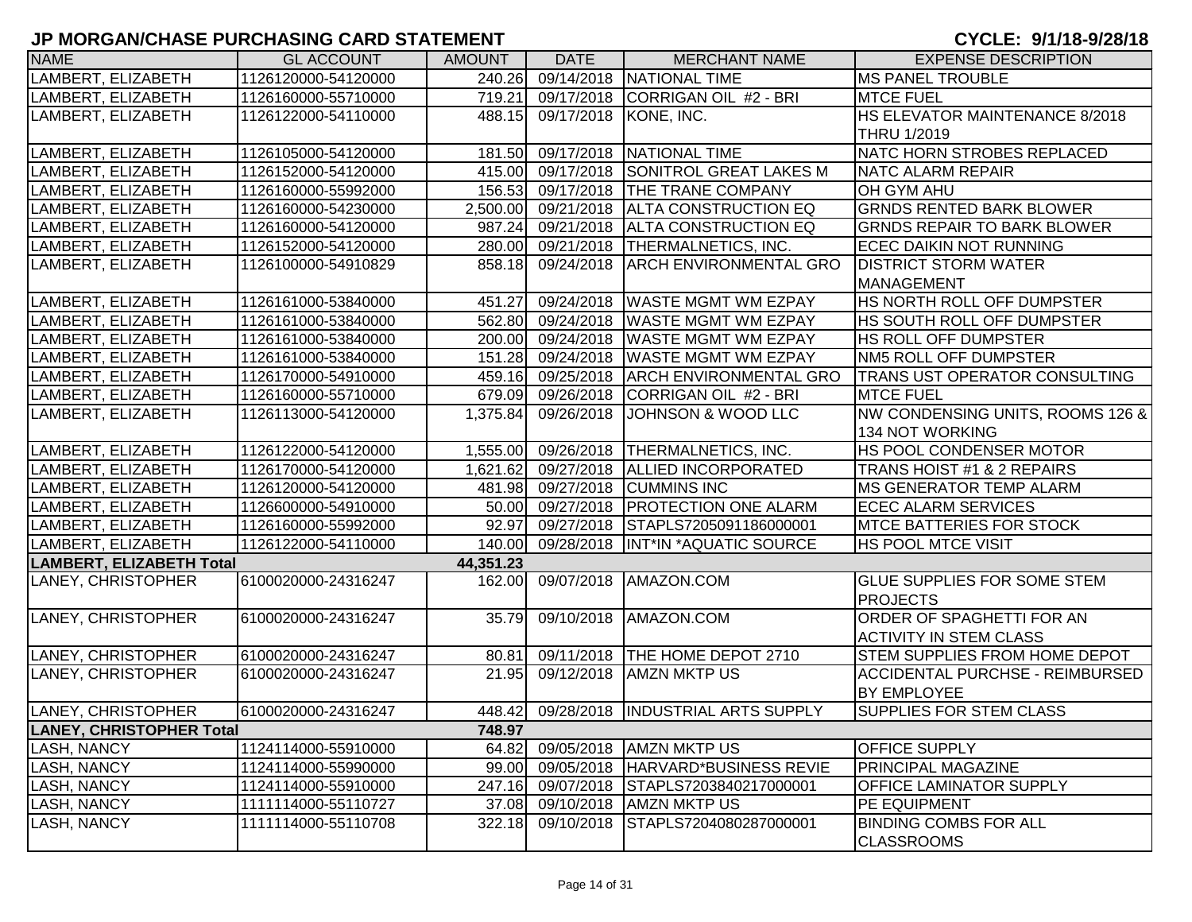| <b>NAME</b>                     | <b>GL ACCOUNT</b>   | <b>AMOUNT</b> | <b>DATE</b>           | <b>MERCHANT NAME</b>                     | <b>EXPENSE DESCRIPTION</b>             |
|---------------------------------|---------------------|---------------|-----------------------|------------------------------------------|----------------------------------------|
| LAMBERT, ELIZABETH              | 1126120000-54120000 | 240.26        |                       | 09/14/2018 NATIONAL TIME                 | <b>MS PANEL TROUBLE</b>                |
| LAMBERT, ELIZABETH              | 1126160000-55710000 | 719.21        |                       | 09/17/2018 CORRIGAN OIL #2 - BRI         | <b>MTCE FUEL</b>                       |
| LAMBERT, ELIZABETH              | 1126122000-54110000 | 488.15        | 09/17/2018 KONE, INC. |                                          | HS ELEVATOR MAINTENANCE 8/2018         |
|                                 |                     |               |                       |                                          | THRU 1/2019                            |
| LAMBERT, ELIZABETH              | 1126105000-54120000 | 181.50        |                       | 09/17/2018 NATIONAL TIME                 | NATC HORN STROBES REPLACED             |
| LAMBERT, ELIZABETH              | 1126152000-54120000 |               |                       | 415.00 09/17/2018 SONITROL GREAT LAKES M | NATC ALARM REPAIR                      |
| LAMBERT, ELIZABETH              | 1126160000-55992000 |               |                       | 156.53 09/17/2018 THE TRANE COMPANY      | <b>OH GYM AHU</b>                      |
| LAMBERT, ELIZABETH              | 1126160000-54230000 |               |                       | 2,500.00 09/21/2018 ALTA CONSTRUCTION EQ | <b>GRNDS RENTED BARK BLOWER</b>        |
| LAMBERT, ELIZABETH              | 1126160000-54120000 | 987.24        |                       | 09/21/2018 ALTA CONSTRUCTION EQ          | <b>GRNDS REPAIR TO BARK BLOWER</b>     |
| LAMBERT, ELIZABETH              | 1126152000-54120000 |               |                       | 280.00 09/21/2018 THERMALNETICS, INC.    | <b>ECEC DAIKIN NOT RUNNING</b>         |
| LAMBERT, ELIZABETH              | 1126100000-54910829 | 858.18        | 09/24/2018            | <b>ARCH ENVIRONMENTAL GRO</b>            | <b>DISTRICT STORM WATER</b>            |
|                                 |                     |               |                       |                                          | MANAGEMENT                             |
| LAMBERT, ELIZABETH              | 1126161000-53840000 | 451.27        | 09/24/2018            | <b>WASTE MGMT WM EZPAY</b>               | HS NORTH ROLL OFF DUMPSTER             |
| LAMBERT, ELIZABETH              | 1126161000-53840000 | 562.80        | 09/24/2018            | <b>WASTE MGMT WM EZPAY</b>               | HS SOUTH ROLL OFF DUMPSTER             |
| LAMBERT, ELIZABETH              | 1126161000-53840000 | 200.00        | 09/24/2018            | <b>WASTE MGMT WM EZPAY</b>               | <b>HS ROLL OFF DUMPSTER</b>            |
| LAMBERT, ELIZABETH              | 1126161000-53840000 | 151.28        | 09/24/2018            | <b>WASTE MGMT WM EZPAY</b>               | <b>NM5 ROLL OFF DUMPSTER</b>           |
| LAMBERT, ELIZABETH              | 1126170000-54910000 | 459.16        | 09/25/2018            | <b>ARCH ENVIRONMENTAL GRO</b>            | <b>TRANS UST OPERATOR CONSULTING</b>   |
| LAMBERT, ELIZABETH              | 1126160000-55710000 |               | 679.09 09/26/2018     | CORRIGAN OIL #2 - BRI                    | <b>MTCE FUEL</b>                       |
| LAMBERT, ELIZABETH              | 1126113000-54120000 | 1,375.84      | 09/26/2018            | IJOHNSON & WOOD LLC                      | NW CONDENSING UNITS, ROOMS 126 &       |
|                                 |                     |               |                       |                                          | 134 NOT WORKING                        |
| LAMBERT, ELIZABETH              | 1126122000-54120000 | 1,555.00      |                       | 09/26/2018 THERMALNETICS, INC.           | <b>HS POOL CONDENSER MOTOR</b>         |
| LAMBERT, ELIZABETH              | 1126170000-54120000 | 1,621.62      |                       | 09/27/2018 ALLIED INCORPORATED           | TRANS HOIST #1 & 2 REPAIRS             |
| LAMBERT, ELIZABETH              | 1126120000-54120000 |               |                       | 481.98 09/27/2018 CUMMINS INC            | <b>IMS GENERATOR TEMP ALARM</b>        |
| LAMBERT, ELIZABETH              | 1126600000-54910000 |               |                       | 50.00 09/27/2018 PROTECTION ONE ALARM    | <b>ECEC ALARM SERVICES</b>             |
| LAMBERT, ELIZABETH              | 1126160000-55992000 | 92.97         |                       | 09/27/2018 STAPLS7205091186000001        | <b>MTCE BATTERIES FOR STOCK</b>        |
| LAMBERT, ELIZABETH              | 1126122000-54110000 | 140.00        |                       | 09/28/2018  INT*IN *AQUATIC SOURCE       | <b>HS POOL MTCE VISIT</b>              |
| LAMBERT, ELIZABETH Total        |                     | 44,351.23     |                       |                                          |                                        |
| LANEY, CHRISTOPHER              | 6100020000-24316247 | 162.00        |                       | 09/07/2018 AMAZON.COM                    | <b>GLUE SUPPLIES FOR SOME STEM</b>     |
|                                 |                     |               |                       |                                          | <b>PROJECTS</b>                        |
| LANEY, CHRISTOPHER              | 6100020000-24316247 | 35.79         | 09/10/2018            | AMAZON.COM                               | ORDER OF SPAGHETTI FOR AN              |
|                                 |                     |               |                       |                                          | <b>ACTIVITY IN STEM CLASS</b>          |
| LANEY, CHRISTOPHER              | 6100020000-24316247 | 80.81         |                       | 09/11/2018   THE HOME DEPOT 2710         | <b>STEM SUPPLIES FROM HOME DEPOT</b>   |
| LANEY, CHRISTOPHER              | 6100020000-24316247 | 21.95         | 09/12/2018            | <b>AMZN MKTP US</b>                      | <b>ACCIDENTAL PURCHSE - REIMBURSED</b> |
|                                 |                     |               |                       |                                          | <b>BY EMPLOYEE</b>                     |
| LANEY, CHRISTOPHER              | 6100020000-24316247 |               |                       | 448.42 09/28/2018 INDUSTRIAL ARTS SUPPLY | <b>SUPPLIES FOR STEM CLASS</b>         |
| <b>LANEY, CHRISTOPHER Total</b> |                     | 748.97        |                       |                                          |                                        |
| <b>LASH, NANCY</b>              | 1124114000-55910000 | 64.82         | 09/05/2018            | <b>AMZN MKTP US</b>                      | <b>OFFICE SUPPLY</b>                   |
| LASH, NANCY                     | 1124114000-55990000 | 99.00         |                       | 09/05/2018 HARVARD*BUSINESS REVIE        | <b>PRINCIPAL MAGAZINE</b>              |
| LASH, NANCY                     | 1124114000-55910000 | 247.16        | 09/07/2018            | STAPLS7203840217000001                   | <b>OFFICE LAMINATOR SUPPLY</b>         |
| LASH, NANCY                     | 1111114000-55110727 | 37.08         |                       | 09/10/2018 AMZN MKTP US                  | PE EQUIPMENT                           |
| LASH, NANCY                     | 1111114000-55110708 | 322.18        | 09/10/2018            | STAPLS7204080287000001                   | <b>BINDING COMBS FOR ALL</b>           |
|                                 |                     |               |                       |                                          | <b>CLASSROOMS</b>                      |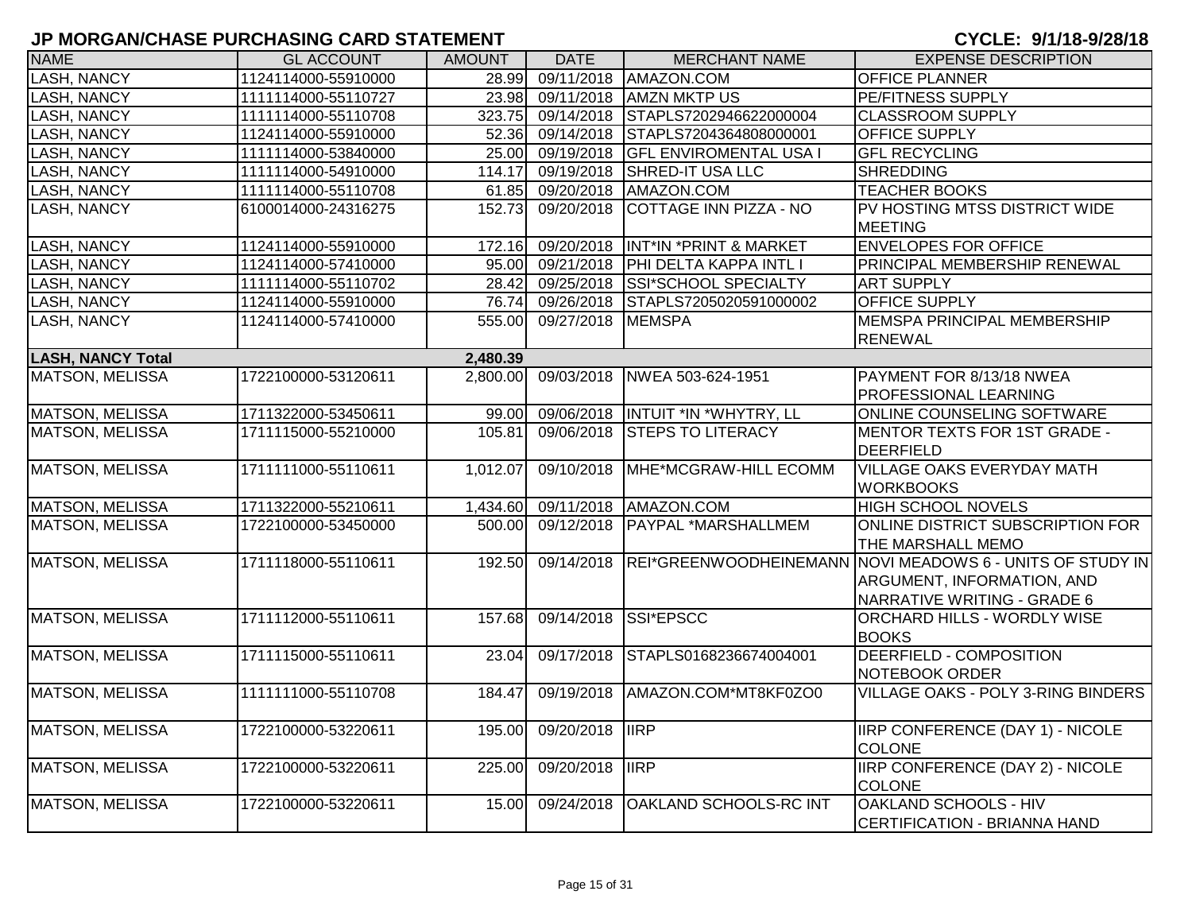| <b>NAME</b>              | <b>GL ACCOUNT</b>   | <b>AMOUNT</b> | <b>DATE</b>            | <b>MERCHANT NAME</b>               | <b>EXPENSE DESCRIPTION</b>                                                                                                               |
|--------------------------|---------------------|---------------|------------------------|------------------------------------|------------------------------------------------------------------------------------------------------------------------------------------|
| LASH, NANCY              | 1124114000-55910000 | 28.99         |                        | 09/11/2018 AMAZON.COM              | <b>OFFICE PLANNER</b>                                                                                                                    |
| LASH, NANCY              | 1111114000-55110727 | 23.98         |                        | 09/11/2018 AMZN MKTP US            | <b>PE/FITNESS SUPPLY</b>                                                                                                                 |
| LASH, NANCY              | 1111114000-55110708 | 323.75        |                        | 09/14/2018 STAPLS7202946622000004  | <b>CLASSROOM SUPPLY</b>                                                                                                                  |
| LASH, NANCY              | 1124114000-55910000 | 52.36         | 09/14/2018             | STAPLS7204364808000001             | <b>OFFICE SUPPLY</b>                                                                                                                     |
| LASH, NANCY              | 1111114000-53840000 | 25.00         | 09/19/2018             | <b>GFL ENVIROMENTAL USA I</b>      | <b>GFL RECYCLING</b>                                                                                                                     |
| LASH, NANCY              | 1111114000-54910000 | 114.17        | 09/19/2018             | <b>SHRED-IT USA LLC</b>            | <b>SHREDDING</b>                                                                                                                         |
| LASH, NANCY              | 1111114000-55110708 | 61.85         | 09/20/2018             | AMAZON.COM                         | <b>TEACHER BOOKS</b>                                                                                                                     |
| LASH, NANCY              | 6100014000-24316275 | 152.73        | 09/20/2018             | COTTAGE INN PIZZA - NO             | PV HOSTING MTSS DISTRICT WIDE<br>MEETING                                                                                                 |
| <b>LASH, NANCY</b>       | 1124114000-55910000 | 172.16        |                        | 09/20/2018  INT*IN *PRINT & MARKET | <b>ENVELOPES FOR OFFICE</b>                                                                                                              |
| LASH, NANCY              | 1124114000-57410000 | 95.00         | 09/21/2018             | <b>PHI DELTA KAPPA INTL I</b>      | <b>PRINCIPAL MEMBERSHIP RENEWAL</b>                                                                                                      |
| LASH, NANCY              | 1111114000-55110702 | 28.42         | 09/25/2018             | <b>SSI*SCHOOL SPECIALTY</b>        | <b>ART SUPPLY</b>                                                                                                                        |
| LASH, NANCY              | 1124114000-55910000 | 76.74         | 09/26/2018             | STAPLS7205020591000002             | <b>OFFICE SUPPLY</b>                                                                                                                     |
| LASH, NANCY              | 1124114000-57410000 | 555.00        | 09/27/2018             | <b>MEMSPA</b>                      | MEMSPA PRINCIPAL MEMBERSHIP<br><b>RENEWAL</b>                                                                                            |
| <b>LASH, NANCY Total</b> |                     | 2,480.39      |                        |                                    |                                                                                                                                          |
| MATSON, MELISSA          | 1722100000-53120611 | 2,800.00      | 09/03/2018             | NWEA 503-624-1951                  | PAYMENT FOR 8/13/18 NWEA<br><b>PROFESSIONAL LEARNING</b>                                                                                 |
| <b>MATSON, MELISSA</b>   | 1711322000-53450611 | 99.00         |                        | 09/06/2018  INTUIT *IN *WHYTRY, LL | <b>ONLINE COUNSELING SOFTWARE</b>                                                                                                        |
| <b>MATSON, MELISSA</b>   | 1711115000-55210000 | 105.81        | 09/06/2018             | <b>STEPS TO LITERACY</b>           | <b>IMENTOR TEXTS FOR 1ST GRADE -</b><br>DEERFIELD                                                                                        |
| <b>MATSON, MELISSA</b>   | 1711111000-55110611 | 1,012.07      | 09/10/2018             | MHE*MCGRAW-HILL ECOMM              | <b>VILLAGE OAKS EVERYDAY MATH</b><br><b>WORKBOOKS</b>                                                                                    |
| <b>MATSON, MELISSA</b>   | 1711322000-55210611 | 1,434.60      |                        | 09/11/2018 AMAZON.COM              | <b>HIGH SCHOOL NOVELS</b>                                                                                                                |
| <b>MATSON, MELISSA</b>   | 1722100000-53450000 | 500.00        |                        | 09/12/2018 PAYPAL *MARSHALLMEM     | ONLINE DISTRICT SUBSCRIPTION FOR<br>THE MARSHALL MEMO                                                                                    |
| <b>MATSON, MELISSA</b>   | 1711118000-55110611 | 192.50        |                        |                                    | 09/14/2018 REI*GREENWOODHEINEMANN NOVI MEADOWS 6 - UNITS OF STUDY IN<br><b>ARGUMENT, INFORMATION, AND</b><br>NARRATIVE WRITING - GRADE 6 |
| MATSON, MELISSA          | 1711112000-55110611 | 157.68        | 09/14/2018             | SSI*EPSCC                          | ORCHARD HILLS - WORDLY WISE<br><b>BOOKS</b>                                                                                              |
| <b>MATSON, MELISSA</b>   | 1711115000-55110611 | 23.04         | 09/17/2018             | STAPLS0168236674004001             | <b>DEERFIELD - COMPOSITION</b><br>NOTEBOOK ORDER                                                                                         |
| <b>MATSON, MELISSA</b>   | 1111111000-55110708 | 184.47        |                        | 09/19/2018   AMAZON.COM*MT8KF0ZO0  | <b>VILLAGE OAKS - POLY 3-RING BINDERS</b>                                                                                                |
| MATSON, MELISSA          | 1722100000-53220611 |               | 195.00 09/20/2018 IIRP |                                    | <b>IIRP CONFERENCE (DAY 1) - NICOLE</b><br>COLONE                                                                                        |
| <b>MATSON, MELISSA</b>   | 1722100000-53220611 | 225.00        | 09/20/2018  IRP        |                                    | <b>IIRP CONFERENCE (DAY 2) - NICOLE</b><br><b>COLONE</b>                                                                                 |
| <b>MATSON, MELISSA</b>   | 1722100000-53220611 | 15.00         | 09/24/2018             | <b>OAKLAND SCHOOLS-RC INT</b>      | OAKLAND SCHOOLS - HIV<br>CERTIFICATION - BRIANNA HAND                                                                                    |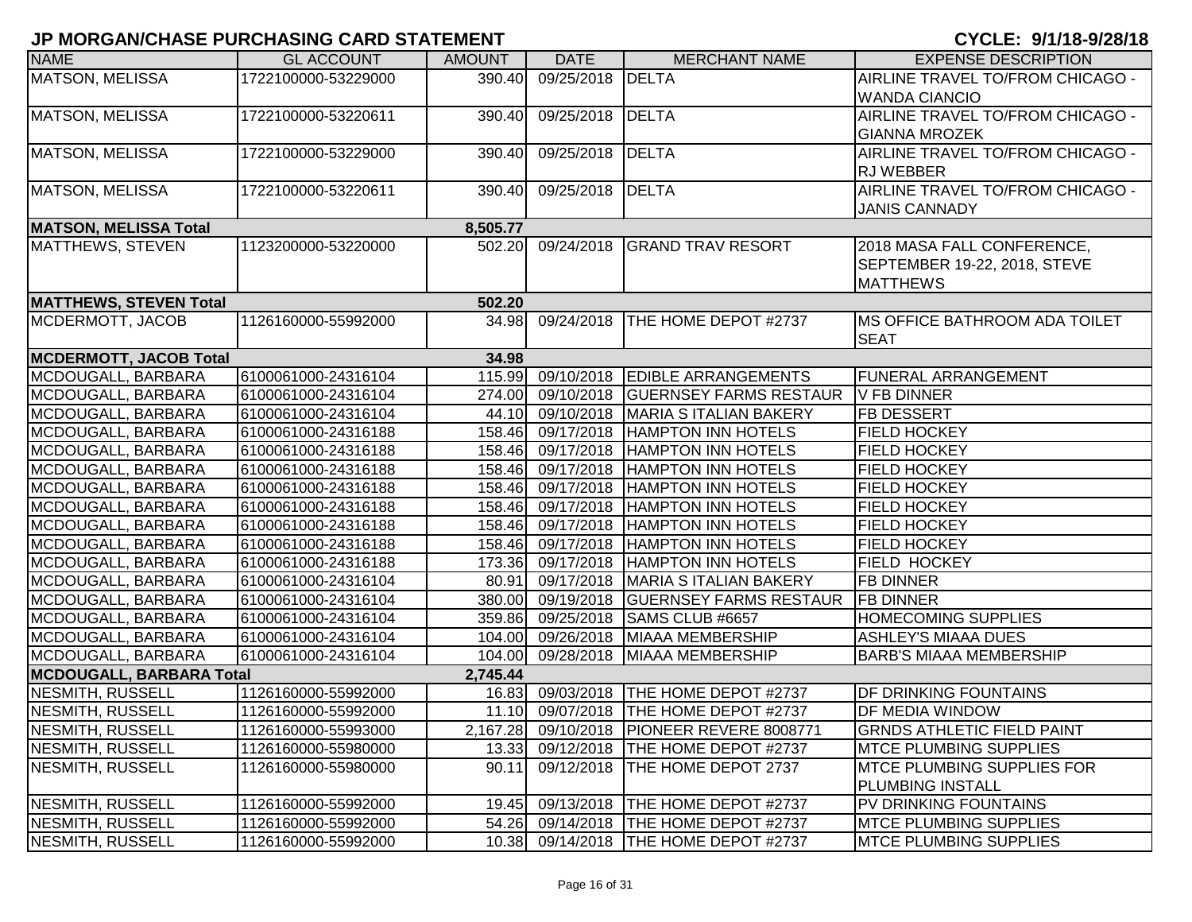| <b>NAME</b>                   | <b>GL ACCOUNT</b>   | <b>AMOUNT</b> | <b>DATE</b>       | <b>MERCHANT NAME</b>                       | <b>EXPENSE DESCRIPTION</b>            |
|-------------------------------|---------------------|---------------|-------------------|--------------------------------------------|---------------------------------------|
| <b>MATSON, MELISSA</b>        | 1722100000-53229000 | 390.40        | 09/25/2018        | DELTA                                      | AIRLINE TRAVEL TO/FROM CHICAGO -      |
|                               |                     |               |                   |                                            | <b>WANDA CIANCIO</b>                  |
| MATSON, MELISSA               | 1722100000-53220611 | 390.40        | 09/25/2018        | DELTA                                      | AIRLINE TRAVEL TO/FROM CHICAGO -      |
|                               |                     |               |                   |                                            | <b>GIANNA MROZEK</b>                  |
| <b>MATSON, MELISSA</b>        | 1722100000-53229000 | 390.40        | 09/25/2018        | <b>DELTA</b>                               | AIRLINE TRAVEL TO/FROM CHICAGO -      |
|                               |                     |               |                   |                                            | <b>RJ WEBBER</b>                      |
| MATSON, MELISSA               | 1722100000-53220611 | 390.40        | 09/25/2018        | DELTA                                      | AIRLINE TRAVEL TO/FROM CHICAGO -      |
|                               |                     |               |                   |                                            | <b>JANIS CANNADY</b>                  |
| <b>MATSON, MELISSA Total</b>  |                     | 8,505.77      |                   |                                            |                                       |
| <b>MATTHEWS, STEVEN</b>       | 1123200000-53220000 | 502.20        | 09/24/2018        | <b>GRAND TRAV RESORT</b>                   | 2018 MASA FALL CONFERENCE,            |
|                               |                     |               |                   |                                            | SEPTEMBER 19-22, 2018, STEVE          |
|                               |                     |               |                   |                                            | <b>MATTHEWS</b>                       |
| <b>MATTHEWS, STEVEN Total</b> |                     | 502.20        |                   |                                            |                                       |
| MCDERMOTT, JACOB              | 1126160000-55992000 | 34.98         | 09/24/2018        | THE HOME DEPOT #2737                       | <b>IMS OFFICE BATHROOM ADA TOILET</b> |
|                               |                     |               |                   |                                            | <b>SEAT</b>                           |
| <b>MCDERMOTT, JACOB Total</b> |                     | 34.98         |                   |                                            |                                       |
| MCDOUGALL, BARBARA            | 6100061000-24316104 | 115.99        | 09/10/2018        | <b>EDIBLE ARRANGEMENTS</b>                 | <b>FUNERAL ARRANGEMENT</b>            |
| MCDOUGALL, BARBARA            | 6100061000-24316104 | 274.00        | 09/10/2018        | <b>GUERNSEY FARMS RESTAUR</b>              | V FB DINNER                           |
| MCDOUGALL, BARBARA            | 6100061000-24316104 |               | 44.10 09/10/2018  | MARIA S ITALIAN BAKERY                     | <b>FB DESSERT</b>                     |
| MCDOUGALL, BARBARA            | 6100061000-24316188 |               | 158.46 09/17/2018 | <b>HAMPTON INN HOTELS</b>                  | <b>FIELD HOCKEY</b>                   |
| MCDOUGALL, BARBARA            | 6100061000-24316188 |               | 158.46 09/17/2018 | <b>HAMPTON INN HOTELS</b>                  | <b>FIELD HOCKEY</b>                   |
| MCDOUGALL, BARBARA            | 6100061000-24316188 | 158.46        | 09/17/2018        | <b>HAMPTON INN HOTELS</b>                  | <b>FIELD HOCKEY</b>                   |
| MCDOUGALL, BARBARA            | 6100061000-24316188 | 158.46        | 09/17/2018        | <b>HAMPTON INN HOTELS</b>                  | <b>FIELD HOCKEY</b>                   |
| MCDOUGALL, BARBARA            | 6100061000-24316188 | 158.46        | 09/17/2018        | <b>HAMPTON INN HOTELS</b>                  | <b>FIELD HOCKEY</b>                   |
| MCDOUGALL, BARBARA            | 6100061000-24316188 | 158.46        | 09/17/2018        | <b>HAMPTON INN HOTELS</b>                  | <b>FIELD HOCKEY</b>                   |
| MCDOUGALL, BARBARA            | 6100061000-24316188 | 158.46        | 09/17/2018        | <b>HAMPTON INN HOTELS</b>                  | <b>FIELD HOCKEY</b>                   |
| MCDOUGALL, BARBARA            | 6100061000-24316188 | 173.36        | 09/17/2018        | <b>HAMPTON INN HOTELS</b>                  | <b>FIELD HOCKEY</b>                   |
| MCDOUGALL, BARBARA            | 6100061000-24316104 | 80.91         | 09/17/2018        | MARIA S ITALIAN BAKERY                     | <b>FB DINNER</b>                      |
| MCDOUGALL, BARBARA            | 6100061000-24316104 |               | 380.00 09/19/2018 | <b>GUERNSEY FARMS RESTAUR</b>              | <b>FB DINNER</b>                      |
| MCDOUGALL, BARBARA            | 6100061000-24316104 | 359.86        | 09/25/2018        | SAMS CLUB #6657                            | <b>HOMECOMING SUPPLIES</b>            |
| MCDOUGALL, BARBARA            | 6100061000-24316104 |               | 104.00 09/26/2018 | MIAAA MEMBERSHIP                           | <b>ASHLEY'S MIAAA DUES</b>            |
| MCDOUGALL, BARBARA            | 6100061000-24316104 | 104.00        | 09/28/2018        | MIAAA MEMBERSHIP                           | <b>BARB'S MIAAA MEMBERSHIP</b>        |
| MCDOUGALL, BARBARA Total      |                     | 2,745.44      |                   |                                            |                                       |
| NESMITH, RUSSELL              | 1126160000-55992000 | 16.83         | 09/03/2018        | THE HOME DEPOT #2737                       | DF DRINKING FOUNTAINS                 |
| NESMITH, RUSSELL              | 1126160000-55992000 |               |                   | 11.10 09/07/2018 THE HOME DEPOT #2737      | DF MEDIA WINDOW                       |
| NESMITH, RUSSELL              | 1126160000-55993000 |               |                   | 2,167.28 09/10/2018 PIONEER REVERE 8008771 | <b>GRNDS ATHLETIC FIELD PAINT</b>     |
| NESMITH, RUSSELL              | 1126160000-55980000 | 13.33         | 09/12/2018        | <b>THE HOME DEPOT #2737</b>                | <b>IMTCE PLUMBING SUPPLIES</b>        |
| NESMITH, RUSSELL              | 1126160000-55980000 | 90.11         | 09/12/2018        | THE HOME DEPOT 2737                        | <b>IMTCE PLUMBING SUPPLIES FOR</b>    |
|                               |                     |               |                   |                                            | PLUMBING INSTALL                      |
| NESMITH, RUSSELL              | 1126160000-55992000 | 19.45         |                   | 09/13/2018   THE HOME DEPOT #2737          | PV DRINKING FOUNTAINS                 |
| NESMITH, RUSSELL              | 1126160000-55992000 | 54.26         |                   | 09/14/2018   THE HOME DEPOT #2737          | <b>MTCE PLUMBING SUPPLIES</b>         |
| NESMITH, RUSSELL              | 1126160000-55992000 |               |                   | 10.38 09/14/2018 THE HOME DEPOT #2737      | <b>MTCE PLUMBING SUPPLIES</b>         |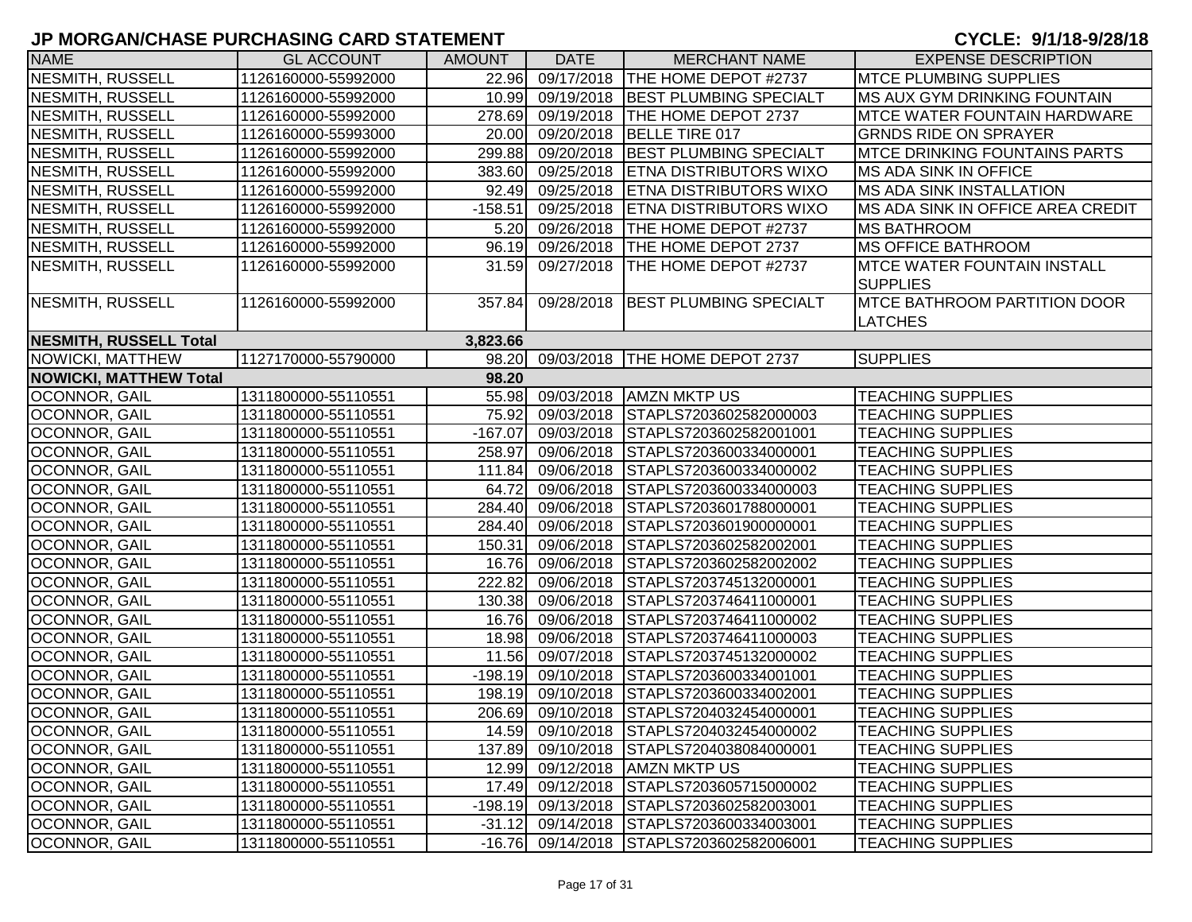| <b>NAME</b>                   | <b>GL ACCOUNT</b>   | <b>AMOUNT</b> | <b>DATE</b>       | <b>MERCHANT NAME</b>                     | <b>EXPENSE DESCRIPTION</b>                             |
|-------------------------------|---------------------|---------------|-------------------|------------------------------------------|--------------------------------------------------------|
| NESMITH, RUSSELL              | 1126160000-55992000 | 22.96         | 09/17/2018        | <b>THE HOME DEPOT #2737</b>              | <b>MTCE PLUMBING SUPPLIES</b>                          |
| NESMITH, RUSSELL              | 1126160000-55992000 |               | 10.99 09/19/2018  | <b>BEST PLUMBING SPECIALT</b>            | <b>MS AUX GYM DRINKING FOUNTAIN</b>                    |
| NESMITH, RUSSELL              | 1126160000-55992000 | 278.69        | 09/19/2018        | <b>THE HOME DEPOT 2737</b>               | <b>MTCE WATER FOUNTAIN HARDWARE</b>                    |
| NESMITH, RUSSELL              | 1126160000-55993000 | 20.00         | 09/20/2018        | BELLE TIRE 017                           | <b>GRNDS RIDE ON SPRAYER</b>                           |
| NESMITH, RUSSELL              | 1126160000-55992000 | 299.88        | 09/20/2018        | <b>BEST PLUMBING SPECIALT</b>            | <b>IMTCE DRINKING FOUNTAINS PARTS</b>                  |
| NESMITH, RUSSELL              | 1126160000-55992000 |               | 383.60 09/25/2018 | <b>ETNA DISTRIBUTORS WIXO</b>            | MS ADA SINK IN OFFICE                                  |
| NESMITH, RUSSELL              | 1126160000-55992000 | 92.49         | 09/25/2018        | <b>ETNA DISTRIBUTORS WIXO</b>            | <b>MS ADA SINK INSTALLATION</b>                        |
| NESMITH, RUSSELL              | 1126160000-55992000 | $-158.51$     | 09/25/2018        | <b>ETNA DISTRIBUTORS WIXO</b>            | <b>IMS ADA SINK IN OFFICE AREA CREDIT</b>              |
| NESMITH, RUSSELL              | 1126160000-55992000 | 5.20          | 09/26/2018        | THE HOME DEPOT #2737                     | <b>MS BATHROOM</b>                                     |
| NESMITH, RUSSELL              | 1126160000-55992000 | 96.19         | 09/26/2018        | THE HOME DEPOT 2737                      | <b>MS OFFICE BATHROOM</b>                              |
| NESMITH, RUSSELL              | 1126160000-55992000 | 31.59         | 09/27/2018        | THE HOME DEPOT #2737                     | <b>IMTCE WATER FOUNTAIN INSTALL</b><br><b>SUPPLIES</b> |
| NESMITH, RUSSELL              | 1126160000-55992000 | 357.84        | 09/28/2018        | <b>BEST PLUMBING SPECIALT</b>            | <b>MTCE BATHROOM PARTITION DOOR</b><br><b>LATCHES</b>  |
| NESMITH, RUSSELL Total        |                     | 3,823.66      |                   |                                          |                                                        |
| NOWICKI, MATTHEW              | 1127170000-55790000 | 98.20         | 09/03/2018        | THE HOME DEPOT 2737                      | <b>SUPPLIES</b>                                        |
| <b>NOWICKI, MATTHEW Total</b> |                     | 98.20         |                   |                                          |                                                        |
| OCONNOR, GAIL                 | 1311800000-55110551 | 55.98         |                   | 09/03/2018 AMZN MKTP US                  | <b>TEACHING SUPPLIES</b>                               |
| OCONNOR, GAIL                 | 1311800000-55110551 | 75.92         | 09/03/2018        | STAPLS7203602582000003                   | <b>TEACHING SUPPLIES</b>                               |
| OCONNOR, GAIL                 | 1311800000-55110551 | $-167.07$     | 09/03/2018        | STAPLS7203602582001001                   | <b>TEACHING SUPPLIES</b>                               |
| OCONNOR, GAIL                 | 1311800000-55110551 | 258.97        | 09/06/2018        | STAPLS7203600334000001                   | <b>TEACHING SUPPLIES</b>                               |
| OCONNOR, GAIL                 | 1311800000-55110551 | 111.84        | 09/06/2018        | STAPLS7203600334000002                   | <b>TEACHING SUPPLIES</b>                               |
| OCONNOR, GAIL                 | 1311800000-55110551 | 64.72         | 09/06/2018        | STAPLS7203600334000003                   | <b>TEACHING SUPPLIES</b>                               |
| OCONNOR, GAIL                 | 1311800000-55110551 | 284.40        | 09/06/2018        | STAPLS7203601788000001                   | <b>TEACHING SUPPLIES</b>                               |
| OCONNOR, GAIL                 | 1311800000-55110551 |               | 284.40 09/06/2018 | STAPLS7203601900000001                   | <b>TEACHING SUPPLIES</b>                               |
| <b>OCONNOR, GAIL</b>          | 1311800000-55110551 | 150.31        | 09/06/2018        | STAPLS7203602582002001                   | <b>TEACHING SUPPLIES</b>                               |
| OCONNOR, GAIL                 | 1311800000-55110551 | 16.76         | 09/06/2018        | STAPLS7203602582002002                   | <b>TEACHING SUPPLIES</b>                               |
| OCONNOR, GAIL                 | 1311800000-55110551 | 222.82        | 09/06/2018        | STAPLS7203745132000001                   | <b>TEACHING SUPPLIES</b>                               |
| OCONNOR, GAIL                 | 1311800000-55110551 | 130.38        | 09/06/2018        | STAPLS7203746411000001                   | <b>TEACHING SUPPLIES</b>                               |
| OCONNOR, GAIL                 | 1311800000-55110551 | 16.76         | 09/06/2018        | STAPLS7203746411000002                   | <b>TEACHING SUPPLIES</b>                               |
| OCONNOR, GAIL                 | 1311800000-55110551 | 18.98         | 09/06/2018        | STAPLS7203746411000003                   | <b>TEACHING SUPPLIES</b>                               |
| OCONNOR, GAIL                 | 1311800000-55110551 | 11.56         | 09/07/2018        | STAPLS7203745132000002                   | <b>TEACHING SUPPLIES</b>                               |
| OCONNOR, GAIL                 | 1311800000-55110551 | $-198.19$     | 09/10/2018        | STAPLS7203600334001001                   | <b>TEACHING SUPPLIES</b>                               |
| OCONNOR, GAIL                 | 1311800000-55110551 | 198.19        | 09/10/2018        | STAPLS7203600334002001                   | <b>TEACHING SUPPLIES</b>                               |
| OCONNOR, GAIL                 | 1311800000-55110551 |               | 206.69 09/10/2018 | STAPLS7204032454000001                   | <b>TEACHING SUPPLIES</b>                               |
| <b>OCONNOR, GAIL</b>          | 1311800000-55110551 |               |                   | 14.59 09/10/2018 STAPLS7204032454000002  | <b>TEACHING SUPPLIES</b>                               |
| OCONNOR, GAIL                 | 1311800000-55110551 | 137.89        | 09/10/2018        | STAPLS7204038084000001                   | <b>TEACHING SUPPLIES</b>                               |
| OCONNOR, GAIL                 | 1311800000-55110551 |               | 12.99 09/12/2018  | <b>AMZN MKTP US</b>                      | <b>TEACHING SUPPLIES</b>                               |
| OCONNOR, GAIL                 | 1311800000-55110551 |               | 17.49 09/12/2018  | STAPLS7203605715000002                   | <b>TEACHING SUPPLIES</b>                               |
| OCONNOR, GAIL                 | 1311800000-55110551 | $-198.19$     | 09/13/2018        | STAPLS7203602582003001                   | <b>TEACHING SUPPLIES</b>                               |
| OCONNOR, GAIL                 | 1311800000-55110551 | $-31.12$      | 09/14/2018        | STAPLS7203600334003001                   | <b>TEACHING SUPPLIES</b>                               |
| OCONNOR, GAIL                 | 1311800000-55110551 |               |                   | -16.76 09/14/2018 STAPLS7203602582006001 | <b>TEACHING SUPPLIES</b>                               |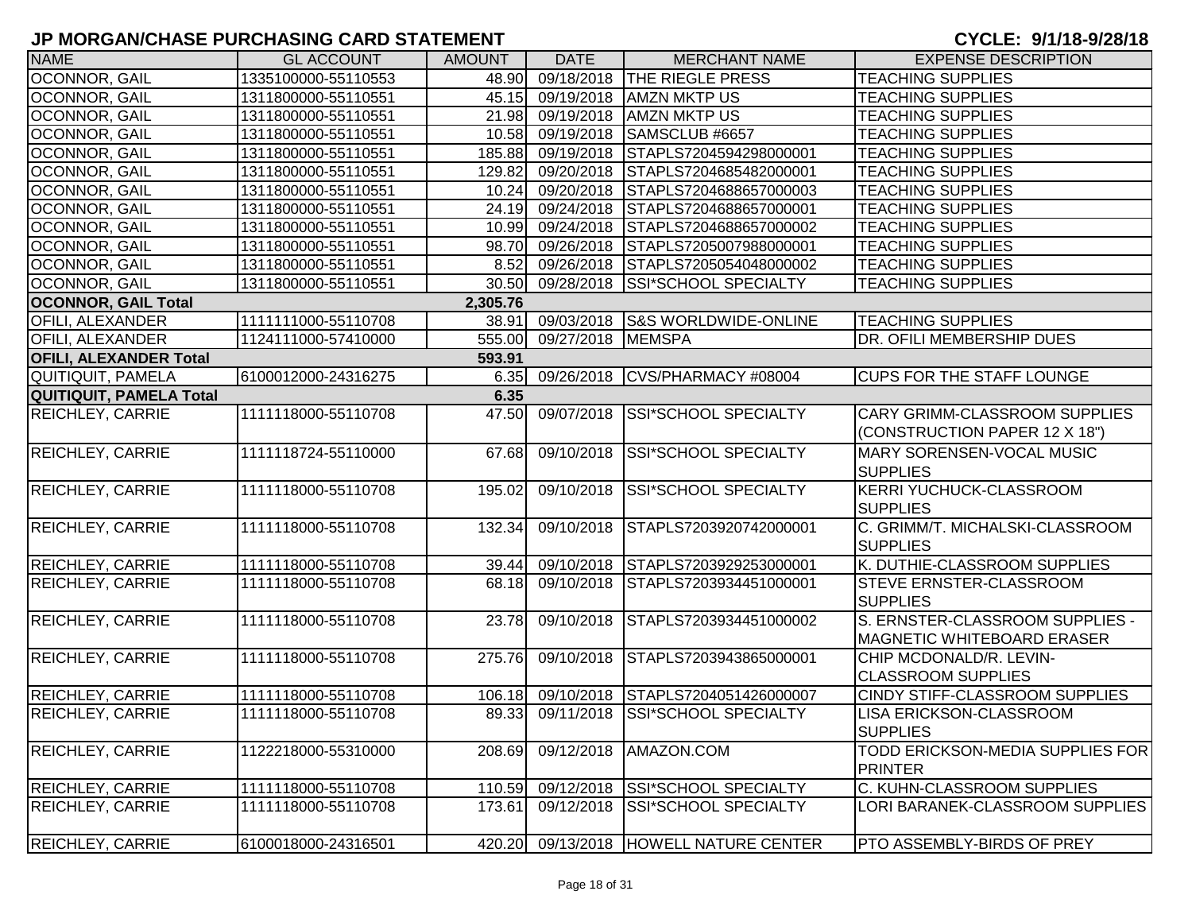| <b>NAME</b>                   | <b>GL ACCOUNT</b>   | <b>AMOUNT</b> | <b>DATE</b>      | <b>MERCHANT NAME</b>              | <b>EXPENSE DESCRIPTION</b>                                           |
|-------------------------------|---------------------|---------------|------------------|-----------------------------------|----------------------------------------------------------------------|
| <b>OCONNOR, GAIL</b>          | 1335100000-55110553 | 48.90         |                  | 09/18/2018 THE RIEGLE PRESS       | <b>TEACHING SUPPLIES</b>                                             |
| OCONNOR, GAIL                 | 1311800000-55110551 | 45.15         | 09/19/2018       | <b>AMZN MKTP US</b>               | <b>TEACHING SUPPLIES</b>                                             |
| OCONNOR, GAIL                 | 1311800000-55110551 | 21.98         | 09/19/2018       | <b>AMZN MKTP US</b>               | <b>TEACHING SUPPLIES</b>                                             |
| OCONNOR, GAIL                 | 1311800000-55110551 |               | 10.58 09/19/2018 | SAMSCLUB #6657                    | <b>TEACHING SUPPLIES</b>                                             |
| OCONNOR, GAIL                 | 1311800000-55110551 | 185.88        | 09/19/2018       | STAPLS7204594298000001            | <b>TEACHING SUPPLIES</b>                                             |
| <b>OCONNOR, GAIL</b>          | 1311800000-55110551 | 129.82        | 09/20/2018       | STAPLS7204685482000001            | <b>TEACHING SUPPLIES</b>                                             |
| <b>OCONNOR, GAIL</b>          | 1311800000-55110551 | 10.24         | 09/20/2018       | STAPLS7204688657000003            | <b>TEACHING SUPPLIES</b>                                             |
| OCONNOR, GAIL                 | 1311800000-55110551 |               | 24.19 09/24/2018 | STAPLS7204688657000001            | <b>TEACHING SUPPLIES</b>                                             |
| OCONNOR, GAIL                 | 1311800000-55110551 |               | 10.99 09/24/2018 | STAPLS7204688657000002            | <b>TEACHING SUPPLIES</b>                                             |
| <b>OCONNOR, GAIL</b>          | 1311800000-55110551 |               | 98.70 09/26/2018 | STAPLS7205007988000001            | <b>TEACHING SUPPLIES</b>                                             |
| <b>OCONNOR, GAIL</b>          | 1311800000-55110551 | 8.52          | 09/26/2018       | STAPLS7205054048000002            | <b>TEACHING SUPPLIES</b>                                             |
| OCONNOR, GAIL                 | 1311800000-55110551 | 30.50         | 09/28/2018       | <b>SSI*SCHOOL SPECIALTY</b>       | <b>TEACHING SUPPLIES</b>                                             |
| <b>OCONNOR, GAIL Total</b>    |                     | 2,305.76      |                  |                                   |                                                                      |
| <b>OFILI, ALEXANDER</b>       | 1111111000-55110708 | 38.91         |                  | 09/03/2018 S&S WORLDWIDE-ONLINE   | <b>TEACHING SUPPLIES</b>                                             |
| <b>OFILI, ALEXANDER</b>       | 1124111000-57410000 | 555.00        | 09/27/2018       | <b>MEMSPA</b>                     | DR. OFILI MEMBERSHIP DUES                                            |
| <b>OFILI, ALEXANDER Total</b> |                     | 593.91        |                  |                                   |                                                                      |
| QUITIQUIT, PAMELA             | 6100012000-24316275 | 6.35          | 09/26/2018       | CVS/PHARMACY #08004               | <b>CUPS FOR THE STAFF LOUNGE</b>                                     |
| QUITIQUIT, PAMELA Total       |                     | 6.35          |                  |                                   |                                                                      |
| <b>REICHLEY, CARRIE</b>       | 1111118000-55110708 | 47.50         | 09/07/2018       | <b>SSI*SCHOOL SPECIALTY</b>       | CARY GRIMM-CLASSROOM SUPPLIES<br>(CONSTRUCTION PAPER 12 X 18")       |
| <b>REICHLEY, CARRIE</b>       | 1111118724-55110000 | 67.68         | 09/10/2018       | SSI*SCHOOL SPECIALTY              | MARY SORENSEN-VOCAL MUSIC                                            |
|                               |                     |               |                  |                                   | <b>SUPPLIES</b>                                                      |
| <b>REICHLEY, CARRIE</b>       | 1111118000-55110708 | 195.02        | 09/10/2018       | SSI*SCHOOL SPECIALTY              | KERRI YUCHUCK-CLASSROOM<br><b>SUPPLIES</b>                           |
| <b>REICHLEY, CARRIE</b>       | 1111118000-55110708 | 132.34        | 09/10/2018       | STAPLS7203920742000001            | C. GRIMM/T. MICHALSKI-CLASSROOM<br><b>SUPPLIES</b>                   |
| <b>REICHLEY, CARRIE</b>       | 1111118000-55110708 | 39.44         | 09/10/2018       | STAPLS7203929253000001            | K. DUTHIE-CLASSROOM SUPPLIES                                         |
| <b>REICHLEY, CARRIE</b>       | 1111118000-55110708 | 68.18         | 09/10/2018       | STAPLS7203934451000001            | <b>STEVE ERNSTER-CLASSROOM</b><br><b>SUPPLIES</b>                    |
| <b>REICHLEY, CARRIE</b>       | 1111118000-55110708 | 23.78         | 09/10/2018       | STAPLS7203934451000002            | S. ERNSTER-CLASSROOM SUPPLIES -<br><b>MAGNETIC WHITEBOARD ERASER</b> |
| <b>REICHLEY, CARRIE</b>       | 1111118000-55110708 | 275.76        | 09/10/2018       | STAPLS7203943865000001            | CHIP MCDONALD/R. LEVIN-<br><b>CLASSROOM SUPPLIES</b>                 |
| <b>REICHLEY, CARRIE</b>       | 1111118000-55110708 | 106.18        |                  | 09/10/2018 STAPLS7204051426000007 | <b>CINDY STIFF-CLASSROOM SUPPLIES</b>                                |
| <b>REICHLEY, CARRIE</b>       | 1111118000-55110708 | 89.33         |                  | 09/11/2018 SSI*SCHOOL SPECIALTY   | <b>LISA ERICKSON-CLASSROOM</b><br><b>SUPPLIES</b>                    |
| <b>REICHLEY, CARRIE</b>       | 1122218000-55310000 | 208.69        | 09/12/2018       | AMAZON.COM                        | TODD ERICKSON-MEDIA SUPPLIES FOR<br>PRINTER                          |
| <b>REICHLEY, CARRIE</b>       | 1111118000-55110708 | 110.59        | 09/12/2018       | SSI*SCHOOL SPECIALTY              | C. KUHN-CLASSROOM SUPPLIES                                           |
| <b>REICHLEY, CARRIE</b>       | 1111118000-55110708 | 173.61        | 09/12/2018       | SSI*SCHOOL SPECIALTY              | LORI BARANEK-CLASSROOM SUPPLIES                                      |
| <b>REICHLEY, CARRIE</b>       | 6100018000-24316501 | 420.20        |                  | 09/13/2018 HOWELL NATURE CENTER   | <b>PTO ASSEMBLY-BIRDS OF PREY</b>                                    |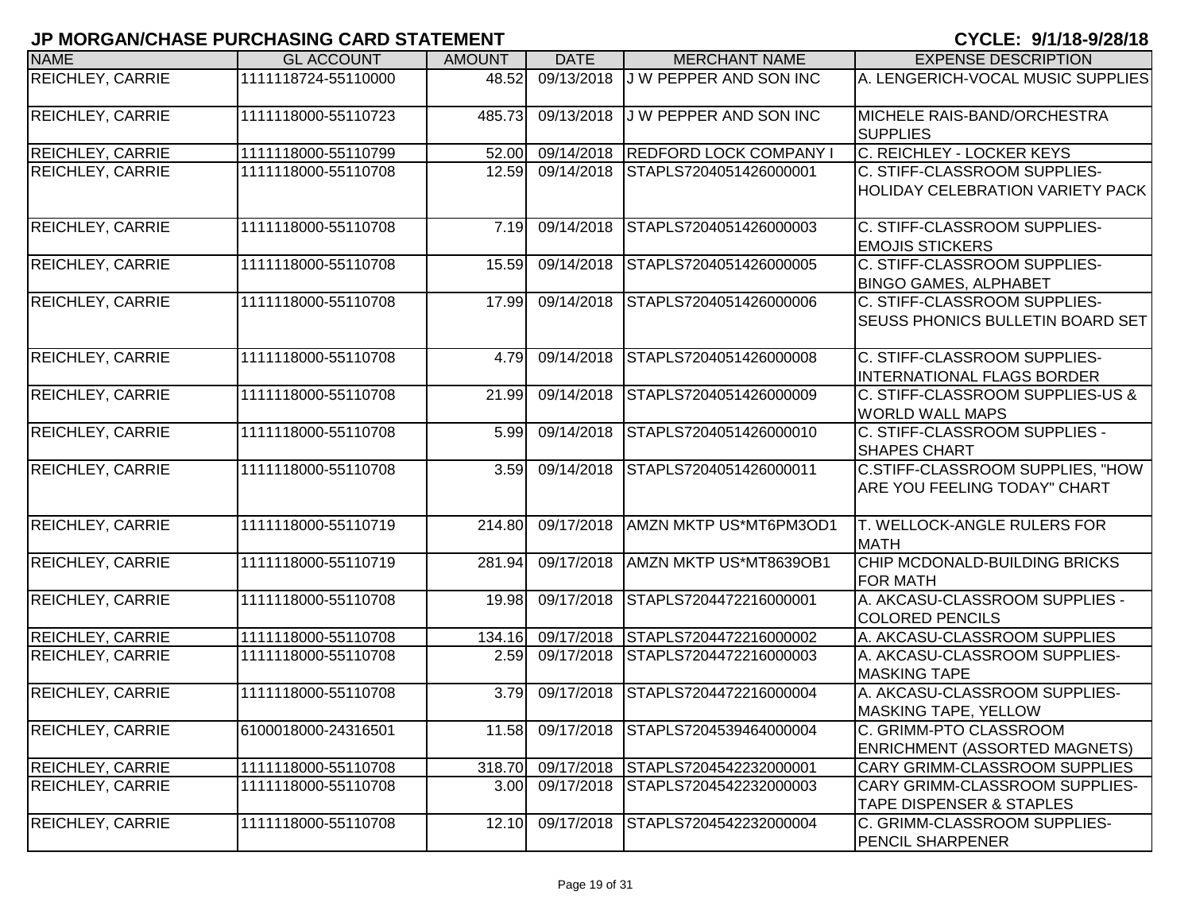| <b>NAME</b>             | <b>GL ACCOUNT</b>   | <b>AMOUNT</b>      | <b>DATE</b> | <b>MERCHANT NAME</b>        | <b>EXPENSE DESCRIPTION</b>                                              |
|-------------------------|---------------------|--------------------|-------------|-----------------------------|-------------------------------------------------------------------------|
| REICHLEY, CARRIE        | 1111118724-55110000 | 48.52              | 09/13/2018  | J W PEPPER AND SON INC      | A. LENGERICH-VOCAL MUSIC SUPPLIES                                       |
| <b>REICHLEY, CARRIE</b> | 1111118000-55110723 | 485.73             | 09/13/2018  | J W PEPPER AND SON INC      | MICHELE RAIS-BAND/ORCHESTRA<br><b>SUPPLIES</b>                          |
| <b>REICHLEY, CARRIE</b> | 1111118000-55110799 | 52.00              | 09/14/2018  | <b>REDFORD LOCK COMPANY</b> | C. REICHLEY - LOCKER KEYS                                               |
| <b>REICHLEY, CARRIE</b> | 1111118000-55110708 | 12.59              | 09/14/2018  | STAPLS7204051426000001      | C. STIFF-CLASSROOM SUPPLIES-<br><b>HOLIDAY CELEBRATION VARIETY PACK</b> |
| <b>REICHLEY, CARRIE</b> | 1111118000-55110708 | 7.19               | 09/14/2018  | STAPLS7204051426000003      | C. STIFF-CLASSROOM SUPPLIES-<br><b>EMOJIS STICKERS</b>                  |
| <b>REICHLEY, CARRIE</b> | 1111118000-55110708 | 15.59              | 09/14/2018  | STAPLS7204051426000005      | C. STIFF-CLASSROOM SUPPLIES-<br><b>BINGO GAMES, ALPHABET</b>            |
| <b>REICHLEY, CARRIE</b> | 1111118000-55110708 | 17.99              | 09/14/2018  | STAPLS7204051426000006      | C. STIFF-CLASSROOM SUPPLIES-<br>SEUSS PHONICS BULLETIN BOARD SET        |
| <b>REICHLEY, CARRIE</b> | 1111118000-55110708 | 4.79               | 09/14/2018  | STAPLS7204051426000008      | C. STIFF-CLASSROOM SUPPLIES-<br><b>INTERNATIONAL FLAGS BORDER</b>       |
| <b>REICHLEY, CARRIE</b> | 1111118000-55110708 | $\overline{2}1.99$ | 09/14/2018  | STAPLS7204051426000009      | C. STIFF-CLASSROOM SUPPLIES-US &<br><b>WORLD WALL MAPS</b>              |
| <b>REICHLEY, CARRIE</b> | 1111118000-55110708 | 5.99               | 09/14/2018  | STAPLS7204051426000010      | C. STIFF-CLASSROOM SUPPLIES -<br><b>SHAPES CHART</b>                    |
| <b>REICHLEY, CARRIE</b> | 1111118000-55110708 | 3.59               | 09/14/2018  | STAPLS7204051426000011      | C.STIFF-CLASSROOM SUPPLIES, "HOW<br><b>ARE YOU FEELING TODAY" CHART</b> |
| <b>REICHLEY, CARRIE</b> | 1111118000-55110719 | 214.80             | 09/17/2018  | AMZN MKTP US*MT6PM3OD1      | T. WELLOCK-ANGLE RULERS FOR<br><b>MATH</b>                              |
| <b>REICHLEY, CARRIE</b> | 1111118000-55110719 | 281.94             | 09/17/2018  | AMZN MKTP US*MT8639OB1      | CHIP MCDONALD-BUILDING BRICKS<br><b>FOR MATH</b>                        |
| <b>REICHLEY, CARRIE</b> | 1111118000-55110708 | 19.98              | 09/17/2018  | STAPLS7204472216000001      | A. AKCASU-CLASSROOM SUPPLIES -<br>COLORED PENCILS                       |
| <b>REICHLEY, CARRIE</b> | 1111118000-55110708 | 134.16             | 09/17/2018  | STAPLS7204472216000002      | A. AKCASU-CLASSROOM SUPPLIES                                            |
| <b>REICHLEY, CARRIE</b> | 1111118000-55110708 | 2.59               | 09/17/2018  | STAPLS7204472216000003      | A. AKCASU-CLASSROOM SUPPLIES-<br><b>MASKING TAPE</b>                    |
| <b>REICHLEY, CARRIE</b> | 1111118000-55110708 | 3.79               | 09/17/2018  | STAPLS7204472216000004      | A. AKCASU-CLASSROOM SUPPLIES-<br><b>MASKING TAPE, YELLOW</b>            |
| <b>REICHLEY, CARRIE</b> | 6100018000-24316501 | 11.58              | 09/17/2018  | STAPLS7204539464000004      | C. GRIMM-PTO CLASSROOM<br><b>ENRICHMENT (ASSORTED MAGNETS)</b>          |
| <b>REICHLEY, CARRIE</b> | 1111118000-55110708 | 318.70             | 09/17/2018  | STAPLS7204542232000001      | CARY GRIMM-CLASSROOM SUPPLIES                                           |
| <b>REICHLEY, CARRIE</b> | 1111118000-55110708 | 3.00               | 09/17/2018  | STAPLS7204542232000003      | CARY GRIMM-CLASSROOM SUPPLIES-<br><b>TAPE DISPENSER &amp; STAPLES</b>   |
| <b>REICHLEY, CARRIE</b> | 1111118000-55110708 | 12.10              | 09/17/2018  | STAPLS7204542232000004      | C. GRIMM-CLASSROOM SUPPLIES-<br><b>PENCIL SHARPENER</b>                 |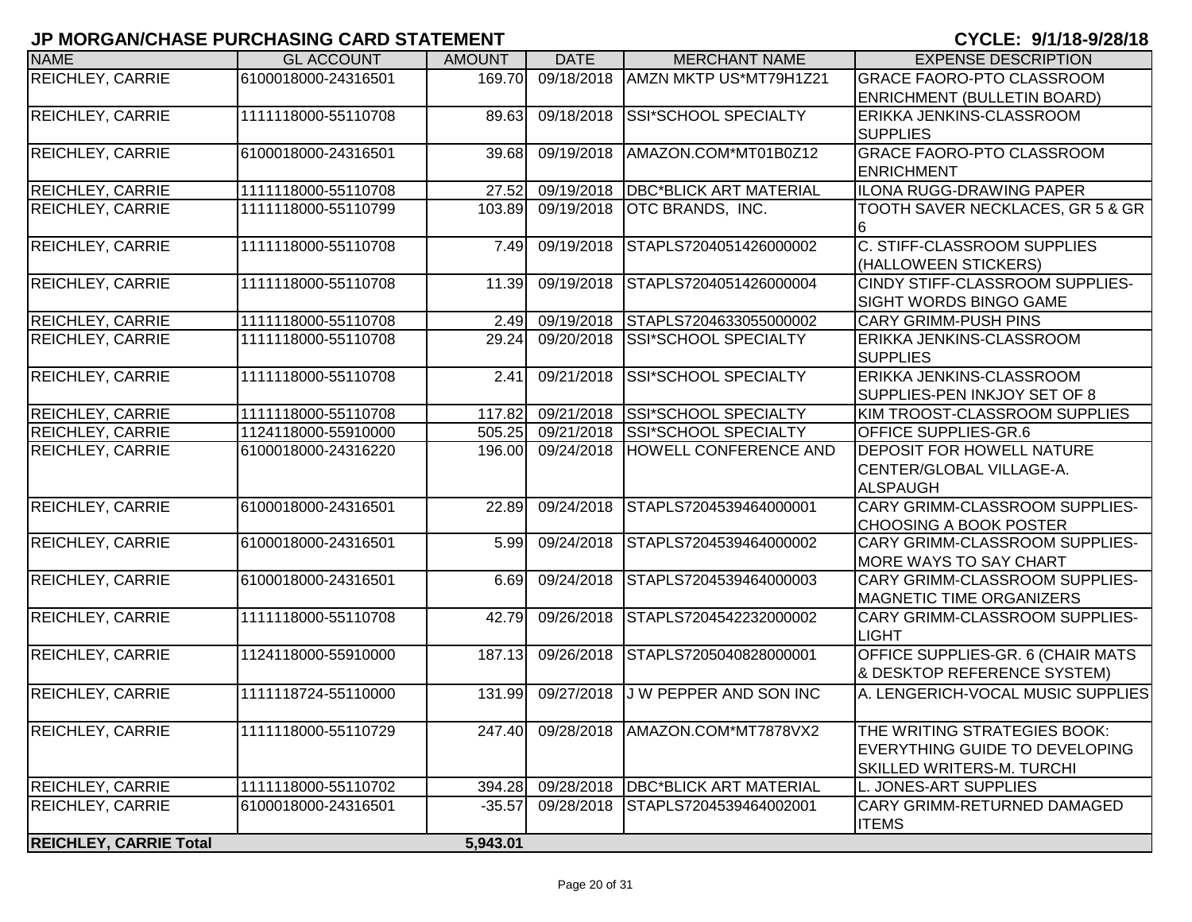| <b>NAME</b>                   | <b>GL ACCOUNT</b>   | <b>AMOUNT</b> | <b>DATE</b> | <b>MERCHANT NAME</b>              | <b>EXPENSE DESCRIPTION</b>                     |
|-------------------------------|---------------------|---------------|-------------|-----------------------------------|------------------------------------------------|
| <b>REICHLEY, CARRIE</b>       | 6100018000-24316501 | 169.70        | 09/18/2018  | AMZN MKTP US*MT79H1Z21            | <b>GRACE FAORO-PTO CLASSROOM</b>               |
|                               |                     |               |             |                                   | ENRICHMENT (BULLETIN BOARD)                    |
| <b>REICHLEY, CARRIE</b>       | 1111118000-55110708 | 89.63         | 09/18/2018  | SSI*SCHOOL SPECIALTY              | ERIKKA JENKINS-CLASSROOM                       |
|                               |                     |               |             |                                   | <b>SUPPLIES</b>                                |
| <b>REICHLEY, CARRIE</b>       | 6100018000-24316501 | 39.68         | 09/19/2018  | AMAZON.COM*MT01B0Z12              | <b>GRACE FAORO-PTO CLASSROOM</b>               |
|                               |                     |               |             |                                   | <b>ENRICHMENT</b>                              |
| <b>REICHLEY, CARRIE</b>       | 1111118000-55110708 | 27.52         | 09/19/2018  | <b>DBC*BLICK ART MATERIAL</b>     | ILONA RUGG-DRAWING PAPER                       |
| <b>REICHLEY, CARRIE</b>       | 1111118000-55110799 | 103.89        | 09/19/2018  | OTC BRANDS, INC.                  | <b>TOOTH SAVER NECKLACES, GR 5 &amp; GR</b>    |
| <b>REICHLEY, CARRIE</b>       | 1111118000-55110708 | 7.49          | 09/19/2018  | STAPLS7204051426000002            | 6<br><b>C. STIFF-CLASSROOM SUPPLIES</b>        |
|                               |                     |               |             |                                   | (HALLOWEEN STICKERS)                           |
| <b>REICHLEY, CARRIE</b>       | 1111118000-55110708 | 11.39         | 09/19/2018  | STAPLS7204051426000004            | CINDY STIFF-CLASSROOM SUPPLIES-                |
|                               |                     |               |             |                                   | <b>SIGHT WORDS BINGO GAME</b>                  |
| <b>REICHLEY, CARRIE</b>       | 1111118000-55110708 | 2.49          | 09/19/2018  | STAPLS7204633055000002            | <b>CARY GRIMM-PUSH PINS</b>                    |
| <b>REICHLEY, CARRIE</b>       | 1111118000-55110708 | 29.24         | 09/20/2018  | SSI*SCHOOL SPECIALTY              | <b>ERIKKA JENKINS-CLASSROOM</b>                |
|                               |                     |               |             |                                   | <b>SUPPLIES</b>                                |
| <b>REICHLEY, CARRIE</b>       | 1111118000-55110708 | 2.41          | 09/21/2018  | SSI*SCHOOL SPECIALTY              | ERIKKA JENKINS-CLASSROOM                       |
|                               |                     |               |             |                                   | SUPPLIES-PEN INKJOY SET OF 8                   |
| <b>REICHLEY, CARRIE</b>       | 1111118000-55110708 | 117.82        | 09/21/2018  | SSI*SCHOOL SPECIALTY              | KIM TROOST-CLASSROOM SUPPLIES                  |
| <b>REICHLEY, CARRIE</b>       | 1124118000-55910000 | 505.25        | 09/21/2018  | <b>SSI*SCHOOL SPECIALTY</b>       | <b>OFFICE SUPPLIES-GR.6</b>                    |
| <b>REICHLEY, CARRIE</b>       | 6100018000-24316220 | 196.00        | 09/24/2018  | HOWELL CONFERENCE AND             | <b>DEPOSIT FOR HOWELL NATURE</b>               |
|                               |                     |               |             |                                   | CENTER/GLOBAL VILLAGE-A.                       |
|                               |                     |               |             |                                   | <b>ALSPAUGH</b>                                |
| <b>REICHLEY, CARRIE</b>       | 6100018000-24316501 | 22.89         | 09/24/2018  | STAPLS7204539464000001            | <b>CARY GRIMM-CLASSROOM SUPPLIES-</b>          |
|                               |                     |               |             |                                   | <b>CHOOSING A BOOK POSTER</b>                  |
| <b>REICHLEY, CARRIE</b>       | 6100018000-24316501 | 5.99          | 09/24/2018  | STAPLS7204539464000002            | CARY GRIMM-CLASSROOM SUPPLIES-                 |
|                               |                     |               |             |                                   | MORE WAYS TO SAY CHART                         |
| <b>REICHLEY, CARRIE</b>       | 6100018000-24316501 | 6.69          | 09/24/2018  | STAPLS7204539464000003            | CARY GRIMM-CLASSROOM SUPPLIES-                 |
|                               |                     |               |             |                                   | <b>MAGNETIC TIME ORGANIZERS</b>                |
| REICHLEY, CARRIE              | 1111118000-55110708 | 42.79         | 09/26/2018  | STAPLS7204542232000002            | CARY GRIMM-CLASSROOM SUPPLIES-<br><b>LIGHT</b> |
| <b>REICHLEY, CARRIE</b>       | 1124118000-55910000 | 187.13        | 09/26/2018  | STAPLS7205040828000001            | <b>OFFICE SUPPLIES-GR. 6 (CHAIR MATS</b>       |
|                               |                     |               |             |                                   | <b>&amp; DESKTOP REFERENCE SYSTEM)</b>         |
| <b>REICHLEY, CARRIE</b>       | 1111118724-55110000 | 131.99        | 09/27/2018  | J W PEPPER AND SON INC            | A. LENGERICH-VOCAL MUSIC SUPPLIES              |
|                               |                     |               |             |                                   |                                                |
| <b>REICHLEY, CARRIE</b>       | 1111118000-55110729 | 247.40        |             | 09/28/2018   AMAZON.COM*MT7878VX2 | THE WRITING STRATEGIES BOOK:                   |
|                               |                     |               |             |                                   | <b>IEVERYTHING GUIDE TO DEVELOPING</b>         |
|                               |                     |               |             |                                   | <b>SKILLED WRITERS-M. TURCHI</b>               |
| <b>REICHLEY, CARRIE</b>       | 1111118000-55110702 | 394.28        | 09/28/2018  | <b>DBC*BLICK ART MATERIAL</b>     | L. JONES-ART SUPPLIES                          |
| <b>REICHLEY, CARRIE</b>       | 6100018000-24316501 | $-35.57$      | 09/28/2018  | STAPLS7204539464002001            | CARY GRIMM-RETURNED DAMAGED                    |
|                               |                     |               |             |                                   | <b>ITEMS</b>                                   |
| <b>REICHLEY, CARRIE Total</b> |                     | 5,943.01      |             |                                   |                                                |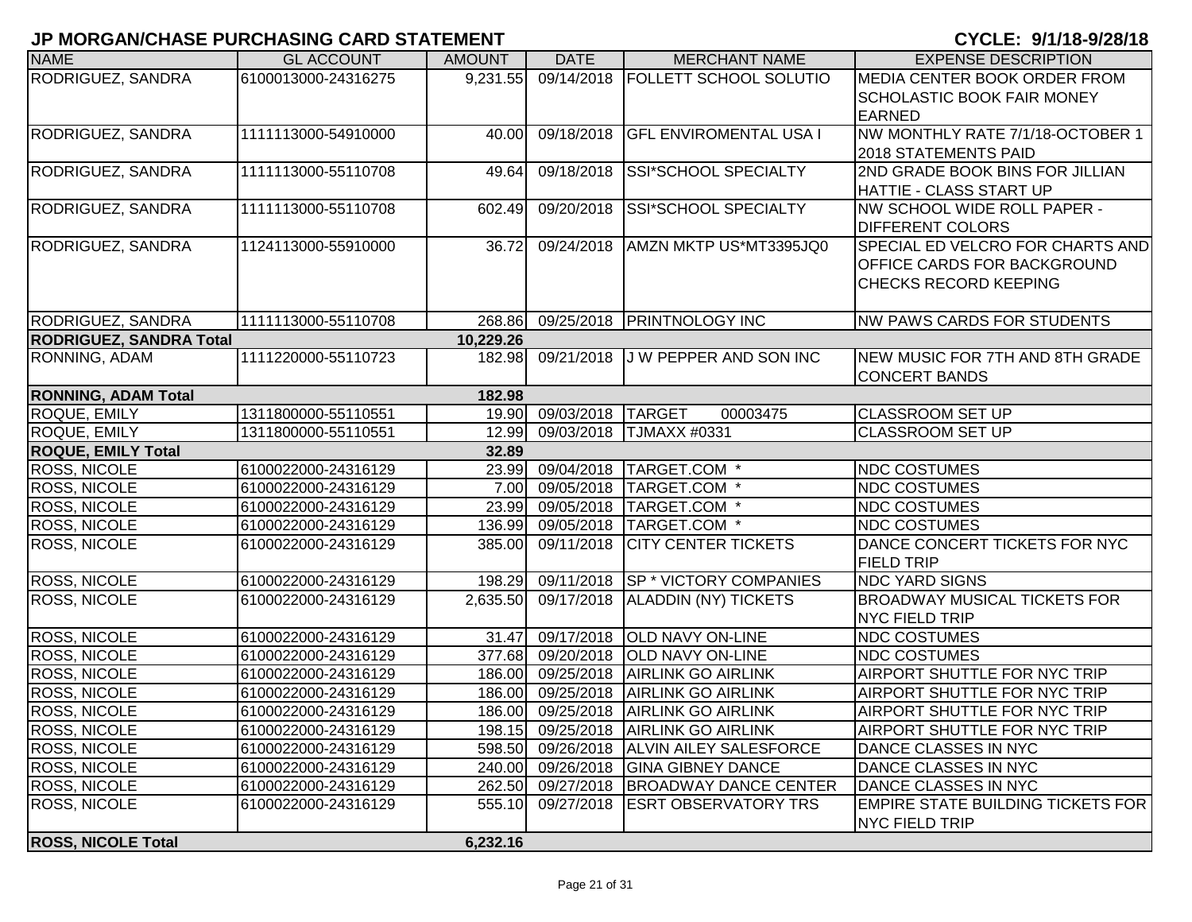| <b>NAME</b>                    | <b>GL ACCOUNT</b>   | <b>AMOUNT</b> | <b>DATE</b>             | <b>MERCHANT NAME</b>                 | <b>EXPENSE DESCRIPTION</b>               |
|--------------------------------|---------------------|---------------|-------------------------|--------------------------------------|------------------------------------------|
| RODRIGUEZ, SANDRA              | 6100013000-24316275 | 9,231.55      | 09/14/2018              | <b>FOLLETT SCHOOL SOLUTIO</b>        | MEDIA CENTER BOOK ORDER FROM             |
|                                |                     |               |                         |                                      | <b>SCHOLASTIC BOOK FAIR MONEY</b>        |
|                                |                     |               |                         |                                      | <b>EARNED</b>                            |
| RODRIGUEZ, SANDRA              | 1111113000-54910000 | 40.00         | 09/18/2018              | <b>GFL ENVIROMENTAL USA I</b>        | NW MONTHLY RATE 7/1/18-OCTOBER 1         |
|                                |                     |               |                         |                                      | 2018 STATEMENTS PAID                     |
| RODRIGUEZ, SANDRA              | 1111113000-55110708 | 49.64         | 09/18/2018              | SSI*SCHOOL SPECIALTY                 | 2ND GRADE BOOK BINS FOR JILLIAN          |
|                                |                     |               |                         |                                      | HATTIE - CLASS START UP                  |
| RODRIGUEZ, SANDRA              | 1111113000-55110708 | 602.49        | 09/20/2018              | SSI*SCHOOL SPECIALTY                 | NW SCHOOL WIDE ROLL PAPER -              |
|                                |                     |               |                         |                                      | <b>DIFFERENT COLORS</b>                  |
| RODRIGUEZ, SANDRA              | 1124113000-55910000 | 36.72         | 09/24/2018              | AMZN MKTP US*MT3395JQ0               | SPECIAL ED VELCRO FOR CHARTS AND         |
|                                |                     |               |                         |                                      | <b>OFFICE CARDS FOR BACKGROUND</b>       |
|                                |                     |               |                         |                                      | <b>CHECKS RECORD KEEPING</b>             |
| RODRIGUEZ, SANDRA              | 1111113000-55110708 | 268.86        | 09/25/2018              | <b>PRINTNOLOGY INC</b>               | <b>NW PAWS CARDS FOR STUDENTS</b>        |
| <b>RODRIGUEZ, SANDRA Total</b> |                     | 10,229.26     |                         |                                      |                                          |
| RONNING, ADAM                  | 1111220000-55110723 | 182.98        | 09/21/2018              | <b>J W PEPPER AND SON INC</b>        | NEW MUSIC FOR 7TH AND 8TH GRADE          |
|                                |                     |               |                         |                                      | <b>CONCERT BANDS</b>                     |
| <b>RONNING, ADAM Total</b>     |                     | 182.98        |                         |                                      |                                          |
| ROQUE, EMILY                   | 1311800000-55110551 | 19.90         | 09/03/2018              | <b>TARGET</b><br>00003475            | <b>CLASSROOM SET UP</b>                  |
| ROQUE, EMILY                   | 1311800000-55110551 | 12.99         | 09/03/2018              | <b>TJMAXX #0331</b>                  | <b>CLASSROOM SET UP</b>                  |
| <b>ROQUE, EMILY Total</b>      |                     | 32.89         |                         |                                      |                                          |
| <b>ROSS, NICOLE</b>            | 6100022000-24316129 | 23.99         |                         | 09/04/2018 TARGET.COM *              | <b>NDC COSTUMES</b>                      |
| <b>ROSS, NICOLE</b>            | 6100022000-24316129 | 7.00          | 09/05/2018              | TARGET.COM *                         | <b>NDC COSTUMES</b>                      |
| <b>ROSS, NICOLE</b>            | 6100022000-24316129 | 23.99         | 09/05/2018              | TARGET.COM *                         | <b>NDC COSTUMES</b>                      |
| ROSS, NICOLE                   | 6100022000-24316129 | 136.99        | 09/05/2018              | TARGET.COM *                         | <b>NDC COSTUMES</b>                      |
| ROSS, NICOLE                   | 6100022000-24316129 | 385.00        | 09/11/2018              | <b>CITY CENTER TICKETS</b>           | DANCE CONCERT TICKETS FOR NYC            |
|                                |                     |               |                         |                                      | <b>FIELD TRIP</b>                        |
| <b>ROSS, NICOLE</b>            | 6100022000-24316129 | 198.29        | 09/11/2018              | <b>SP * VICTORY COMPANIES</b>        | <b>NDC YARD SIGNS</b>                    |
| <b>ROSS, NICOLE</b>            | 6100022000-24316129 | 2,635.50      | 09/17/2018              | <b>ALADDIN (NY) TICKETS</b>          | <b>BROADWAY MUSICAL TICKETS FOR</b>      |
|                                |                     |               |                         |                                      | NYC FIELD TRIP                           |
| <b>ROSS, NICOLE</b>            | 6100022000-24316129 | 31.47         | $\overline{09/17}/2018$ | <b>OLD NAVY ON-LINE</b>              | <b>NDC COSTUMES</b>                      |
| ROSS, NICOLE                   | 6100022000-24316129 | 377.68        | 09/20/2018              | <b>OLD NAVY ON-LINE</b>              | <b>NDC COSTUMES</b>                      |
| ROSS, NICOLE                   | 6100022000-24316129 |               | 186.00 09/25/2018       | <b>AIRLINK GO AIRLINK</b>            | AIRPORT SHUTTLE FOR NYC TRIP             |
| ROSS, NICOLE                   | 6100022000-24316129 | 186.00        | 09/25/2018              | <b>AIRLINK GO AIRLINK</b>            | AIRPORT SHUTTLE FOR NYC TRIP             |
| <b>ROSS, NICOLE</b>            | 6100022000-24316129 |               |                         | 186.00 09/25/2018 AIRLINK GO AIRLINK | AIRPORT SHUTTLE FOR NYC TRIP             |
| <b>ROSS, NICOLE</b>            | 6100022000-24316129 |               |                         | 198.15 09/25/2018 AIRLINK GO AIRLINK | AIRPORT SHUTTLE FOR NYC TRIP             |
| <b>ROSS, NICOLE</b>            | 6100022000-24316129 | 598.50        | 09/26/2018              | <b>ALVIN AILEY SALESFORCE</b>        | DANCE CLASSES IN NYC                     |
| <b>ROSS, NICOLE</b>            | 6100022000-24316129 |               | 240.00 09/26/2018       | <b>GINA GIBNEY DANCE</b>             | DANCE CLASSES IN NYC                     |
| <b>ROSS, NICOLE</b>            | 6100022000-24316129 | 262.50        | 09/27/2018              | <b>BROADWAY DANCE CENTER</b>         | DANCE CLASSES IN NYC                     |
| <b>ROSS, NICOLE</b>            | 6100022000-24316129 | 555.10        | 09/27/2018              | <b>ESRT OBSERVATORY TRS</b>          | <b>EMPIRE STATE BUILDING TICKETS FOR</b> |
| <b>ROSS, NICOLE Total</b>      |                     | 6,232.16      |                         |                                      | NYC FIELD TRIP                           |
|                                |                     |               |                         |                                      |                                          |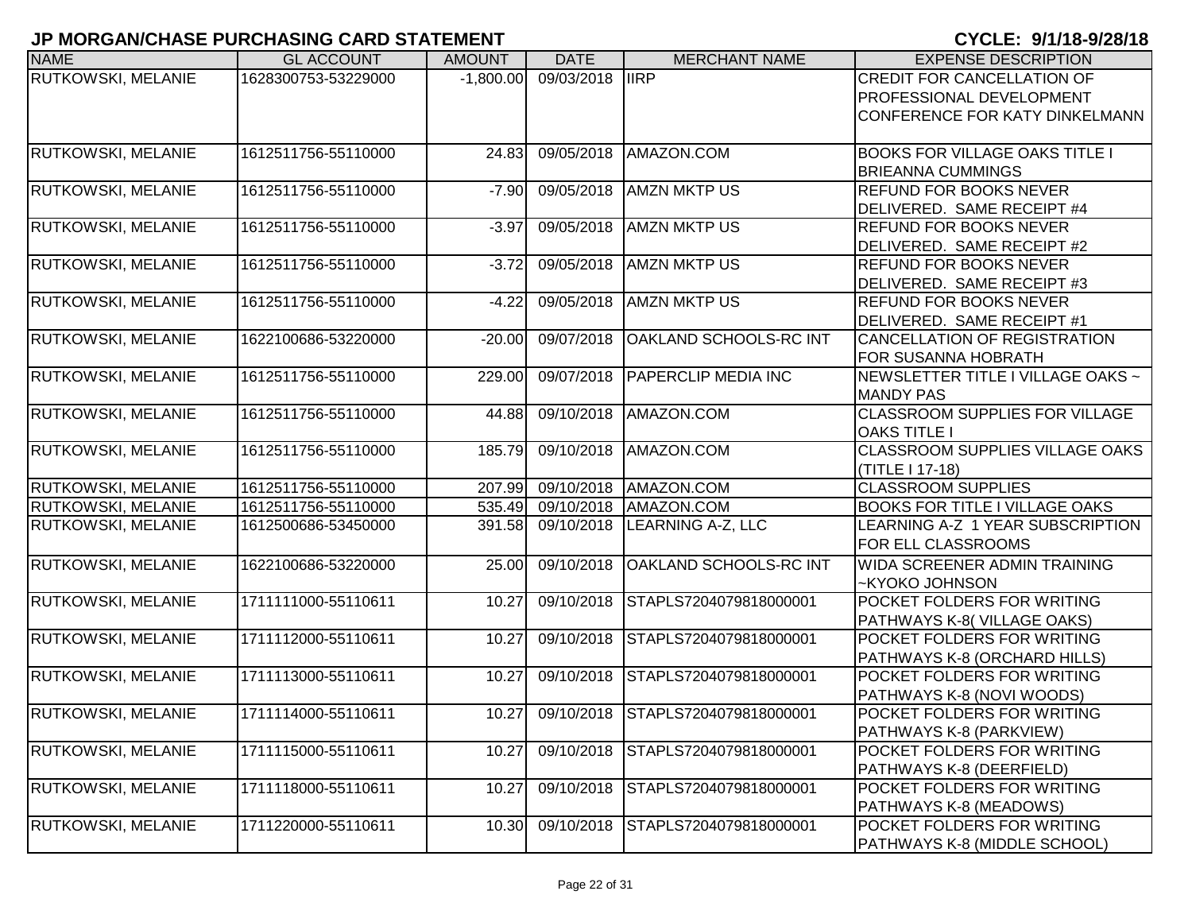|                           |                     |               |                 |                                         | U I U LLI. U I II I U U LUI I U        |
|---------------------------|---------------------|---------------|-----------------|-----------------------------------------|----------------------------------------|
| <b>NAME</b>               | <b>GL ACCOUNT</b>   | <b>AMOUNT</b> | <b>DATE</b>     | <b>MERCHANT NAME</b>                    | <b>EXPENSE DESCRIPTION</b>             |
| RUTKOWSKI, MELANIE        | 1628300753-53229000 | $-1,800.00$   | 09/03/2018 IIRP |                                         | CREDIT FOR CANCELLATION OF             |
|                           |                     |               |                 |                                         | PROFESSIONAL DEVELOPMENT               |
|                           |                     |               |                 |                                         | CONFERENCE FOR KATY DINKELMANN         |
|                           |                     |               |                 |                                         |                                        |
| <b>RUTKOWSKI, MELANIE</b> | 1612511756-55110000 | 24.83         | 09/05/2018      | AMAZON.COM                              | <b>BOOKS FOR VILLAGE OAKS TITLE I</b>  |
|                           |                     |               |                 |                                         | <b>BRIEANNA CUMMINGS</b>               |
| <b>RUTKOWSKI, MELANIE</b> | 1612511756-55110000 | $-7.90$       | 09/05/2018      | <b>AMZN MKTP US</b>                     | REFUND FOR BOOKS NEVER                 |
|                           |                     |               |                 |                                         | DELIVERED. SAME RECEIPT #4             |
| <b>RUTKOWSKI, MELANIE</b> | 1612511756-55110000 | $-3.97$       | 09/05/2018      | <b>AMZN MKTP US</b>                     | <b>REFUND FOR BOOKS NEVER</b>          |
|                           |                     |               |                 |                                         | DELIVERED. SAME RECEIPT #2             |
| <b>RUTKOWSKI, MELANIE</b> | 1612511756-55110000 | $-3.72$       | 09/05/2018      | <b>AMZN MKTP US</b>                     | <b>REFUND FOR BOOKS NEVER</b>          |
|                           |                     |               |                 |                                         | DELIVERED. SAME RECEIPT #3             |
| RUTKOWSKI, MELANIE        | 1612511756-55110000 | $-4.22$       | 09/05/2018      | <b>AMZN MKTP US</b>                     | <b>REFUND FOR BOOKS NEVER</b>          |
|                           |                     |               |                 |                                         | DELIVERED. SAME RECEIPT #1             |
| RUTKOWSKI, MELANIE        | 1622100686-53220000 | $-20.00$      | 09/07/2018      | <b>OAKLAND SCHOOLS-RC INT</b>           | CANCELLATION OF REGISTRATION           |
|                           |                     |               |                 |                                         | FOR SUSANNA HOBRATH                    |
| RUTKOWSKI, MELANIE        | 1612511756-55110000 | 229.00        |                 | 09/07/2018 PAPERCLIP MEDIA INC          | NEWSLETTER TITLE I VILLAGE OAKS ~      |
|                           |                     |               |                 |                                         | <b>MANDY PAS</b>                       |
| RUTKOWSKI, MELANIE        | 1612511756-55110000 | 44.88         |                 | 09/10/2018 AMAZON.COM                   | <b>CLASSROOM SUPPLIES FOR VILLAGE</b>  |
|                           |                     |               |                 |                                         | <b>OAKS TITLE I</b>                    |
| RUTKOWSKI, MELANIE        | 1612511756-55110000 | 185.79        | 09/10/2018      | AMAZON.COM                              | <b>CLASSROOM SUPPLIES VILLAGE OAKS</b> |
|                           |                     |               |                 |                                         | (TITLE I 17-18)                        |
| <b>RUTKOWSKI, MELANIE</b> | 1612511756-55110000 | 207.99        |                 | 09/10/2018 AMAZON.COM                   | <b>CLASSROOM SUPPLIES</b>              |
| <b>RUTKOWSKI, MELANIE</b> | 1612511756-55110000 | 535.49        |                 | 09/10/2018 AMAZON.COM                   | <b>BOOKS FOR TITLE I VILLAGE OAKS</b>  |
| <b>RUTKOWSKI, MELANIE</b> | 1612500686-53450000 | 391.58        | 09/10/2018      | LEARNING A-Z, LLC                       | LEARNING A-Z 1 YEAR SUBSCRIPTION       |
|                           |                     |               |                 |                                         | FOR ELL CLASSROOMS                     |
| RUTKOWSKI, MELANIE        | 1622100686-53220000 | 25.00         | 09/10/2018      | <b>OAKLAND SCHOOLS-RC INT</b>           | WIDA SCREENER ADMIN TRAINING           |
|                           |                     |               |                 |                                         | -KYOKO JOHNSON                         |
| <b>RUTKOWSKI, MELANIE</b> | 1711111000-55110611 | 10.27         | 09/10/2018      | STAPLS7204079818000001                  | POCKET FOLDERS FOR WRITING             |
|                           |                     |               |                 |                                         | PATHWAYS K-8(VILLAGE OAKS)             |
| <b>RUTKOWSKI, MELANIE</b> | 1711112000-55110611 | 10.27         | 09/10/2018      | STAPLS7204079818000001                  | POCKET FOLDERS FOR WRITING             |
|                           |                     |               |                 |                                         | PATHWAYS K-8 (ORCHARD HILLS)           |
| <b>RUTKOWSKI, MELANIE</b> | 1711113000-55110611 | 10.27         | 09/10/2018      | STAPLS7204079818000001                  | POCKET FOLDERS FOR WRITING             |
|                           |                     |               |                 |                                         | PATHWAYS K-8 (NOVI WOODS)              |
| <b>RUTKOWSKI, MELANIE</b> | 1711114000-55110611 |               |                 | 10.27 09/10/2018 STAPLS7204079818000001 | POCKET FOLDERS FOR WRITING             |
|                           |                     |               |                 |                                         | PATHWAYS K-8 (PARKVIEW)                |
| <b>RUTKOWSKI, MELANIE</b> | 1711115000-55110611 | 10.27         | 09/10/2018      | STAPLS7204079818000001                  | POCKET FOLDERS FOR WRITING             |
|                           |                     |               |                 |                                         | PATHWAYS K-8 (DEERFIELD)               |
| <b>RUTKOWSKI, MELANIE</b> | 1711118000-55110611 | 10.27         | 09/10/2018      | STAPLS7204079818000001                  | POCKET FOLDERS FOR WRITING             |
|                           |                     |               |                 |                                         | PATHWAYS K-8 (MEADOWS)                 |
| <b>RUTKOWSKI, MELANIE</b> | 1711220000-55110611 | 10.30         |                 | 09/10/2018 STAPLS7204079818000001       | POCKET FOLDERS FOR WRITING             |
|                           |                     |               |                 |                                         | PATHWAYS K-8 (MIDDLE SCHOOL)           |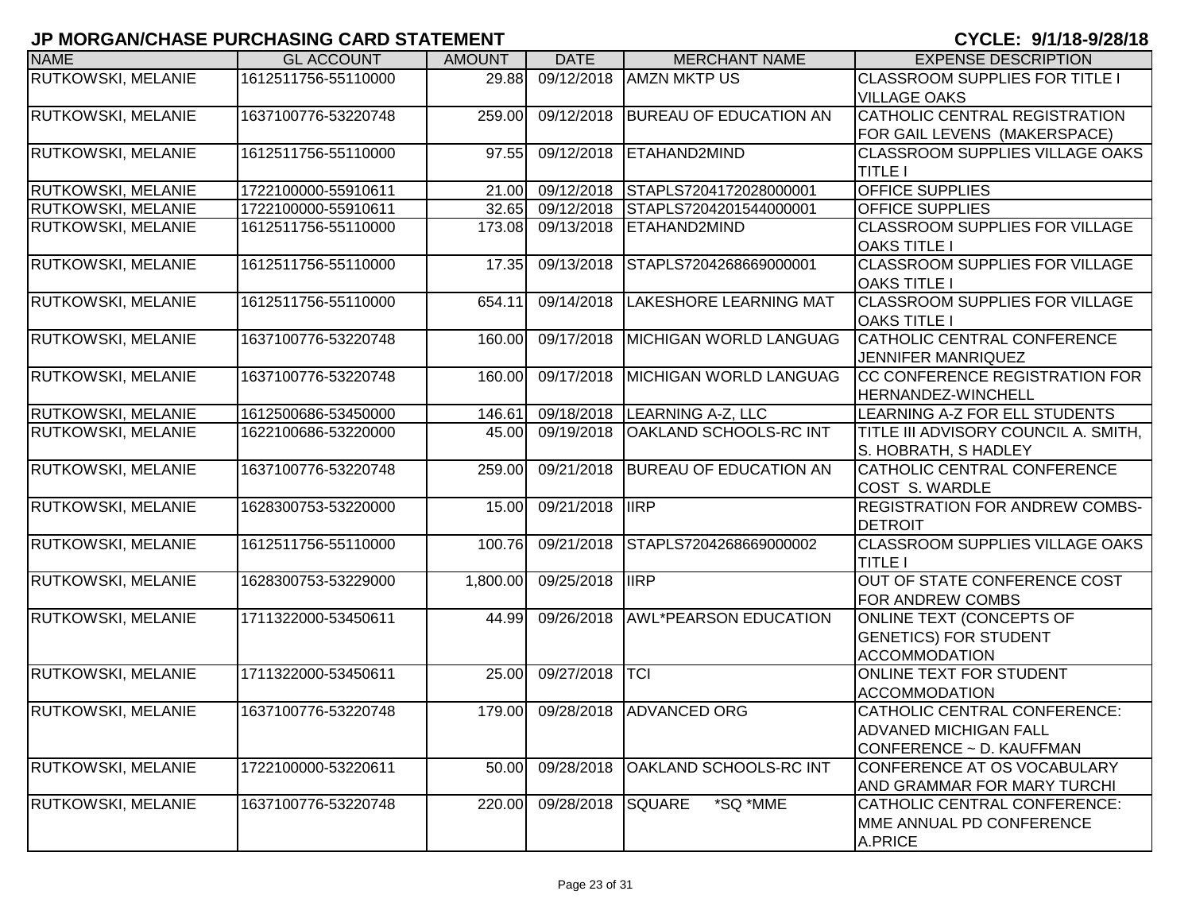| <b>NAME</b>               | <b>GL ACCOUNT</b>   | <b>AMOUNT</b> | <b>DATE</b> | <b>MERCHANT NAME</b>           | <b>EXPENSE DESCRIPTION</b>                                   |
|---------------------------|---------------------|---------------|-------------|--------------------------------|--------------------------------------------------------------|
| RUTKOWSKI, MELANIE        | 1612511756-55110000 | 29.88         | 09/12/2018  | <b>AMZN MKTP US</b>            | <b>CLASSROOM SUPPLIES FOR TITLE I</b>                        |
|                           |                     |               |             |                                | <b>VILLAGE OAKS</b>                                          |
| RUTKOWSKI, MELANIE        | 1637100776-53220748 | 259.00        | 09/12/2018  | <b>BUREAU OF EDUCATION AN</b>  | CATHOLIC CENTRAL REGISTRATION                                |
|                           |                     |               |             |                                | FOR GAIL LEVENS (MAKERSPACE)                                 |
| RUTKOWSKI, MELANIE        | 1612511756-55110000 | 97.55         | 09/12/2018  | ETAHAND2MIND                   | <b>CLASSROOM SUPPLIES VILLAGE OAKS</b>                       |
|                           |                     |               |             |                                | <b>TITLE I</b>                                               |
| RUTKOWSKI, MELANIE        | 1722100000-55910611 | 21.00         | 09/12/2018  | STAPLS7204172028000001         | <b>OFFICE SUPPLIES</b>                                       |
| RUTKOWSKI, MELANIE        | 1722100000-55910611 | 32.65         | 09/12/2018  | STAPLS7204201544000001         | <b>OFFICE SUPPLIES</b>                                       |
| RUTKOWSKI, MELANIE        | 1612511756-55110000 | 173.08        | 09/13/2018  | ETAHAND2MIND                   | <b>CLASSROOM SUPPLIES FOR VILLAGE</b><br><b>OAKS TITLE I</b> |
| RUTKOWSKI, MELANIE        | 1612511756-55110000 | 17.35         | 09/13/2018  | STAPLS7204268669000001         | <b>CLASSROOM SUPPLIES FOR VILLAGE</b>                        |
|                           |                     |               |             |                                | <b>OAKS TITLE I</b>                                          |
| RUTKOWSKI, MELANIE        | 1612511756-55110000 | 654.11        | 09/14/2018  | <b>LAKESHORE LEARNING MAT</b>  | <b>CLASSROOM SUPPLIES FOR VILLAGE</b><br><b>OAKS TITLE I</b> |
| RUTKOWSKI, MELANIE        | 1637100776-53220748 | 160.00        | 09/17/2018  | <b>MICHIGAN WORLD LANGUAG</b>  | CATHOLIC CENTRAL CONFERENCE                                  |
|                           |                     |               |             |                                | JENNIFER MANRIQUEZ                                           |
| RUTKOWSKI, MELANIE        | 1637100776-53220748 | 160.00        | 09/17/2018  | <b>MICHIGAN WORLD LANGUAG</b>  | CC CONFERENCE REGISTRATION FOR                               |
|                           |                     |               |             |                                | HERNANDEZ-WINCHELL                                           |
| RUTKOWSKI, MELANIE        | 1612500686-53450000 | 146.61        | 09/18/2018  | LEARNING A-Z, LLC              | LEARNING A-Z FOR ELL STUDENTS                                |
| RUTKOWSKI, MELANIE        | 1622100686-53220000 | 45.00         | 09/19/2018  | <b>OAKLAND SCHOOLS-RC INT</b>  | TITLE III ADVISORY COUNCIL A. SMITH,                         |
|                           |                     |               |             |                                | S. HOBRATH, S HADLEY                                         |
| <b>RUTKOWSKI, MELANIE</b> | 1637100776-53220748 | 259.00        | 09/21/2018  | <b>BUREAU OF EDUCATION AN</b>  | CATHOLIC CENTRAL CONFERENCE                                  |
|                           |                     |               |             |                                | COST S. WARDLE                                               |
| RUTKOWSKI, MELANIE        | 1628300753-53220000 | 15.00         | 09/21/2018  | <b>IIRP</b>                    | <b>REGISTRATION FOR ANDREW COMBS-</b>                        |
|                           |                     |               |             |                                | <b>DETROIT</b>                                               |
| <b>RUTKOWSKI, MELANIE</b> | 1612511756-55110000 | 100.76        | 09/21/2018  | STAPLS7204268669000002         | <b>CLASSROOM SUPPLIES VILLAGE OAKS</b>                       |
|                           |                     |               |             |                                | <b>TITLE I</b>                                               |
| <b>RUTKOWSKI, MELANIE</b> | 1628300753-53229000 | 1,800.00      | 09/25/2018  | <b>I</b> IIRP                  | OUT OF STATE CONFERENCE COST                                 |
|                           |                     |               |             |                                | <b>FOR ANDREW COMBS</b>                                      |
| <b>RUTKOWSKI, MELANIE</b> | 1711322000-53450611 | 44.99         | 09/26/2018  | AWL*PEARSON EDUCATION          | <b>ONLINE TEXT (CONCEPTS OF</b>                              |
|                           |                     |               |             |                                | <b>GENETICS) FOR STUDENT</b>                                 |
|                           |                     |               |             |                                | <b>ACCOMMODATION</b>                                         |
| <b>RUTKOWSKI, MELANIE</b> | 1711322000-53450611 | 25.00         | 09/27/2018  | ITCI                           | <b>ONLINE TEXT FOR STUDENT</b>                               |
|                           |                     |               |             |                                | <b>ACCOMMODATION</b>                                         |
| <b>RUTKOWSKI, MELANIE</b> | 1637100776-53220748 |               |             | 179.00 09/28/2018 ADVANCED ORG | CATHOLIC CENTRAL CONFERENCE:                                 |
|                           |                     |               |             |                                | <b>ADVANED MICHIGAN FALL</b>                                 |
|                           |                     |               |             |                                | CONFERENCE ~ D. KAUFFMAN                                     |
| RUTKOWSKI, MELANIE        | 1722100000-53220611 | 50.00         | 09/28/2018  | OAKLAND SCHOOLS-RC INT         | CONFERENCE AT OS VOCABULARY                                  |
|                           |                     |               |             |                                | AND GRAMMAR FOR MARY TURCHI                                  |
| <b>RUTKOWSKI, MELANIE</b> | 1637100776-53220748 | 220.00        | 09/28/2018  | *SQ *MME<br>SQUARE             | CATHOLIC CENTRAL CONFERENCE:                                 |
|                           |                     |               |             |                                | MME ANNUAL PD CONFERENCE                                     |
|                           |                     |               |             |                                | A.PRICE                                                      |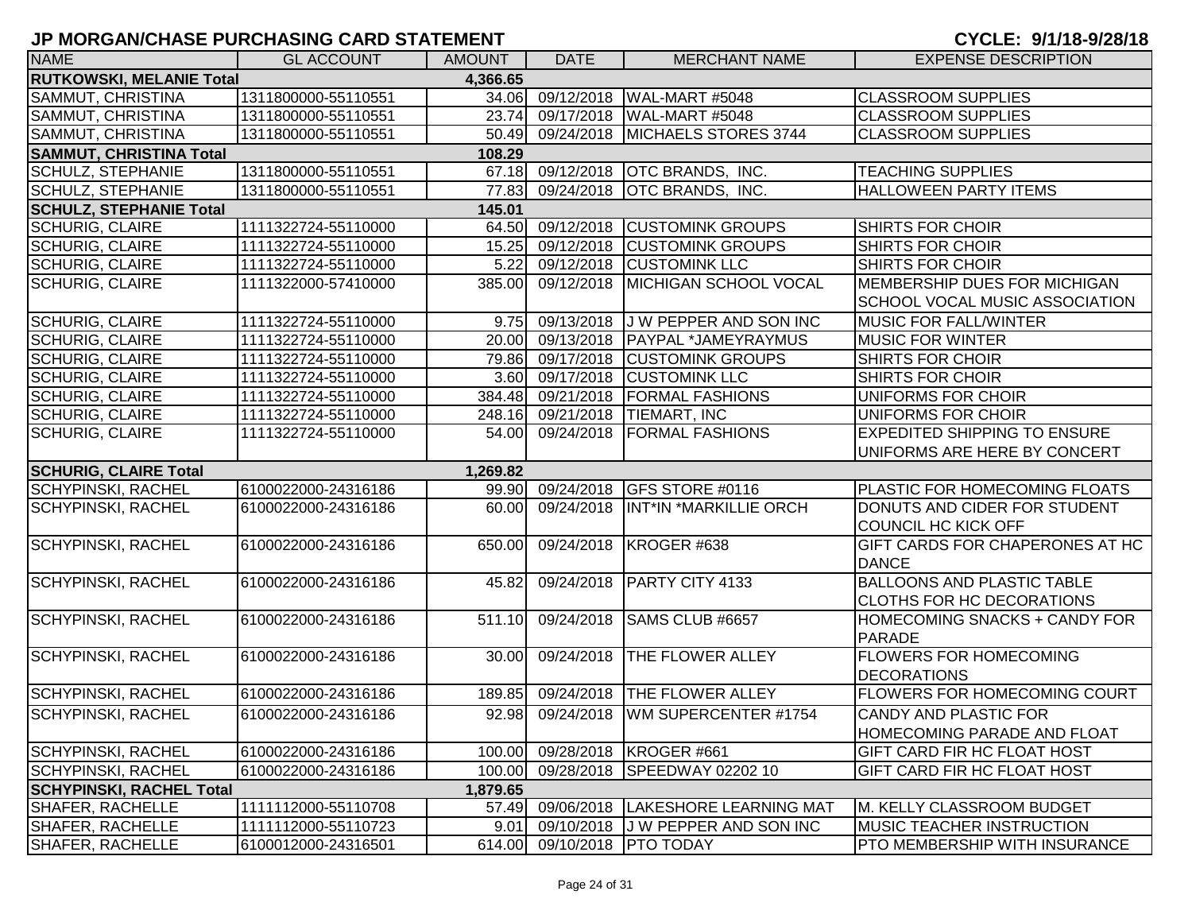| <b>NAME</b>                     | <b>GL ACCOUNT</b>   | <b>AMOUNT</b> | <b>DATE</b>      | <b>MERCHANT NAME</b>                    | <b>EXPENSE DESCRIPTION</b>           |
|---------------------------------|---------------------|---------------|------------------|-----------------------------------------|--------------------------------------|
| <b>RUTKOWSKI, MELANIE Total</b> |                     | 4,366.65      |                  |                                         |                                      |
| SAMMUT, CHRISTINA               | 1311800000-55110551 | 34.06         |                  | 09/12/2018   WAL-MART #5048             | <b>CLASSROOM SUPPLIES</b>            |
| SAMMUT, CHRISTINA               | 1311800000-55110551 | 23.74         |                  | 09/17/2018   WAL-MART #5048             | <b>CLASSROOM SUPPLIES</b>            |
| SAMMUT, CHRISTINA               | 1311800000-55110551 | 50.49         |                  | 09/24/2018 MICHAELS STORES 3744         | <b>CLASSROOM SUPPLIES</b>            |
| <b>SAMMUT, CHRISTINA Total</b>  |                     | 108.29        |                  |                                         |                                      |
| <b>SCHULZ, STEPHANIE</b>        | 1311800000-55110551 |               |                  | 67.18 09/12/2018 OTC BRANDS, INC.       | <b>TEACHING SUPPLIES</b>             |
| <b>SCHULZ, STEPHANIE</b>        | 1311800000-55110551 | 77.83         | 09/24/2018       | <b>OTC BRANDS, INC.</b>                 | <b>HALLOWEEN PARTY ITEMS</b>         |
| <b>SCHULZ, STEPHANIE Total</b>  |                     | 145.01        |                  |                                         |                                      |
| <b>SCHURIG, CLAIRE</b>          | 1111322724-55110000 |               |                  | 64.50 09/12/2018 CUSTOMINK GROUPS       | SHIRTS FOR CHOIR                     |
| <b>SCHURIG, CLAIRE</b>          | 1111322724-55110000 | 15.25         |                  | 09/12/2018 CUSTOMINK GROUPS             | SHIRTS FOR CHOIR                     |
| <b>SCHURIG, CLAIRE</b>          | 1111322724-55110000 | 5.22          |                  | 09/12/2018 CUSTOMINK LLC                | <b>SHIRTS FOR CHOIR</b>              |
| <b>SCHURIG, CLAIRE</b>          | 1111322000-57410000 | 385.00        | 09/12/2018       | <b>MICHIGAN SCHOOL VOCAL</b>            | MEMBERSHIP DUES FOR MICHIGAN         |
|                                 |                     |               |                  |                                         | SCHOOL VOCAL MUSIC ASSOCIATION       |
| <b>SCHURIG, CLAIRE</b>          | 1111322724-55110000 | 9.75          |                  | 09/13/2018 J W PEPPER AND SON INC       | <b>MUSIC FOR FALL/WINTER</b>         |
| <b>SCHURIG, CLAIRE</b>          | 1111322724-55110000 | 20.00         |                  | 09/13/2018   PAYPAL *JAMEYRAYMUS        | <b>MUSIC FOR WINTER</b>              |
| <b>SCHURIG, CLAIRE</b>          | 1111322724-55110000 | 79.86         |                  | 09/17/2018 CUSTOMINK GROUPS             | <b>SHIRTS FOR CHOIR</b>              |
| <b>SCHURIG, CLAIRE</b>          | 1111322724-55110000 |               |                  | 3.60 09/17/2018 CUSTOMINK LLC           | SHIRTS FOR CHOIR                     |
| <b>SCHURIG, CLAIRE</b>          | 1111322724-55110000 | 384.48        |                  | 09/21/2018 FORMAL FASHIONS              | <b>UNIFORMS FOR CHOIR</b>            |
| <b>SCHURIG, CLAIRE</b>          | 1111322724-55110000 |               |                  | 248.16 09/21/2018 TIEMART, INC          | UNIFORMS FOR CHOIR                   |
| <b>SCHURIG, CLAIRE</b>          | 1111322724-55110000 |               |                  | 54.00 09/24/2018 FORMAL FASHIONS        | <b>EXPEDITED SHIPPING TO ENSURE</b>  |
|                                 |                     |               |                  |                                         | UNIFORMS ARE HERE BY CONCERT         |
| <b>SCHURIG, CLAIRE Total</b>    |                     | 1,269.82      |                  |                                         |                                      |
| <b>SCHYPINSKI, RACHEL</b>       | 6100022000-24316186 |               | 99.90 09/24/2018 | GFS STORE #0116                         | <b>PLASTIC FOR HOMECOMING FLOATS</b> |
| <b>SCHYPINSKI, RACHEL</b>       | 6100022000-24316186 | 60.00         |                  | 09/24/2018  INT*IN *MARKILLIE ORCH      | DONUTS AND CIDER FOR STUDENT         |
|                                 |                     |               |                  |                                         | COUNCIL HC KICK OFF                  |
| <b>SCHYPINSKI, RACHEL</b>       | 6100022000-24316186 | 650.00        |                  | 09/24/2018 KROGER #638                  | GIFT CARDS FOR CHAPERONES AT HC      |
|                                 |                     |               |                  |                                         | <b>DANCE</b>                         |
| <b>SCHYPINSKI, RACHEL</b>       | 6100022000-24316186 | 45.82         | 09/24/2018       | PARTY CITY 4133                         | <b>BALLOONS AND PLASTIC TABLE</b>    |
|                                 |                     |               |                  |                                         | <b>CLOTHS FOR HC DECORATIONS</b>     |
| <b>SCHYPINSKI, RACHEL</b>       | 6100022000-24316186 | 511.10        | 09/24/2018       | SAMS CLUB #6657                         | HOMECOMING SNACKS + CANDY FOR        |
|                                 |                     |               |                  |                                         | PARADE                               |
| <b>SCHYPINSKI, RACHEL</b>       | 6100022000-24316186 | 30.00         |                  | 09/24/2018 THE FLOWER ALLEY             | <b>FLOWERS FOR HOMECOMING</b>        |
|                                 |                     |               |                  |                                         | <b>DECORATIONS</b>                   |
| <b>SCHYPINSKI, RACHEL</b>       | 6100022000-24316186 | 189.85        |                  | 09/24/2018 THE FLOWER ALLEY             | <b>FLOWERS FOR HOMECOMING COURT</b>  |
| <b>SCHYPINSKI, RACHEL</b>       | 6100022000-24316186 |               |                  | 92.98 09/24/2018 WM SUPERCENTER #1754   | CANDY AND PLASTIC FOR                |
|                                 |                     |               |                  |                                         | <b>HOMECOMING PARADE AND FLOAT</b>   |
| <b>SCHYPINSKI, RACHEL</b>       | 6100022000-24316186 | 100.00        |                  | 09/28/2018 KROGER #661                  | <b>GIFT CARD FIR HC FLOAT HOST</b>   |
| <b>SCHYPINSKI, RACHEL</b>       | 6100022000-24316186 | 100.00        |                  | 09/28/2018 SPEEDWAY 02202 10            | <b>GIFT CARD FIR HC FLOAT HOST</b>   |
| <b>SCHYPINSKI, RACHEL Total</b> |                     | 1,879.65      |                  |                                         |                                      |
| <b>SHAFER, RACHELLE</b>         | 1111112000-55110708 |               |                  | 57.49 09/06/2018 LAKESHORE LEARNING MAT | M. KELLY CLASSROOM BUDGET            |
| <b>SHAFER, RACHELLE</b>         | 1111112000-55110723 | 9.01          |                  | 09/10/2018 J W PEPPER AND SON INC       | <b>IMUSIC TEACHER INSTRUCTION</b>    |
| SHAFER, RACHELLE                | 6100012000-24316501 |               |                  | 614.00 09/10/2018 PTO TODAY             | <b>PTO MEMBERSHIP WITH INSURANCE</b> |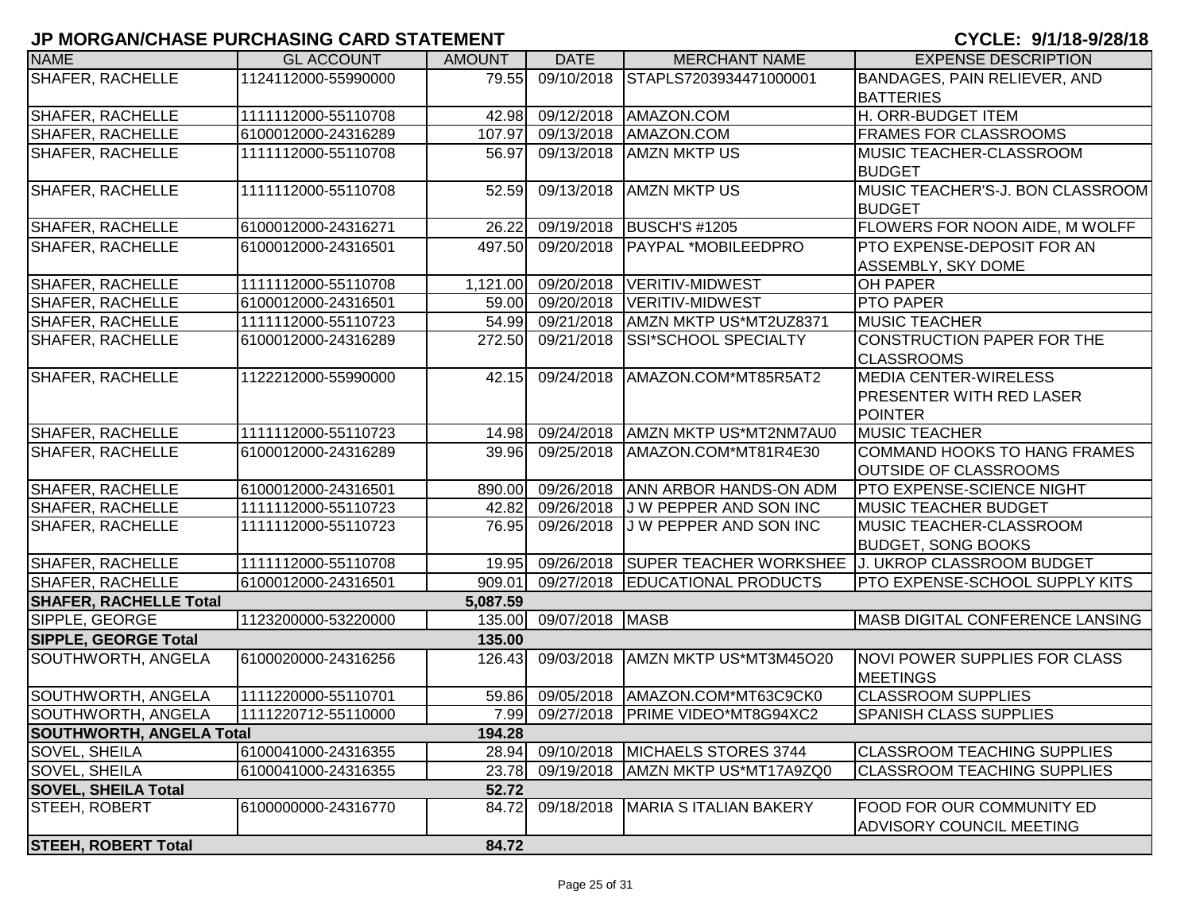| <b>NAME</b>                     | <b>GL ACCOUNT</b>   | <b>AMOUNT</b> | <b>DATE</b>     | <b>MERCHANT NAME</b>                  | <b>EXPENSE DESCRIPTION</b>                                  |
|---------------------------------|---------------------|---------------|-----------------|---------------------------------------|-------------------------------------------------------------|
| <b>SHAFER, RACHELLE</b>         | 1124112000-55990000 | 79.55         | 09/10/2018      | STAPLS7203934471000001                | BANDAGES, PAIN RELIEVER, AND                                |
|                                 |                     |               |                 |                                       | <b>BATTERIES</b>                                            |
| <b>SHAFER, RACHELLE</b>         | 1111112000-55110708 | 42.98         | 09/12/2018      | AMAZON.COM                            | H. ORR-BUDGET ITEM                                          |
| SHAFER, RACHELLE                | 6100012000-24316289 | 107.97        | 09/13/2018      | AMAZON.COM                            | <b>FRAMES FOR CLASSROOMS</b>                                |
| <b>SHAFER, RACHELLE</b>         | 1111112000-55110708 | 56.97         | 09/13/2018      | <b>AMZN MKTP US</b>                   | <b>MUSIC TEACHER-CLASSROOM</b>                              |
|                                 |                     |               |                 |                                       | <b>BUDGET</b>                                               |
| <b>SHAFER, RACHELLE</b>         | 1111112000-55110708 | 52.59         | 09/13/2018      | <b>AMZN MKTP US</b>                   | MUSIC TEACHER'S-J. BON CLASSROOM                            |
|                                 |                     |               |                 |                                       | <b>BUDGET</b>                                               |
| SHAFER, RACHELLE                | 6100012000-24316271 | 26.22         | 09/19/2018      | <b>BUSCH'S #1205</b>                  | <b>FLOWERS FOR NOON AIDE, M WOLFF</b>                       |
| <b>SHAFER, RACHELLE</b>         | 6100012000-24316501 | 497.50        | 09/20/2018      | PAYPAL *MOBILEEDPRO                   | PTO EXPENSE-DEPOSIT FOR AN                                  |
|                                 |                     |               |                 |                                       | ASSEMBLY, SKY DOME                                          |
| SHAFER, RACHELLE                | 1111112000-55110708 | 1,121.00      | 09/20/2018      | VERITIV-MIDWEST                       | <b>OH PAPER</b>                                             |
| SHAFER, RACHELLE                | 6100012000-24316501 | 59.00         | 09/20/2018      | VERITIV-MIDWEST                       | <b>PTO PAPER</b>                                            |
| <b>SHAFER, RACHELLE</b>         | 1111112000-55110723 | 54.99         | 09/21/2018      | AMZN MKTP US*MT2UZ8371                | <b>MUSIC TEACHER</b>                                        |
| <b>SHAFER, RACHELLE</b>         | 6100012000-24316289 | 272.50        | 09/21/2018      | <b>SSI*SCHOOL SPECIALTY</b>           | CONSTRUCTION PAPER FOR THE                                  |
|                                 |                     |               |                 |                                       | <b>CLASSROOMS</b>                                           |
| SHAFER, RACHELLE                | 1122212000-55990000 | 42.15         | 09/24/2018      | AMAZON.COM*MT85R5AT2                  | <b>MEDIA CENTER-WIRELESS</b>                                |
|                                 |                     |               |                 |                                       | <b>PRESENTER WITH RED LASER</b>                             |
|                                 |                     |               |                 |                                       | POINTER                                                     |
| SHAFER, RACHELLE                | 1111112000-55110723 | 14.98         |                 | 09/24/2018 AMZN MKTP US*MT2NM7AU0     | <b>MUSIC TEACHER</b>                                        |
| SHAFER, RACHELLE                | 6100012000-24316289 | 39.96         | 09/25/2018      | AMAZON.COM*MT81R4E30                  | <b>COMMAND HOOKS TO HANG FRAMES</b>                         |
|                                 |                     |               |                 |                                       | <b>OUTSIDE OF CLASSROOMS</b>                                |
| <b>SHAFER, RACHELLE</b>         | 6100012000-24316501 | 890.00        | 09/26/2018      | <b>ANN ARBOR HANDS-ON ADM</b>         | <b>PTO EXPENSE-SCIENCE NIGHT</b>                            |
| <b>SHAFER, RACHELLE</b>         | 1111112000-55110723 | 42.82         | 09/26/2018      | J W PEPPER AND SON INC                | <b>MUSIC TEACHER BUDGET</b>                                 |
| <b>SHAFER, RACHELLE</b>         | 1111112000-55110723 | 76.95         | 09/26/2018      | J W PEPPER AND SON INC                | <b>MUSIC TEACHER-CLASSROOM</b>                              |
|                                 |                     |               |                 |                                       | <b>BUDGET, SONG BOOKS</b>                                   |
| <b>SHAFER, RACHELLE</b>         | 1111112000-55110708 | 19.95         |                 |                                       | 09/26/2018 SUPER TEACHER WORKSHEE J. UKROP CLASSROOM BUDGET |
| SHAFER, RACHELLE                | 6100012000-24316501 | 909.01        |                 | 09/27/2018 EDUCATIONAL PRODUCTS       | PTO EXPENSE-SCHOOL SUPPLY KITS                              |
| <b>SHAFER, RACHELLE Total</b>   |                     | 5,087.59      |                 |                                       |                                                             |
| SIPPLE, GEORGE                  | 1123200000-53220000 | 135.00        | 09/07/2018 MASB |                                       | MASB DIGITAL CONFERENCE LANSING                             |
| SIPPLE, GEORGE Total            |                     | 135.00        |                 |                                       |                                                             |
| SOUTHWORTH, ANGELA              | 6100020000-24316256 | 126.43        | 09/03/2018      | AMZN MKTP US*MT3M45O20                | NOVI POWER SUPPLIES FOR CLASS                               |
|                                 |                     |               |                 |                                       | <b>MEETINGS</b>                                             |
| SOUTHWORTH, ANGELA              | 1111220000-55110701 | 59.86         | 09/05/2018      | AMAZON.COM*MT63C9CK0                  | <b>CLASSROOM SUPPLIES</b>                                   |
| SOUTHWORTH, ANGELA              | 1111220712-55110000 |               |                 | 7.99 09/27/2018 PRIME VIDEO*MT8G94XC2 | <b>SPANISH CLASS SUPPLIES</b>                               |
| <b>SOUTHWORTH, ANGELA Total</b> |                     | 194.28        |                 |                                       |                                                             |
| <b>SOVEL, SHEILA</b>            | 6100041000-24316355 | 28.94         | 09/10/2018      | MICHAELS STORES 3744                  | <b>CLASSROOM TEACHING SUPPLIES</b>                          |
| <b>SOVEL, SHEILA</b>            | 6100041000-24316355 | 23.78         | 09/19/2018      | AMZN MKTP US*MT17A9ZQ0                | <b>CLASSROOM TEACHING SUPPLIES</b>                          |
| <b>SOVEL, SHEILA Total</b>      |                     | 52.72         |                 |                                       |                                                             |
| <b>STEEH, ROBERT</b>            | 6100000000-24316770 | 84.72         | 09/18/2018      | MARIA S ITALIAN BAKERY                | <b>FOOD FOR OUR COMMUNITY ED</b>                            |
|                                 |                     |               |                 |                                       | <b>ADVISORY COUNCIL MEETING</b>                             |
| <b>STEEH, ROBERT Total</b>      |                     | 84.72         |                 |                                       |                                                             |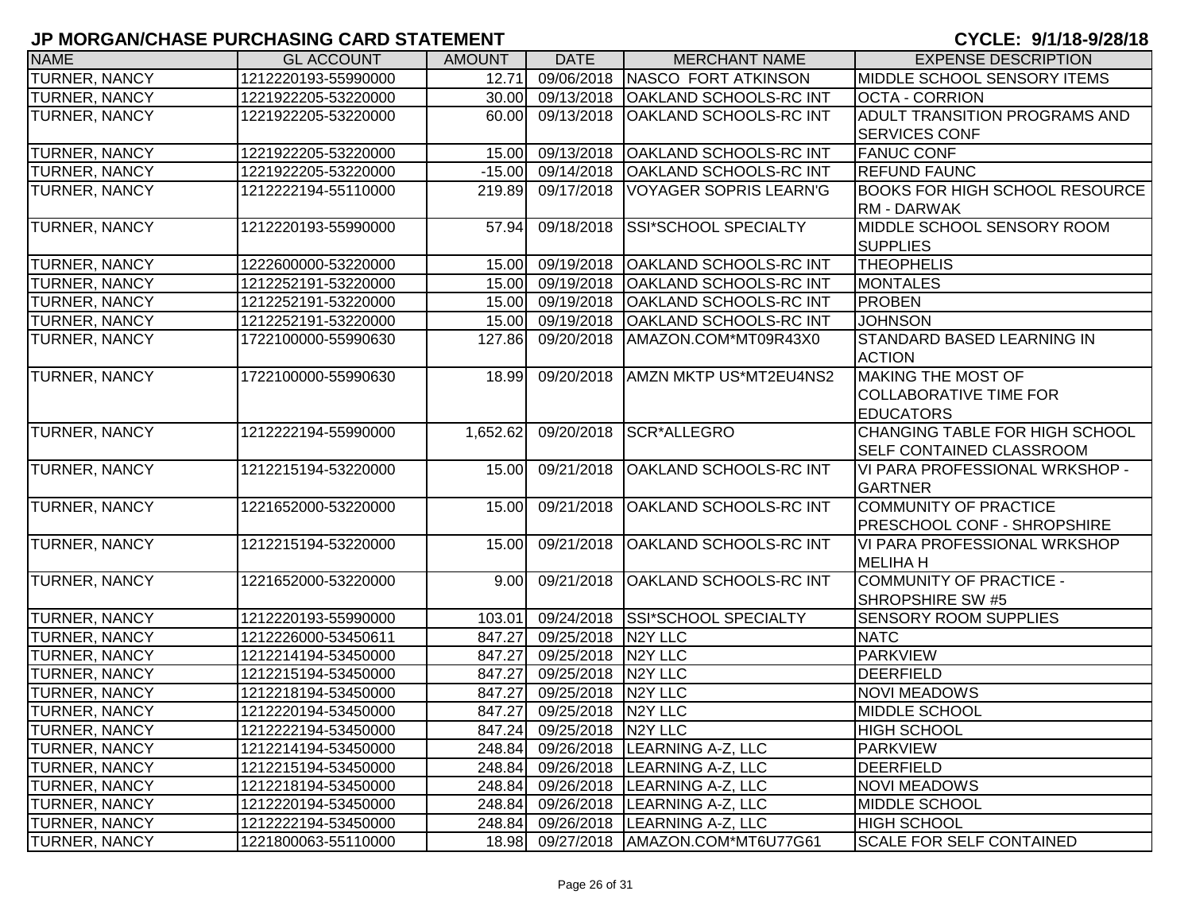| <b>NAME</b>          | <b>GL ACCOUNT</b>   | <b>AMOUNT</b> | <b>DATE</b>               | <b>MERCHANT NAME</b>                  | <b>EXPENSE DESCRIPTION</b>            |
|----------------------|---------------------|---------------|---------------------------|---------------------------------------|---------------------------------------|
| TURNER, NANCY        | 1212220193-55990000 | 12.71         | 09/06/2018                | <b>NASCO FORT ATKINSON</b>            | MIDDLE SCHOOL SENSORY ITEMS           |
| TURNER, NANCY        | 1221922205-53220000 | 30.00         | 09/13/2018                | <b>OAKLAND SCHOOLS-RC INT</b>         | <b>OCTA - CORRION</b>                 |
| <b>TURNER, NANCY</b> | 1221922205-53220000 | 60.00         | 09/13/2018                | <b>OAKLAND SCHOOLS-RC INT</b>         | ADULT TRANSITION PROGRAMS AND         |
|                      |                     |               |                           |                                       | <b>SERVICES CONF</b>                  |
| TURNER, NANCY        | 1221922205-53220000 | 15.00         | 09/13/2018                | <b>OAKLAND SCHOOLS-RC INT</b>         | <b>FANUC CONF</b>                     |
| TURNER, NANCY        | 1221922205-53220000 | $-15.00$      | 09/14/2018                | <b>OAKLAND SCHOOLS-RC INT</b>         | <b>REFUND FAUNC</b>                   |
| TURNER, NANCY        | 1212222194-55110000 | 219.89        | 09/17/2018                | VOYAGER SOPRIS LEARN'G                | <b>BOOKS FOR HIGH SCHOOL RESOURCE</b> |
|                      |                     |               |                           |                                       | <b>RM - DARWAK</b>                    |
| TURNER, NANCY        | 1212220193-55990000 | 57.94         | 09/18/2018                | SSI*SCHOOL SPECIALTY                  | MIDDLE SCHOOL SENSORY ROOM            |
|                      |                     |               |                           |                                       | <b>SUPPLIES</b>                       |
| <b>TURNER, NANCY</b> | 1222600000-53220000 | 15.00         | 09/19/2018                | <b>OAKLAND SCHOOLS-RC INT</b>         | <b>THEOPHELIS</b>                     |
| TURNER, NANCY        | 1212252191-53220000 | 15.00         | 09/19/2018                | <b>OAKLAND SCHOOLS-RC INT</b>         | <b>MONTALES</b>                       |
| <b>TURNER, NANCY</b> | 1212252191-53220000 | 15.00         | 09/19/2018                | <b>OAKLAND SCHOOLS-RC INT</b>         | <b>PROBEN</b>                         |
| TURNER, NANCY        | 1212252191-53220000 | 15.00         | 09/19/2018                | <b>OAKLAND SCHOOLS-RC INT</b>         | <b>JOHNSON</b>                        |
| TURNER, NANCY        | 1722100000-55990630 | 127.86        | 09/20/2018                | AMAZON.COM*MT09R43X0                  | STANDARD BASED LEARNING IN            |
|                      |                     |               |                           |                                       | <b>ACTION</b>                         |
| TURNER, NANCY        | 1722100000-55990630 | 18.99         | 09/20/2018                | <b>AMZN MKTP US*MT2EU4NS2</b>         | MAKING THE MOST OF                    |
|                      |                     |               |                           |                                       | <b>COLLABORATIVE TIME FOR</b>         |
|                      |                     |               |                           |                                       | <b>EDUCATORS</b>                      |
| <b>TURNER, NANCY</b> | 1212222194-55990000 | 1,652.62      | 09/20/2018                | <b>SCR*ALLEGRO</b>                    | CHANGING TABLE FOR HIGH SCHOOL        |
|                      |                     |               |                           |                                       | SELF CONTAINED CLASSROOM              |
| TURNER, NANCY        | 1212215194-53220000 | 15.00         | 09/21/2018                | <b>OAKLAND SCHOOLS-RC INT</b>         | VI PARA PROFESSIONAL WRKSHOP -        |
|                      |                     |               |                           |                                       | <b>GARTNER</b>                        |
| TURNER, NANCY        | 1221652000-53220000 | 15.00         | 09/21/2018                | OAKLAND SCHOOLS-RC INT                | <b>COMMUNITY OF PRACTICE</b>          |
|                      |                     |               |                           |                                       | <b>PRESCHOOL CONF - SHROPSHIRE</b>    |
| TURNER, NANCY        | 1212215194-53220000 | 15.00         | 09/21/2018                | <b>OAKLAND SCHOOLS-RC INT</b>         | VI PARA PROFESSIONAL WRKSHOP          |
|                      |                     |               |                           |                                       | <b>MELIHAH</b>                        |
| TURNER, NANCY        | 1221652000-53220000 | 9.00          | 09/21/2018                | <b>OAKLAND SCHOOLS-RC INT</b>         | COMMUNITY OF PRACTICE -               |
|                      |                     |               |                           |                                       | SHROPSHIRE SW #5                      |
| TURNER, NANCY        | 1212220193-55990000 | 103.01        | 09/24/2018                | <b>SSI*SCHOOL SPECIALTY</b>           | SENSORY ROOM SUPPLIES                 |
| TURNER, NANCY        | 1212226000-53450611 | 847.27        | 09/25/2018                | N <sub>2</sub> Y LLC                  | <b>NATC</b>                           |
| TURNER, NANCY        | 1212214194-53450000 | 847.27        | 09/25/2018                | N <sub>2</sub> Y LLC                  | <b>PARKVIEW</b>                       |
| TURNER, NANCY        | 1212215194-53450000 | 847.27        | 09/25/2018                | N <sub>2</sub> Y LLC                  | DEERFIELD                             |
| TURNER, NANCY        | 1212218194-53450000 | 847.27        | 09/25/2018                | N <sub>2</sub> Y LLC                  | <b>NOVI MEADOWS</b>                   |
| TURNER, NANCY        | 1212220194-53450000 | 847.27        | 09/25/2018                | N <sub>2</sub> Y LLC                  | <b>MIDDLE SCHOOL</b>                  |
| <b>TURNER, NANCY</b> | 1212222194-53450000 |               | 847.24 09/25/2018 N2Y LLC |                                       | <b>HIGH SCHOOL</b>                    |
| TURNER, NANCY        | 1212214194-53450000 |               |                           | 248.84 09/26/2018 LEARNING A-Z, LLC   | PARKVIEW                              |
| <b>TURNER, NANCY</b> | 1212215194-53450000 | 248.84        |                           | 09/26/2018  LEARNING A-Z, LLC         | <b>DEERFIELD</b>                      |
| <b>TURNER, NANCY</b> | 1212218194-53450000 | 248.84        | 09/26/2018                | LEARNING A-Z, LLC                     | <b>NOVI MEADOWS</b>                   |
| TURNER, NANCY        | 1212220194-53450000 | 248.84        | 09/26/2018                | LEARNING A-Z, LLC                     | MIDDLE SCHOOL                         |
| <b>TURNER, NANCY</b> | 1212222194-53450000 |               |                           | 248.84 09/26/2018 LEARNING A-Z, LLC   | <b>HIGH SCHOOL</b>                    |
| <b>TURNER, NANCY</b> | 1221800063-55110000 |               |                           | 18.98 09/27/2018 AMAZON.COM*MT6U77G61 | <b>SCALE FOR SELF CONTAINED</b>       |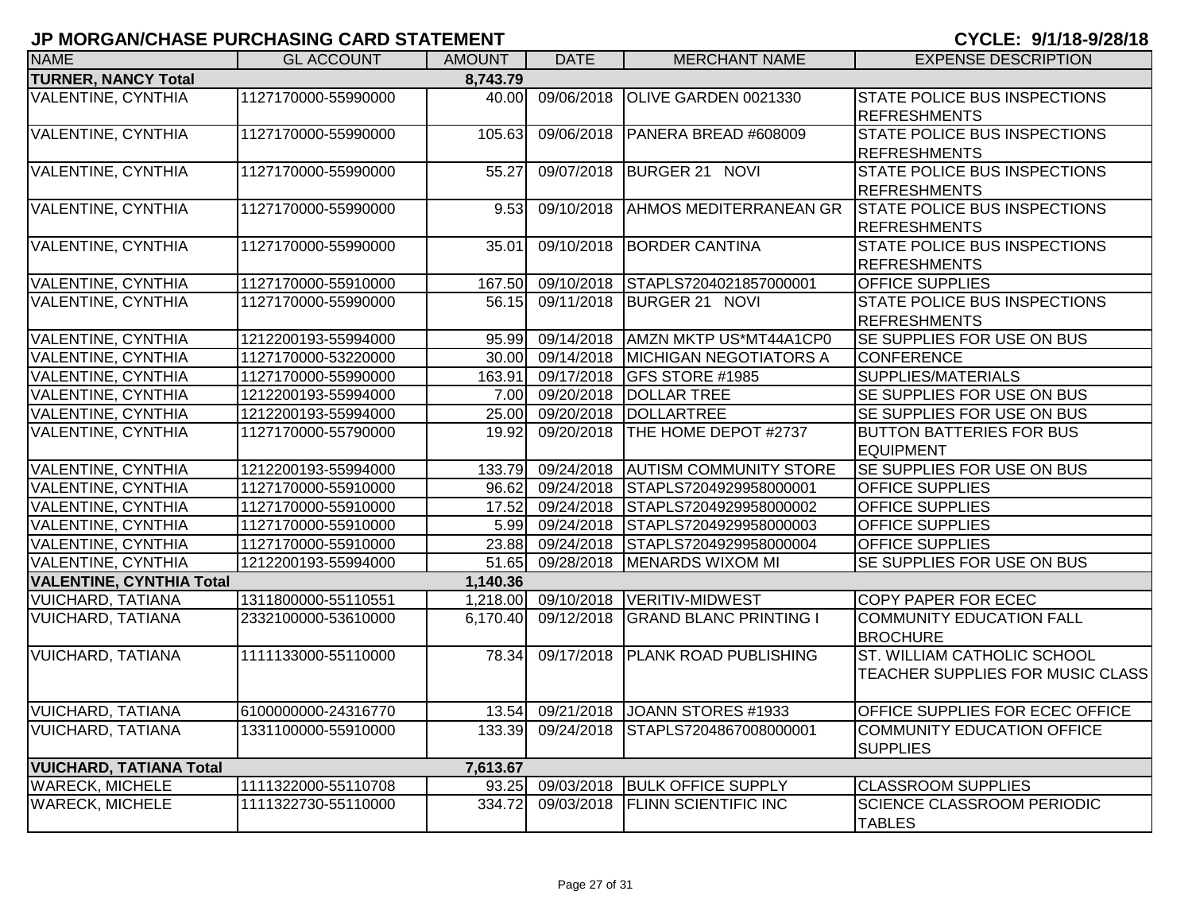|  | CYCLE: 9/1/18-9/28/18 |  |  |  |  |  |
|--|-----------------------|--|--|--|--|--|
|--|-----------------------|--|--|--|--|--|

| ווושוום ואולי שוואט שוווטהוואוט ו שטמווטמאוטוניו וט |                     |               |                   |                                            |                                                            |
|-----------------------------------------------------|---------------------|---------------|-------------------|--------------------------------------------|------------------------------------------------------------|
| <b>NAME</b>                                         | <b>GL ACCOUNT</b>   | <b>AMOUNT</b> | <b>DATE</b>       | <b>MERCHANT NAME</b>                       | <b>EXPENSE DESCRIPTION</b>                                 |
| <b>TURNER, NANCY Total</b>                          |                     | 8,743.79      |                   |                                            |                                                            |
| VALENTINE, CYNTHIA                                  | 1127170000-55990000 | 40.00         | 09/06/2018        | OLIVE GARDEN 0021330                       | <b>STATE POLICE BUS INSPECTIONS</b><br><b>REFRESHMENTS</b> |
| <b>VALENTINE, CYNTHIA</b>                           | 1127170000-55990000 | 105.63        | 09/06/2018        | PANERA BREAD #608009                       | <b>STATE POLICE BUS INSPECTIONS</b>                        |
|                                                     |                     |               |                   |                                            | <b>REFRESHMENTS</b>                                        |
| <b>VALENTINE, CYNTHIA</b>                           | 1127170000-55990000 | 55.27         | 09/07/2018        | BURGER 21 NOVI                             | <b>STATE POLICE BUS INSPECTIONS</b>                        |
|                                                     |                     |               |                   |                                            | <b>REFRESHMENTS</b>                                        |
| <b>VALENTINE, CYNTHIA</b>                           | 1127170000-55990000 | 9.53          | 09/10/2018        | <b>AHMOS MEDITERRANEAN GR</b>              | <b>STATE POLICE BUS INSPECTIONS</b>                        |
|                                                     |                     |               |                   |                                            | <b>REFRESHMENTS</b>                                        |
| <b>VALENTINE, CYNTHIA</b>                           | 1127170000-55990000 | 35.01         | 09/10/2018        | <b>BORDER CANTINA</b>                      | <b>STATE POLICE BUS INSPECTIONS</b>                        |
|                                                     |                     |               |                   |                                            | REFRESHMENTS                                               |
| <b>VALENTINE, CYNTHIA</b>                           | 1127170000-55910000 | 167.50        |                   | 09/10/2018 STAPLS7204021857000001          | <b>OFFICE SUPPLIES</b>                                     |
| <b>VALENTINE, CYNTHIA</b>                           | 1127170000-55990000 | 56.15         |                   | 09/11/2018 BURGER 21 NOVI                  | <b>STATE POLICE BUS INSPECTIONS</b>                        |
|                                                     |                     |               |                   |                                            | <b>REFRESHMENTS</b>                                        |
| <b>VALENTINE, CYNTHIA</b>                           | 1212200193-55994000 |               |                   | 95.99 09/14/2018 AMZN MKTP US*MT44A1CP0    | SE SUPPLIES FOR USE ON BUS                                 |
| <b>VALENTINE, CYNTHIA</b>                           | 1127170000-53220000 |               |                   | 30.00 09/14/2018 MICHIGAN NEGOTIATORS A    | <b>CONFERENCE</b>                                          |
| <b>VALENTINE, CYNTHIA</b>                           | 1127170000-55990000 |               | 163.91 09/17/2018 | <b>GFS STORE #1985</b>                     | SUPPLIES/MATERIALS                                         |
| <b>VALENTINE, CYNTHIA</b>                           | 1212200193-55994000 |               |                   | 7.00 09/20/2018 DOLLAR TREE                | SE SUPPLIES FOR USE ON BUS                                 |
| <b>VALENTINE, CYNTHIA</b>                           | 1212200193-55994000 |               |                   | 25.00 09/20/2018 DOLLARTREE                | SE SUPPLIES FOR USE ON BUS                                 |
| <b>VALENTINE, CYNTHIA</b>                           | 1127170000-55790000 | 19.92         | 09/20/2018        | THE HOME DEPOT #2737                       | <b>BUTTON BATTERIES FOR BUS</b>                            |
|                                                     |                     |               |                   |                                            | <b>EQUIPMENT</b>                                           |
| <b>VALENTINE, CYNTHIA</b>                           | 1212200193-55994000 | 133.79        |                   | 09/24/2018 AUTISM COMMUNITY STORE          | <b>SE SUPPLIES FOR USE ON BUS</b>                          |
| <b>VALENTINE, CYNTHIA</b>                           | 1127170000-55910000 |               |                   | 96.62 09/24/2018 STAPLS7204929958000001    | <b>OFFICE SUPPLIES</b>                                     |
| <b>VALENTINE, CYNTHIA</b>                           | 1127170000-55910000 | 17.52         |                   | 09/24/2018 STAPLS7204929958000002          | <b>OFFICE SUPPLIES</b>                                     |
| <b>VALENTINE, CYNTHIA</b>                           | 1127170000-55910000 |               | 5.99 09/24/2018   | STAPLS7204929958000003                     | <b>OFFICE SUPPLIES</b>                                     |
| <b>VALENTINE, CYNTHIA</b>                           | 1127170000-55910000 |               |                   | 23.88 09/24/2018 STAPLS7204929958000004    | <b>OFFICE SUPPLIES</b>                                     |
| VALENTINE, CYNTHIA                                  | 1212200193-55994000 | 51.65         |                   | 09/28/2018   MENARDS WIXOM MI              | SE SUPPLIES FOR USE ON BUS                                 |
| <b>VALENTINE, CYNTHIA Total</b>                     |                     | 1,140.36      |                   |                                            |                                                            |
| VUICHARD, TATIANA                                   | 1311800000-55110551 |               |                   | 1,218.00 09/10/2018 VERITIV-MIDWEST        | COPY PAPER FOR ECEC                                        |
| <b>VUICHARD, TATIANA</b>                            | 2332100000-53610000 |               |                   | 6,170.40 09/12/2018 GRAND BLANC PRINTING I | <b>COMMUNITY EDUCATION FALL</b><br><b>BROCHURE</b>         |
| <b>VUICHARD, TATIANA</b>                            | 1111133000-55110000 | 78.34         |                   | 09/17/2018 PLANK ROAD PUBLISHING           | ST. WILLIAM CATHOLIC SCHOOL                                |
|                                                     |                     |               |                   |                                            | TEACHER SUPPLIES FOR MUSIC CLASS                           |
| VUICHARD, TATIANA                                   | 6100000000-24316770 |               |                   | 13.54 09/21/2018 JJOANN STORES #1933       | OFFICE SUPPLIES FOR ECEC OFFICE                            |
| VUICHARD, TATIANA                                   | 1331100000-55910000 | 133.39        | 09/24/2018        | STAPLS7204867008000001                     | COMMUNITY EDUCATION OFFICE                                 |
|                                                     |                     |               |                   |                                            | <b>SUPPLIES</b>                                            |
| <b>VUICHARD, TATIANA Total</b>                      |                     | 7,613.67      |                   |                                            |                                                            |
| <b>WARECK, MICHELE</b>                              | 1111322000-55110708 | 93.25         | 09/03/2018        | <b>BULK OFFICE SUPPLY</b>                  | <b>CLASSROOM SUPPLIES</b>                                  |
| <b>WARECK, MICHELE</b>                              | 1111322730-55110000 | 334.72        | 09/03/2018        | <b>FLINN SCIENTIFIC INC</b>                | <b>SCIENCE CLASSROOM PERIODIC</b>                          |
|                                                     |                     |               |                   |                                            | <b>TABLES</b>                                              |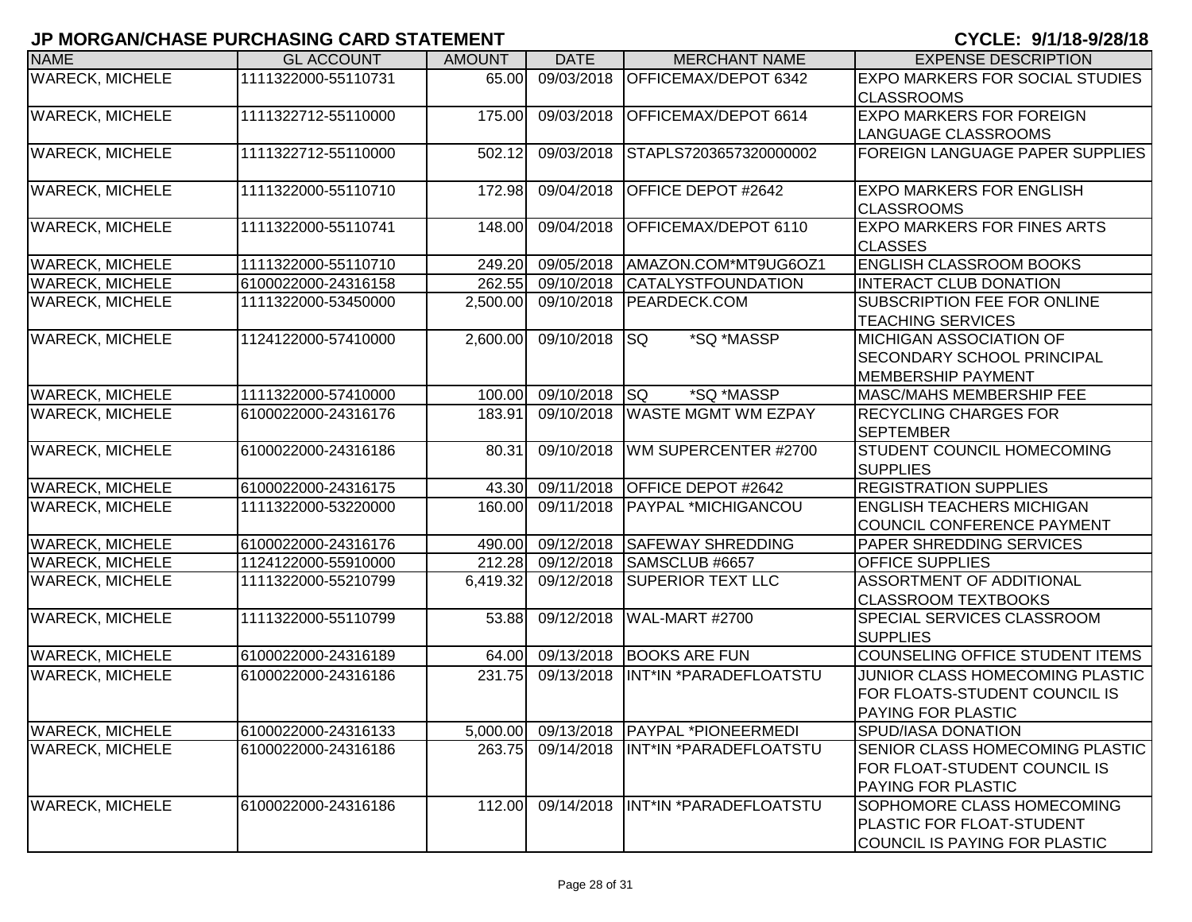|                        | ס כוונט סיונטו וסווט ו בטוונוס ויוס ויוס |               |             |                                         | <del>, , , , , , , , , , , , , , , , , ,</del>                                                      |
|------------------------|------------------------------------------|---------------|-------------|-----------------------------------------|-----------------------------------------------------------------------------------------------------|
| <b>NAME</b>            | <b>GL ACCOUNT</b>                        | <b>AMOUNT</b> | <b>DATE</b> | <b>MERCHANT NAME</b>                    | <b>EXPENSE DESCRIPTION</b>                                                                          |
| <b>WARECK, MICHELE</b> | 1111322000-55110731                      | 65.00         | 09/03/2018  | OFFICEMAX/DEPOT 6342                    | <b>EXPO MARKERS FOR SOCIAL STUDIES</b><br><b>CLASSROOMS</b>                                         |
| <b>WARECK, MICHELE</b> | 1111322712-55110000                      | 175.00        | 09/03/2018  | OFFICEMAX/DEPOT 6614                    | <b>EXPO MARKERS FOR FOREIGN</b><br><b>LANGUAGE CLASSROOMS</b>                                       |
| <b>WARECK, MICHELE</b> | 1111322712-55110000                      | 502.12        | 09/03/2018  | STAPLS7203657320000002                  | FOREIGN LANGUAGE PAPER SUPPLIES                                                                     |
| <b>WARECK, MICHELE</b> | 1111322000-55110710                      | 172.98        | 09/04/2018  | OFFICE DEPOT #2642                      | <b>EXPO MARKERS FOR ENGLISH</b><br><b>CLASSROOMS</b>                                                |
| <b>WARECK, MICHELE</b> | 1111322000-55110741                      | 148.00        | 09/04/2018  | OFFICEMAX/DEPOT 6110                    | <b>EXPO MARKERS FOR FINES ARTS</b><br>ICLASSES                                                      |
| <b>WARECK, MICHELE</b> | 1111322000-55110710                      | 249.20        | 09/05/2018  | AMAZON.COM*MT9UG6OZ1                    | <b>ENGLISH CLASSROOM BOOKS</b>                                                                      |
| <b>WARECK, MICHELE</b> | 6100022000-24316158                      | 262.55        | 09/10/2018  | <b>CATALYSTFOUNDATION</b>               | <b>INTERACT CLUB DONATION</b>                                                                       |
| <b>WARECK, MICHELE</b> | 1111322000-53450000                      | 2,500.00      | 09/10/2018  | <b>PEARDECK.COM</b>                     | SUBSCRIPTION FEE FOR ONLINE<br><b>TEACHING SERVICES</b>                                             |
| <b>WARECK, MICHELE</b> | 1124122000-57410000                      | 2,600.00      | 09/10/2018  | *SQ *MASSP<br><b>SQ</b>                 | IMICHIGAN ASSOCIATION OF<br><b>SECONDARY SCHOOL PRINCIPAL</b><br><b>MEMBERSHIP PAYMENT</b>          |
| <b>WARECK, MICHELE</b> | 1111322000-57410000                      | 100.00        | 09/10/2018  | lsQ<br>*SQ *MASSP                       | MASC/MAHS MEMBERSHIP FEE                                                                            |
| <b>WARECK, MICHELE</b> | 6100022000-24316176                      | 183.91        | 09/10/2018  | <b>WASTE MGMT WM EZPAY</b>              | <b>RECYCLING CHARGES FOR</b><br><b>SEPTEMBER</b>                                                    |
| <b>WARECK, MICHELE</b> | 6100022000-24316186                      | 80.31         | 09/10/2018  | WM SUPERCENTER #2700                    | <b>STUDENT COUNCIL HOMECOMING</b><br><b>SUPPLIES</b>                                                |
| <b>WARECK, MICHELE</b> | 6100022000-24316175                      | 43.30         | 09/11/2018  | OFFICE DEPOT #2642                      | <b>REGISTRATION SUPPLIES</b>                                                                        |
| <b>WARECK, MICHELE</b> | 1111322000-53220000                      | 160.00        | 09/11/2018  | PAYPAL *MICHIGANCOU                     | <b>ENGLISH TEACHERS MICHIGAN</b><br>COUNCIL CONFERENCE PAYMENT                                      |
| <b>WARECK, MICHELE</b> | 6100022000-24316176                      | 490.00        | 09/12/2018  | <b>SAFEWAY SHREDDING</b>                | PAPER SHREDDING SERVICES                                                                            |
| <b>WARECK, MICHELE</b> | 1124122000-55910000                      | 212.28        | 09/12/2018  | SAMSCLUB #6657                          | <b>OFFICE SUPPLIES</b>                                                                              |
| <b>WARECK, MICHELE</b> | 1111322000-55210799                      | 6,419.32      | 09/12/2018  | <b>SUPERIOR TEXT LLC</b>                | <b>ASSORTMENT OF ADDITIONAL</b><br><b>CLASSROOM TEXTBOOKS</b>                                       |
| <b>WARECK, MICHELE</b> | 1111322000-55110799                      | 53.88         | 09/12/2018  | WAL-MART #2700                          | <b>SPECIAL SERVICES CLASSROOM</b><br><b>SUPPLIES</b>                                                |
| <b>WARECK, MICHELE</b> | 6100022000-24316189                      | 64.00         | 09/13/2018  | <b>BOOKS ARE FUN</b>                    | COUNSELING OFFICE STUDENT ITEMS                                                                     |
| <b>WARECK, MICHELE</b> | 6100022000-24316186                      | 231.75        | 09/13/2018  | INT*IN *PARADEFLOATSTU                  | JUNIOR CLASS HOMECOMING PLASTIC<br>FOR FLOATS-STUDENT COUNCIL IS<br><b>PAYING FOR PLASTIC</b>       |
| <b>WARECK, MICHELE</b> | 6100022000-24316133                      |               |             | 5,000.00 09/13/2018 PAYPAL *PIONEERMEDI | SPUD/IASA DONATION                                                                                  |
| <b>WARECK, MICHELE</b> | 6100022000-24316186                      | 263.75        | 09/14/2018  | INT*IN *PARADEFLOATSTU                  | <b>SENIOR CLASS HOMECOMING PLASTIC</b><br>FOR FLOAT-STUDENT COUNCIL IS<br><b>PAYING FOR PLASTIC</b> |
| <b>WARECK, MICHELE</b> | 6100022000-24316186                      | 112.00        | 09/14/2018  | INT*IN *PARADEFLOATSTU                  | SOPHOMORE CLASS HOMECOMING<br>PLASTIC FOR FLOAT-STUDENT<br>COUNCIL IS PAYING FOR PLASTIC            |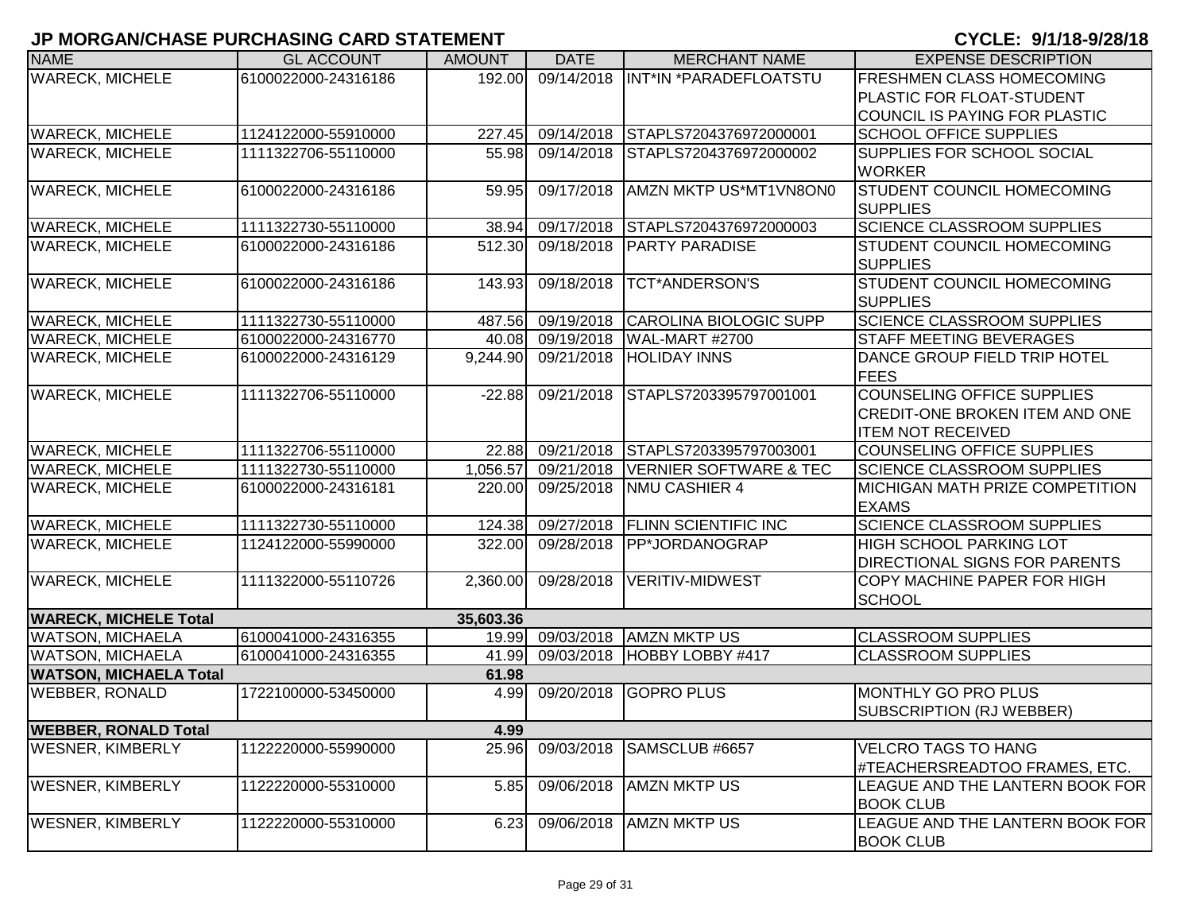| <b>NAME</b>                   | <b>GL ACCOUNT</b>   | <b>AMOUNT</b> | <b>DATE</b> | <b>MERCHANT NAME</b>              | <b>EXPENSE DESCRIPTION</b>             |
|-------------------------------|---------------------|---------------|-------------|-----------------------------------|----------------------------------------|
| <b>WARECK, MICHELE</b>        | 6100022000-24316186 | 192.00        | 09/14/2018  | IINT*IN *PARADEFLOATSTU           | <b>FRESHMEN CLASS HOMECOMING</b>       |
|                               |                     |               |             |                                   | <b>PLASTIC FOR FLOAT-STUDENT</b>       |
|                               |                     |               |             |                                   | COUNCIL IS PAYING FOR PLASTIC          |
| <b>WARECK, MICHELE</b>        | 1124122000-55910000 | 227.45        | 09/14/2018  | STAPLS7204376972000001            | <b>SCHOOL OFFICE SUPPLIES</b>          |
| <b>WARECK, MICHELE</b>        | 1111322706-55110000 | 55.98         | 09/14/2018  | STAPLS7204376972000002            | <b>SUPPLIES FOR SCHOOL SOCIAL</b>      |
|                               |                     |               |             |                                   | <b>WORKER</b>                          |
| <b>WARECK, MICHELE</b>        | 6100022000-24316186 | 59.95         | 09/17/2018  | AMZN MKTP US*MT1VN8ON0            | <b>STUDENT COUNCIL HOMECOMING</b>      |
|                               |                     |               |             |                                   | <b>SUPPLIES</b>                        |
| <b>WARECK, MICHELE</b>        | 1111322730-55110000 | 38.94         | 09/17/2018  | STAPLS7204376972000003            | <b>SCIENCE CLASSROOM SUPPLIES</b>      |
| <b>WARECK, MICHELE</b>        | 6100022000-24316186 | 512.30        | 09/18/2018  | <b>PARTY PARADISE</b>             | <b>STUDENT COUNCIL HOMECOMING</b>      |
|                               |                     |               |             |                                   | <b>SUPPLIES</b>                        |
| <b>WARECK, MICHELE</b>        | 6100022000-24316186 | 143.93        | 09/18/2018  | <b>TCT*ANDERSON'S</b>             | <b>STUDENT COUNCIL HOMECOMING</b>      |
|                               |                     |               |             |                                   | <b>SUPPLIES</b>                        |
| <b>WARECK, MICHELE</b>        | 1111322730-55110000 | 487.56        | 09/19/2018  | CAROLINA BIOLOGIC SUPP            | <b>SCIENCE CLASSROOM SUPPLIES</b>      |
| <b>WARECK, MICHELE</b>        | 6100022000-24316770 | 40.08         | 09/19/2018  | <b>WAL-MART #2700</b>             | <b>STAFF MEETING BEVERAGES</b>         |
| <b>WARECK, MICHELE</b>        | 6100022000-24316129 | 9,244.90      | 09/21/2018  | <b>HOLIDAY INNS</b>               | DANCE GROUP FIELD TRIP HOTEL           |
|                               |                     |               |             |                                   | <b>FEES</b>                            |
| <b>WARECK, MICHELE</b>        | 1111322706-55110000 | $-22.88$      | 09/21/2018  | STAPLS7203395797001001            | <b>COUNSELING OFFICE SUPPLIES</b>      |
|                               |                     |               |             |                                   | <b>CREDIT-ONE BROKEN ITEM AND ONE</b>  |
|                               |                     |               |             |                                   | <b>ITEM NOT RECEIVED</b>               |
| <b>WARECK, MICHELE</b>        | 1111322706-55110000 | 22.88         | 09/21/2018  | STAPLS7203395797003001            | <b>COUNSELING OFFICE SUPPLIES</b>      |
| <b>WARECK, MICHELE</b>        | 1111322730-55110000 | 1,056.57      | 09/21/2018  | <b>VERNIER SOFTWARE &amp; TEC</b> | SCIENCE CLASSROOM SUPPLIES             |
| <b>WARECK, MICHELE</b>        | 6100022000-24316181 | 220.00        | 09/25/2018  | <b>NMU CASHIER 4</b>              | <b>MICHIGAN MATH PRIZE COMPETITION</b> |
|                               |                     |               |             |                                   | <b>EXAMS</b>                           |
| <b>WARECK, MICHELE</b>        | 1111322730-55110000 | 124.38        | 09/27/2018  | <b>FLINN SCIENTIFIC INC</b>       | <b>SCIENCE CLASSROOM SUPPLIES</b>      |
| <b>WARECK, MICHELE</b>        | 1124122000-55990000 | 322.00        | 09/28/2018  | <b>IPP*JORDANOGRAP</b>            | <b>HIGH SCHOOL PARKING LOT</b>         |
|                               |                     |               |             |                                   | <b>DIRECTIONAL SIGNS FOR PARENTS</b>   |
| <b>WARECK, MICHELE</b>        | 1111322000-55110726 | 2,360.00      | 09/28/2018  | VERITIV-MIDWEST                   | <b>COPY MACHINE PAPER FOR HIGH</b>     |
|                               |                     |               |             |                                   | SCHOOL                                 |
| <b>WARECK, MICHELE Total</b>  |                     | 35,603.36     |             |                                   |                                        |
| <b>WATSON, MICHAELA</b>       | 6100041000-24316355 | 19.99         |             | 09/03/2018 AMZN MKTP US           | <b>CLASSROOM SUPPLIES</b>              |
| <b>WATSON, MICHAELA</b>       | 6100041000-24316355 | 41.99         | 09/03/2018  | HOBBY LOBBY #417                  | <b>CLASSROOM SUPPLIES</b>              |
| <b>WATSON, MICHAELA Total</b> |                     | 61.98         |             |                                   |                                        |
| <b>WEBBER, RONALD</b>         | 1722100000-53450000 | 4.99          | 09/20/2018  | <b>GOPRO PLUS</b>                 | MONTHLY GO PRO PLUS                    |
|                               |                     |               |             |                                   | SUBSCRIPTION (RJ WEBBER)               |
| <b>WEBBER, RONALD Total</b>   |                     | 4.99          |             |                                   |                                        |
| <b>WESNER, KIMBERLY</b>       | 1122220000-55990000 | 25.96         | 09/03/2018  | SAMSCLUB #6657                    | <b>VELCRO TAGS TO HANG</b>             |
|                               |                     |               |             |                                   | #TEACHERSREADTOO FRAMES, ETC.          |
| <b>WESNER, KIMBERLY</b>       | 1122220000-55310000 | 5.85          | 09/06/2018  | <b>AMZN MKTP US</b>               | LEAGUE AND THE LANTERN BOOK FOR        |
|                               |                     |               |             |                                   | <b>BOOK CLUB</b>                       |
| <b>WESNER, KIMBERLY</b>       | 1122220000-55310000 | 6.23          | 09/06/2018  | <b>AMZN MKTP US</b>               | LEAGUE AND THE LANTERN BOOK FOR        |
|                               |                     |               |             |                                   | <b>BOOK CLUB</b>                       |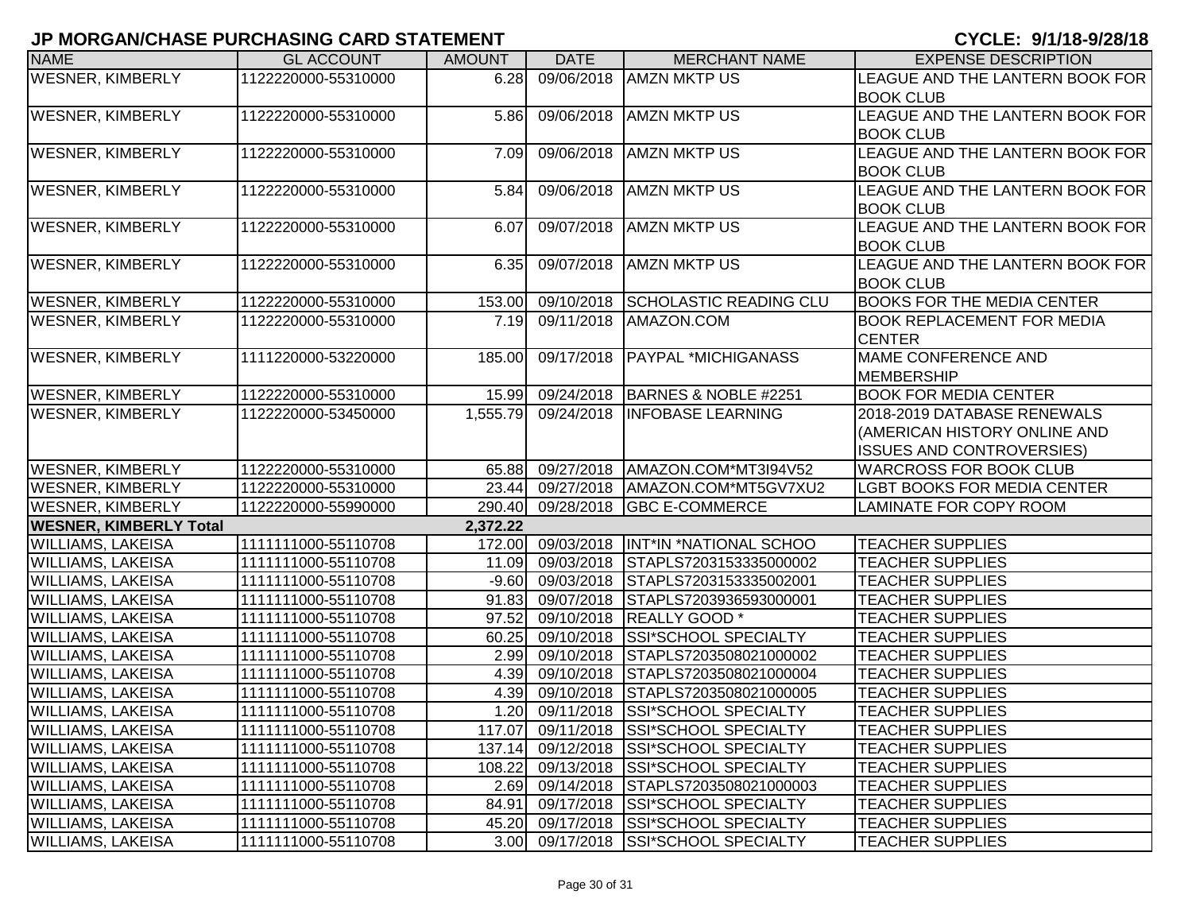| <b>NAME</b>                   | <b>GL ACCOUNT</b>   | <b>AMOUNT</b> | <b>DATE</b>     | <b>MERCHANT NAME</b>                   | <b>EXPENSE DESCRIPTION</b>         |
|-------------------------------|---------------------|---------------|-----------------|----------------------------------------|------------------------------------|
| <b>WESNER, KIMBERLY</b>       | 1122220000-55310000 | 6.28          | 09/06/2018      | <b>AMZN MKTP US</b>                    | LEAGUE AND THE LANTERN BOOK FOR    |
|                               |                     |               |                 |                                        | <b>BOOK CLUB</b>                   |
| <b>WESNER, KIMBERLY</b>       | 1122220000-55310000 | 5.86          | 09/06/2018      | <b>AMZN MKTP US</b>                    | LEAGUE AND THE LANTERN BOOK FOR    |
|                               |                     |               |                 |                                        | <b>BOOK CLUB</b>                   |
| <b>WESNER, KIMBERLY</b>       | 1122220000-55310000 | 7.09          | 09/06/2018      | <b>AMZN MKTP US</b>                    | LEAGUE AND THE LANTERN BOOK FOR    |
|                               |                     |               |                 |                                        | <b>BOOK CLUB</b>                   |
| <b>WESNER, KIMBERLY</b>       | 1122220000-55310000 | 5.84          | 09/06/2018      | <b>AMZN MKTP US</b>                    | LEAGUE AND THE LANTERN BOOK FOR    |
|                               |                     |               |                 |                                        | <b>BOOK CLUB</b>                   |
| <b>WESNER, KIMBERLY</b>       | 1122220000-55310000 | 6.07          | 09/07/2018      | <b>AMZN MKTP US</b>                    | LEAGUE AND THE LANTERN BOOK FOR    |
|                               |                     |               |                 |                                        | <b>BOOK CLUB</b>                   |
| <b>WESNER, KIMBERLY</b>       | 1122220000-55310000 | 6.35          | 09/07/2018      | <b>AMZN MKTP US</b>                    | LEAGUE AND THE LANTERN BOOK FOR    |
|                               |                     |               |                 |                                        | <b>BOOK CLUB</b>                   |
| <b>WESNER, KIMBERLY</b>       | 1122220000-55310000 | 153.00        | 09/10/2018      | <b>SCHOLASTIC READING CLU</b>          | <b>BOOKS FOR THE MEDIA CENTER</b>  |
| <b>WESNER, KIMBERLY</b>       | 1122220000-55310000 | 7.19          | 09/11/2018      | AMAZON.COM                             | <b>BOOK REPLACEMENT FOR MEDIA</b>  |
|                               |                     |               |                 |                                        | <b>CENTER</b>                      |
| <b>WESNER, KIMBERLY</b>       | 1111220000-53220000 | 185.00        | 09/17/2018      | <b>PAYPAL *MICHIGANASS</b>             | MAME CONFERENCE AND                |
|                               |                     |               |                 |                                        | MEMBERSHIP                         |
| <b>WESNER, KIMBERLY</b>       | 1122220000-55310000 | 15.99         |                 | 09/24/2018   BARNES & NOBLE #2251      | <b>BOOK FOR MEDIA CENTER</b>       |
| <b>WESNER, KIMBERLY</b>       | 1122220000-53450000 | 1,555.79      | 09/24/2018      | <b>INFOBASE LEARNING</b>               | 2018-2019 DATABASE RENEWALS        |
|                               |                     |               |                 |                                        | (AMERICAN HISTORY ONLINE AND       |
|                               |                     |               |                 |                                        | <b>ISSUES AND CONTROVERSIES)</b>   |
| <b>WESNER, KIMBERLY</b>       | 1122220000-55310000 | 65.88         | 09/27/2018      | AMAZON.COM*MT3I94V52                   | <b>WARCROSS FOR BOOK CLUB</b>      |
| <b>WESNER, KIMBERLY</b>       | 1122220000-55310000 | 23.44         | 09/27/2018      | AMAZON.COM*MT5GV7XU2                   | <b>LGBT BOOKS FOR MEDIA CENTER</b> |
| <b>WESNER, KIMBERLY</b>       | 1122220000-55990000 | 290.40        | 09/28/2018      | <b>GBC E-COMMERCE</b>                  | <b>LAMINATE FOR COPY ROOM</b>      |
| <b>WESNER, KIMBERLY Total</b> |                     | 2,372.22      |                 |                                        |                                    |
| <b>WILLIAMS, LAKEISA</b>      | 1111111000-55110708 | 172.00        | 09/03/2018      | <b>INT*IN *NATIONAL SCHOO</b>          | <b>TEACHER SUPPLIES</b>            |
| WILLIAMS, LAKEISA             | 1111111000-55110708 | 11.09         | 09/03/2018      | STAPLS7203153335000002                 | <b>TEACHER SUPPLIES</b>            |
| WILLIAMS, LAKEISA             | 1111111000-55110708 | $-9.60$       | 09/03/2018      | STAPLS7203153335002001                 | <b>TEACHER SUPPLIES</b>            |
| <b>WILLIAMS, LAKEISA</b>      | 1111111000-55110708 | 91.83         | 09/07/2018      | STAPLS7203936593000001                 | <b>TEACHER SUPPLIES</b>            |
| <b>WILLIAMS, LAKEISA</b>      | 1111111000-55110708 | 97.52         | 09/10/2018      | <b>REALLY GOOD</b> *                   | <b>TEACHER SUPPLIES</b>            |
| <b>WILLIAMS, LAKEISA</b>      | 1111111000-55110708 | 60.25         | 09/10/2018      | <b>SSI*SCHOOL SPECIALTY</b>            | <b>TEACHER SUPPLIES</b>            |
| <b>WILLIAMS, LAKEISA</b>      | 1111111000-55110708 | 2.99          | 09/10/2018      | STAPLS7203508021000002                 | <b>TEACHER SUPPLIES</b>            |
| <b>WILLIAMS, LAKEISA</b>      | 1111111000-55110708 | 4.39          | 09/10/2018      | STAPLS7203508021000004                 | <b>TEACHER SUPPLIES</b>            |
| <b>WILLIAMS, LAKEISA</b>      | 1111111000-55110708 | 4.39          | 09/10/2018      | STAPLS7203508021000005                 | <b>TEACHER SUPPLIES</b>            |
| <b>WILLIAMS, LAKEISA</b>      | 1111111000-55110708 |               | 1.20 09/11/2018 | <b>SSI*SCHOOL SPECIALTY</b>            | <b>TEACHER SUPPLIES</b>            |
| <b>WILLIAMS, LAKEISA</b>      | 1111111000-55110708 |               |                 | 117.07 09/11/2018 SSI*SCHOOL SPECIALTY | <b>TEACHER SUPPLIES</b>            |
| <b>WILLIAMS, LAKEISA</b>      | 1111111000-55110708 | 137.14        |                 | 09/12/2018 SSI*SCHOOL SPECIALTY        | <b>TEACHER SUPPLIES</b>            |
| <b>WILLIAMS, LAKEISA</b>      | 1111111000-55110708 | 108.22        | 09/13/2018      | <b>SSI*SCHOOL SPECIALTY</b>            | <b>TEACHER SUPPLIES</b>            |
| <b>WILLIAMS, LAKEISA</b>      | 1111111000-55110708 | 2.69          | 09/14/2018      | STAPLS7203508021000003                 | <b>TEACHER SUPPLIES</b>            |
| <b>WILLIAMS, LAKEISA</b>      | 1111111000-55110708 | 84.91         |                 | 09/17/2018 SSI*SCHOOL SPECIALTY        | <b>TEACHER SUPPLIES</b>            |
| <b>WILLIAMS, LAKEISA</b>      | 1111111000-55110708 | 45.20         |                 | 09/17/2018 SSI*SCHOOL SPECIALTY        | <b>TEACHER SUPPLIES</b>            |
| <b>WILLIAMS, LAKEISA</b>      | 1111111000-55110708 |               |                 | 3.00 09/17/2018 SSI*SCHOOL SPECIALTY   | <b>TEACHER SUPPLIES</b>            |